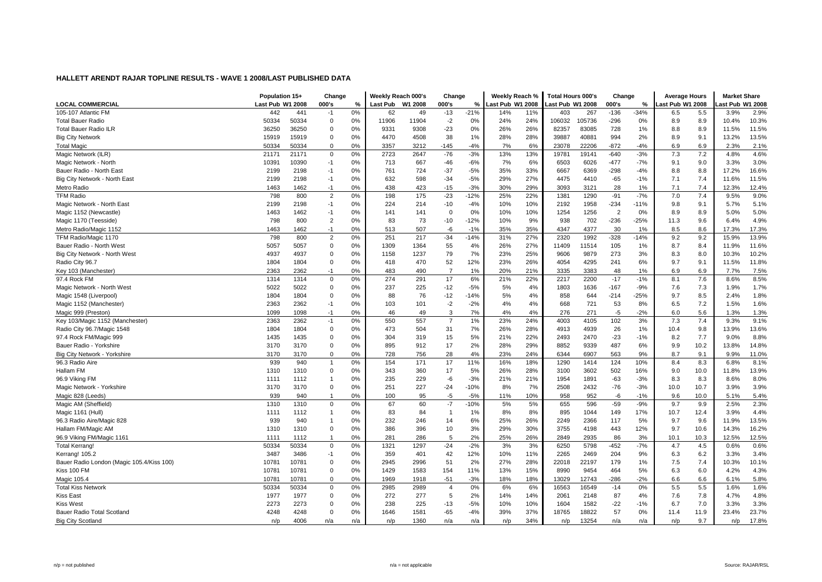| <b>LOCAL COMMERCIAL</b><br>Last Pub W1 2008<br>000's<br>W1 2008<br>000's<br>Last Pub W1 2008<br>000's<br>ast Pub W1 2008<br>%<br><b>Last Pub</b><br>%<br>Last Pub W1 2008<br>%<br>ast Pub W1 2008<br>105-107 Atlantic FM<br>0%<br>$-21%$<br>$-136$<br>2.9%<br>442<br>441<br>62<br>49<br>$-13$<br>14%<br>11%<br>403<br>267<br>$-34%$<br>5.5<br>3.9%<br>$-1$<br>6.5<br>50334<br>50334<br>$\mathbf 0$<br>0%<br>11904<br>$-2$<br>0%<br>24%<br>24%<br>106032<br>105736<br>$-296$<br>8.9<br>10.4%<br>10.3%<br><b>Total Bauer Radio</b><br>11906<br>0%<br>8.9<br>36250<br>$\mathbf 0$<br>0%<br>$-23$<br>0%<br>26%<br>83085<br>728<br>1%<br>8.9<br>11.5%<br><b>Total Bauer Radio ILR</b><br>36250<br>9331<br>9308<br>26%<br>82357<br>8.8<br>11.5%<br>15919<br>$\Omega$<br>0%<br>4470<br>4508<br>38<br>1%<br>28%<br>28%<br>39887<br>40881<br>994<br>2%<br>9.1<br>13.2%<br>13.5%<br><b>Big City Network</b><br>15919<br>8.9<br>$-4%$<br>6%<br>22206<br>$-872$<br>2.1%<br><b>Total Magic</b><br>50334<br>50334<br>$\Omega$<br>0%<br>3357<br>3212<br>$-145$<br>7%<br>23078<br>$-4%$<br>6.9<br>6.9<br>2.3%<br>$-3%$<br>7.2<br>4.6%<br>0%<br>2723<br>2647<br>13%<br>19141<br>$-640$<br>$-3%$<br>7.3<br>4.8%<br>21171<br>21171<br>$\Omega$<br>$-76$<br>13%<br>19781<br>Magic Network (ILR)<br>10390<br>$-477$<br>9.0<br>3.3%<br>3.0%<br>10391<br>$-1$<br>0%<br>713<br>667<br>$-46$<br>$-6%$<br>7%<br>6%<br>6503<br>6026<br>$-7%$<br>Magic Network - North<br>9.1<br>2199<br>2198<br>0%<br>761<br>724<br>$-37$<br>$-5%$<br>35%<br>33%<br>6667<br>6369<br>$-298$<br>$-4%$<br>8.8<br>17.2%<br>16.6%<br>Bauer Radio - North East<br>$-1$<br>8.8<br>2199<br>2198<br>0%<br>632<br>598<br>$-34$<br>$-5%$<br>29%<br>27%<br>4475<br>$-65$<br>7.4<br>11.5%<br>Big City Network - North East<br>$-1$<br>4410<br>$-1%$<br>7.1<br>11.6%<br>0%<br>423<br>$-15$<br>$-3%$<br>30%<br>29%<br>28<br>7.1<br>7.4<br>12.4%<br>Metro Radio<br>1463<br>1462<br>$-1$<br>438<br>3093<br>3121<br>1%<br>12.3%<br>$-23$<br>$-12%$<br>9.0%<br><b>TFM Radio</b><br>798<br>800<br>$\overline{2}$<br>0%<br>198<br>175<br>25%<br>22%<br>1381<br>1290<br>$-91$<br>$-7%$<br>7.0<br>7.4<br>9.5%<br>$-10$<br>$-234$<br>9.1<br>5.1%<br>Magic Network - North East<br>2199<br>2198<br>$-1$<br>0%<br>224<br>214<br>$-4%$<br>10%<br>10%<br>2192<br>1958<br>$-11%$<br>9.8<br>5.7%<br>$\overline{2}$<br>8.9<br>5.0%<br>1463<br>1462<br>0%<br>141<br>$\mathbf 0$<br>0%<br>10%<br>10%<br>1254<br>1256<br>0%<br>8.9<br>5.0%<br>Magic 1152 (Newcastle)<br>$-1$<br>141<br>$\overline{2}$<br>$-12%$<br>$-236$<br>9.6<br>4.9%<br>Magic 1170 (Teesside)<br>798<br>800<br>0%<br>83<br>73<br>$-10$<br>10%<br>9%<br>938<br>702<br>$-25%$<br>6.4%<br>11.3<br>1463<br>1462<br>$-1$<br>0%<br>513<br>507<br>-6<br>$-1%$<br>35%<br>35%<br>4347<br>4377<br>30<br>1%<br>8.6<br>17.3%<br>17.3%<br>Metro Radio/Magic 1152<br>8.5<br>$-14%$<br>27%<br>9.2<br>13.9%<br>TFM Radio/Magic 1170<br>798<br>800<br>$\overline{2}$<br>0%<br>251<br>217<br>$-34$<br>31%<br>2320<br>1992<br>$-328$<br>$-14%$<br>9.2<br>15.9%<br>$\mathbf 0$<br>27%<br>11.6%<br>Bauer Radio - North West<br>5057<br>5057<br>0%<br>1309<br>1364<br>55<br>4%<br>26%<br>11409<br>11514<br>105<br>1%<br>8.7<br>8.4<br>11.9%<br>4937<br>4937<br>1237<br>79<br>7%<br>23%<br>25%<br>9879<br>273<br>8.0<br>10.2%<br>$\mathbf 0$<br>0%<br>1158<br>9606<br>3%<br>8.3<br>10.3%<br>Big City Network - North West<br>52<br>12%<br>241<br>11.8%<br>Radio City 96.7<br>1804<br>1804<br>$\mathbf 0$<br>0%<br>418<br>470<br>23%<br>26%<br>4054<br>4295<br>6%<br>9.7<br>9.1<br>11.5%<br>2363<br>2362<br>0%<br>483<br>490<br>1%<br>20%<br>21%<br>3335<br>3383<br>48<br>6.9<br>6.9<br>7.5%<br>Key 103 (Manchester)<br>$-1$<br>$\overline{7}$<br>1%<br>7.7%<br>8.5%<br>97.4 Rock FM<br>1314<br>$\mathbf 0$<br>$0\%$<br>274<br>291<br>17<br>6%<br>22%<br>2217<br>2200<br>$-17$<br>$-1%$<br>7.6<br>8.6%<br>1314<br>21%<br>8.1<br>5022<br>5022<br>$\Omega$<br>0%<br>237<br>225<br>$-12$<br>$-5%$<br>5%<br>4%<br>1636<br>$-167$<br>$-9%$<br>7.3<br>1.9%<br>1.7%<br>Magic Network - North West<br>1803<br>7.6<br>76<br>$-12$<br>5%<br>858<br>8.5<br>1.8%<br>Magic 1548 (Liverpool)<br>1804<br>1804<br>$\mathbf 0$<br>0%<br>88<br>$-14%$<br>4%<br>644<br>$-214$<br>$-25%$<br>9.7<br>2.4%<br>7.2<br>$-2%$<br>721<br>1.6%<br>Magic 1152 (Manchester)<br>2363<br>2362<br>$-1$<br>0%<br>103<br>101<br>$-2$<br>4%<br>4%<br>668<br>53<br>8%<br>1.5%<br>6.5<br>7%<br>271<br>5.6<br>1.3%<br>1098<br>0%<br>49<br>3<br>4%<br>4%<br>276<br>$-5$<br>$-2%$<br>Magic 999 (Preston)<br>1099<br>$-1$<br>46<br>6.0<br>1.3%<br>2363<br>557<br>1%<br>23%<br>24%<br>4003<br>102<br>7.4<br>9.1%<br>Key 103/Magic 1152 (Manchester)<br>2362<br>$-1$<br>0%<br>550<br>$\overline{7}$<br>4105<br>3%<br>7.3<br>9.3%<br>13.6%<br>1804<br>1804<br>$\mathbf 0$<br>473<br>504<br>31<br>7%<br>26%<br>28%<br>4913<br>4939<br>26<br>9.8<br>13.9%<br>Radio City 96.7/Magic 1548<br>0%<br>1%<br>10.4<br>8.8%<br>1435<br>319<br>15<br>5%<br>22%<br>2470<br>$-23$<br>7.7<br>97.4 Rock FM/Magic 999<br>1435<br>$\Omega$<br>0%<br>304<br>21%<br>2493<br>$-1%$<br>8.2<br>9.0%<br>3170<br>0%<br>912<br>17<br>2%<br>28%<br>29%<br>8852<br>9339<br>487<br>6%<br>10.2<br>13.8%<br>14.8%<br>Bauer Radio - Yorkshire<br>3170<br>$\mathbf 0$<br>895<br>9.9<br>Big City Network - Yorkshire<br>3170<br>3170<br>$\mathbf 0$<br>0%<br>728<br>756<br>28<br>4%<br>23%<br>24%<br>6344<br>6907<br>563<br>9%<br>8.7<br>9.1<br>9.9%<br>11.0%<br>0%<br>11%<br>18%<br>8.3<br>8.1%<br>939<br>940<br>154<br>171<br>17<br>16%<br>1414<br>124<br>10%<br>8.4<br>6.8%<br>96.3 Radio Aire<br>$\overline{1}$<br>1290<br>13.9%<br>Hallam FM<br>$\mathbf 0$<br>360<br>17<br>5%<br>26%<br>28%<br>502<br>16%<br>10.0<br>1310<br>1310<br>0%<br>343<br>3100<br>3602<br>9.0<br>11.8%<br>96.9 Viking FM<br>1112<br>0%<br>235<br>229<br>$-6$<br>$-3%$<br>21%<br>21%<br>1954<br>1891<br>$-63$<br>$-3%$<br>8.3<br>8.6%<br>8.0%<br>1111<br>$\mathbf{1}$<br>8.3<br>3.9%<br>227<br>$-24$<br>$-10%$<br>7%<br>2508<br>2432<br>$-76$<br>10.7<br>Magic Network - Yorkshire<br>3170<br>3170<br>$\Omega$<br>0%<br>251<br>8%<br>$-3%$<br>10.0<br>3.9%<br>$-5%$<br>$-6$<br>5.4%<br>Magic 828 (Leeds)<br>939<br>940<br>0%<br>100<br>95<br>$-5$<br>11%<br>10%<br>958<br>952<br>$-1%$<br>9.6<br>10.0<br>5.1%<br>$\overline{1}$<br>5%<br>2.3%<br>Magic AM (Sheffield)<br>1310<br>1310<br>$\Omega$<br>0%<br>67<br>60<br>$-7$<br>$-10%$<br>5%<br>655<br>596<br>$-59$<br>$-9%$<br>9.7<br>9.9<br>2.5%<br>4.4%<br>1112<br>0%<br>83<br>84<br>1%<br>8%<br>8%<br>895<br>1044<br>149<br>17%<br>10.7<br>12.4<br>3.9%<br>Magic 1161 (Hull)<br>1111<br>$\mathbf{1}$<br>$\mathbf{1}$<br>939<br>940<br>232<br>246<br>14<br>6%<br>25%<br>26%<br>2249<br>2366<br>117<br>5%<br>9.7<br>9.6<br>11.9%<br>13.5%<br>96.3 Radio Aire/Magic 828<br>$\mathbf{1}$<br>0%<br>16.2%<br>$\mathbf 0$<br>0%<br>396<br>3%<br>29%<br>30%<br>3755<br>443<br>12%<br>10.6<br>Hallam FM/Magic AM<br>1310<br>1310<br>386<br>10<br>4198<br>9.7<br>14.3%<br>0%<br>281<br>5<br>2%<br>25%<br>26%<br>2849<br>2935<br>86<br>3%<br>10.1<br>10.3<br>12.5%<br>12.5%<br>96.9 Viking FM/Magic 1161<br>1112<br>$\mathbf{1}$<br>286<br>1111<br>0.6%<br>50334<br>50334<br>0%<br>1321<br>1297<br>$-24$<br>$-2%$<br>3%<br>3%<br>6250<br>5798<br>$-452$<br>$-7%$<br>4.7<br>4.5<br>0.6%<br><b>Total Kerrang!</b><br>0<br>3.4%<br>3487<br>3486<br>0%<br>359<br>401<br>42<br>12%<br>10%<br>11%<br>2265<br>2469<br>204<br>9%<br>6.2<br>3.3%<br>Kerrang! 105.2<br>$-1$<br>6.3<br>27%<br>28%<br>179<br>7.4<br>10.1%<br>Bauer Radio London (Magic 105.4/Kiss 100)<br>10781<br>$\mathbf 0$<br>0%<br>2945<br>2996<br>51<br>2%<br>22018<br>22197<br>1%<br>7.5<br>10.3%<br>1078'<br>Kiss 100 FM<br>10781<br>10781<br>$\mathbf 0$<br>0%<br>1429<br>1583<br>154<br>11%<br>13%<br>15%<br>8990<br>9454<br>464<br>5%<br>6.0<br>4.2%<br>4.3%<br>6.3<br>$\Omega$<br>0%<br>$-51$<br>$-3%$<br>18%<br>$-286$<br>$-2%$<br>6.6<br>5.8%<br>Magic 105.4<br>1078'<br>10781<br>1969<br>1918<br>18%<br>13029<br>12743<br>6.6<br>6.1%<br>1.6%<br>0%<br>0%<br>6%<br>0%<br>5.5<br>50334<br>50334<br>$\mathbf 0$<br>2985<br>2989<br>6%<br>16563<br>16549<br>$-14$<br>5.5<br>1.6%<br><b>Total Kiss Network</b><br>$\overline{4}$<br>1977<br>272<br>277<br>5<br>2%<br>14%<br>14%<br>87<br>7.8<br>4.7%<br>4.8%<br><b>Kiss East</b><br>1977<br>$\mathbf 0$<br>0%<br>2061<br>2148<br>4%<br>7.6<br>7.0<br>3.3%<br><b>Kiss West</b><br>2273<br>2273<br>$\mathbf 0$<br>0%<br>238<br>225<br>$-13$<br>$-5%$<br>10%<br>10%<br>1604<br>1582<br>$-22$<br>$-1%$<br>6.7<br>3.3%<br>23.7%<br>Bauer Radio Total Scotland<br>4248<br>4248<br>$\mathbf 0$<br>0%<br>1581<br>$-65$<br>$-4%$<br>39%<br>37%<br>18765<br>18822<br>57<br>0%<br>1646<br>11.4<br>11.9<br>23.4% |                          | Population 15+ |      | Change |     | Weekly Reach 000's |      | Change |     | Weekly Reach % |     | <b>Total Hours 000's</b> |       | Change |     | <b>Average Hours</b> |     | <b>Market Share</b> |       |
|---------------------------------------------------------------------------------------------------------------------------------------------------------------------------------------------------------------------------------------------------------------------------------------------------------------------------------------------------------------------------------------------------------------------------------------------------------------------------------------------------------------------------------------------------------------------------------------------------------------------------------------------------------------------------------------------------------------------------------------------------------------------------------------------------------------------------------------------------------------------------------------------------------------------------------------------------------------------------------------------------------------------------------------------------------------------------------------------------------------------------------------------------------------------------------------------------------------------------------------------------------------------------------------------------------------------------------------------------------------------------------------------------------------------------------------------------------------------------------------------------------------------------------------------------------------------------------------------------------------------------------------------------------------------------------------------------------------------------------------------------------------------------------------------------------------------------------------------------------------------------------------------------------------------------------------------------------------------------------------------------------------------------------------------------------------------------------------------------------------------------------------------------------------------------------------------------------------------------------------------------------------------------------------------------------------------------------------------------------------------------------------------------------------------------------------------------------------------------------------------------------------------------------------------------------------------------------------------------------------------------------------------------------------------------------------------------------------------------------------------------------------------------------------------------------------------------------------------------------------------------------------------------------------------------------------------------------------------------------------------------------------------------------------------------------------------------------------------------------------------------------------------------------------------------------------------------------------------------------------------------------------------------------------------------------------------------------------------------------------------------------------------------------------------------------------------------------------------------------------------------------------------------------------------------------------------------------------------------------------------------------------------------------------------------------------------------------------------------------------------------------------------------------------------------------------------------------------------------------------------------------------------------------------------------------------------------------------------------------------------------------------------------------------------------------------------------------------------------------------------------------------------------------------------------------------------------------------------------------------------------------------------------------------------------------------------------------------------------------------------------------------------------------------------------------------------------------------------------------------------------------------------------------------------------------------------------------------------------------------------------------------------------------------------------------------------------------------------------------------------------------------------------------------------------------------------------------------------------------------------------------------------------------------------------------------------------------------------------------------------------------------------------------------------------------------------------------------------------------------------------------------------------------------------------------------------------------------------------------------------------------------------------------------------------------------------------------------------------------------------------------------------------------------------------------------------------------------------------------------------------------------------------------------------------------------------------------------------------------------------------------------------------------------------------------------------------------------------------------------------------------------------------------------------------------------------------------------------------------------------------------------------------------------------------------------------------------------------------------------------------------------------------------------------------------------------------------------------------------------------------------------------------------------------------------------------------------------------------------------------------------------------------------------------------------------------------------------------------------------------------------------------------------------------------------------------------------------------------------------------------------------------------------------------------------------------------------------------------------------------------------------------------------------------------------------------------------------------------------------------------------------------------------------------------------------------------------------------------------------------------------------------------------------------------------------------------------------------------------------------------------------------------------------------------------------------------------------------------------------------------------------------------------------------------------------------------------------------------------------------------------------------------------------------------------------------------------------------------------------------------------------------------------------------------------------------------------------------------------------------------------------------------------------------------------------------------------------------------------------------------------------------------------------------------------------------------------------------------------------------------------------------------------------------------------------------------------------------------------------------------------------------------------------------------------------------------------------------------------------------------------------------------------------------------------------------------------------------------------------------------------------------------------------------------------------------------------------------------------------------------------------------------------------------------------------------------------------------------------------------------------------------------------------------------------------------------------------------------------------------------------------------------------------------------------------------------------------------------------------------------------------------------------------------------------------------------------------------------|--------------------------|----------------|------|--------|-----|--------------------|------|--------|-----|----------------|-----|--------------------------|-------|--------|-----|----------------------|-----|---------------------|-------|
|                                                                                                                                                                                                                                                                                                                                                                                                                                                                                                                                                                                                                                                                                                                                                                                                                                                                                                                                                                                                                                                                                                                                                                                                                                                                                                                                                                                                                                                                                                                                                                                                                                                                                                                                                                                                                                                                                                                                                                                                                                                                                                                                                                                                                                                                                                                                                                                                                                                                                                                                                                                                                                                                                                                                                                                                                                                                                                                                                                                                                                                                                                                                                                                                                                                                                                                                                                                                                                                                                                                                                                                                                                                                                                                                                                                                                                                                                                                                                                                                                                                                                                                                                                                                                                                                                                                                                                                                                                                                                                                                                                                                                                                                                                                                                                                                                                                                                                                                                                                                                                                                                                                                                                                                                                                                                                                                                                                                                                                                                                                                                                                                                                                                                                                                                                                                                                                                                                                                                                                                                                                                                                                                                                                                                                                                                                                                                                                                                                                                                                                                                                                                                                                                                                                                                                                                                                                                                                                                                                                                                                                                                                                                                                                                                                                                                                                                                                                                                                                                                                                                                                                                                                                                                                                                                                                                                                                                                                                                                                                                                                                                                                                                                                                                                                                                                                                                                                                                                                                                                                                                                                                                                                                                                                                           |                          |                |      |        |     |                    |      |        |     |                |     |                          |       |        |     |                      |     |                     |       |
|                                                                                                                                                                                                                                                                                                                                                                                                                                                                                                                                                                                                                                                                                                                                                                                                                                                                                                                                                                                                                                                                                                                                                                                                                                                                                                                                                                                                                                                                                                                                                                                                                                                                                                                                                                                                                                                                                                                                                                                                                                                                                                                                                                                                                                                                                                                                                                                                                                                                                                                                                                                                                                                                                                                                                                                                                                                                                                                                                                                                                                                                                                                                                                                                                                                                                                                                                                                                                                                                                                                                                                                                                                                                                                                                                                                                                                                                                                                                                                                                                                                                                                                                                                                                                                                                                                                                                                                                                                                                                                                                                                                                                                                                                                                                                                                                                                                                                                                                                                                                                                                                                                                                                                                                                                                                                                                                                                                                                                                                                                                                                                                                                                                                                                                                                                                                                                                                                                                                                                                                                                                                                                                                                                                                                                                                                                                                                                                                                                                                                                                                                                                                                                                                                                                                                                                                                                                                                                                                                                                                                                                                                                                                                                                                                                                                                                                                                                                                                                                                                                                                                                                                                                                                                                                                                                                                                                                                                                                                                                                                                                                                                                                                                                                                                                                                                                                                                                                                                                                                                                                                                                                                                                                                                                                           |                          |                |      |        |     |                    |      |        |     |                |     |                          |       |        |     |                      |     |                     |       |
|                                                                                                                                                                                                                                                                                                                                                                                                                                                                                                                                                                                                                                                                                                                                                                                                                                                                                                                                                                                                                                                                                                                                                                                                                                                                                                                                                                                                                                                                                                                                                                                                                                                                                                                                                                                                                                                                                                                                                                                                                                                                                                                                                                                                                                                                                                                                                                                                                                                                                                                                                                                                                                                                                                                                                                                                                                                                                                                                                                                                                                                                                                                                                                                                                                                                                                                                                                                                                                                                                                                                                                                                                                                                                                                                                                                                                                                                                                                                                                                                                                                                                                                                                                                                                                                                                                                                                                                                                                                                                                                                                                                                                                                                                                                                                                                                                                                                                                                                                                                                                                                                                                                                                                                                                                                                                                                                                                                                                                                                                                                                                                                                                                                                                                                                                                                                                                                                                                                                                                                                                                                                                                                                                                                                                                                                                                                                                                                                                                                                                                                                                                                                                                                                                                                                                                                                                                                                                                                                                                                                                                                                                                                                                                                                                                                                                                                                                                                                                                                                                                                                                                                                                                                                                                                                                                                                                                                                                                                                                                                                                                                                                                                                                                                                                                                                                                                                                                                                                                                                                                                                                                                                                                                                                                                           |                          |                |      |        |     |                    |      |        |     |                |     |                          |       |        |     |                      |     |                     |       |
|                                                                                                                                                                                                                                                                                                                                                                                                                                                                                                                                                                                                                                                                                                                                                                                                                                                                                                                                                                                                                                                                                                                                                                                                                                                                                                                                                                                                                                                                                                                                                                                                                                                                                                                                                                                                                                                                                                                                                                                                                                                                                                                                                                                                                                                                                                                                                                                                                                                                                                                                                                                                                                                                                                                                                                                                                                                                                                                                                                                                                                                                                                                                                                                                                                                                                                                                                                                                                                                                                                                                                                                                                                                                                                                                                                                                                                                                                                                                                                                                                                                                                                                                                                                                                                                                                                                                                                                                                                                                                                                                                                                                                                                                                                                                                                                                                                                                                                                                                                                                                                                                                                                                                                                                                                                                                                                                                                                                                                                                                                                                                                                                                                                                                                                                                                                                                                                                                                                                                                                                                                                                                                                                                                                                                                                                                                                                                                                                                                                                                                                                                                                                                                                                                                                                                                                                                                                                                                                                                                                                                                                                                                                                                                                                                                                                                                                                                                                                                                                                                                                                                                                                                                                                                                                                                                                                                                                                                                                                                                                                                                                                                                                                                                                                                                                                                                                                                                                                                                                                                                                                                                                                                                                                                                                           |                          |                |      |        |     |                    |      |        |     |                |     |                          |       |        |     |                      |     |                     |       |
|                                                                                                                                                                                                                                                                                                                                                                                                                                                                                                                                                                                                                                                                                                                                                                                                                                                                                                                                                                                                                                                                                                                                                                                                                                                                                                                                                                                                                                                                                                                                                                                                                                                                                                                                                                                                                                                                                                                                                                                                                                                                                                                                                                                                                                                                                                                                                                                                                                                                                                                                                                                                                                                                                                                                                                                                                                                                                                                                                                                                                                                                                                                                                                                                                                                                                                                                                                                                                                                                                                                                                                                                                                                                                                                                                                                                                                                                                                                                                                                                                                                                                                                                                                                                                                                                                                                                                                                                                                                                                                                                                                                                                                                                                                                                                                                                                                                                                                                                                                                                                                                                                                                                                                                                                                                                                                                                                                                                                                                                                                                                                                                                                                                                                                                                                                                                                                                                                                                                                                                                                                                                                                                                                                                                                                                                                                                                                                                                                                                                                                                                                                                                                                                                                                                                                                                                                                                                                                                                                                                                                                                                                                                                                                                                                                                                                                                                                                                                                                                                                                                                                                                                                                                                                                                                                                                                                                                                                                                                                                                                                                                                                                                                                                                                                                                                                                                                                                                                                                                                                                                                                                                                                                                                                                                           |                          |                |      |        |     |                    |      |        |     |                |     |                          |       |        |     |                      |     |                     |       |
|                                                                                                                                                                                                                                                                                                                                                                                                                                                                                                                                                                                                                                                                                                                                                                                                                                                                                                                                                                                                                                                                                                                                                                                                                                                                                                                                                                                                                                                                                                                                                                                                                                                                                                                                                                                                                                                                                                                                                                                                                                                                                                                                                                                                                                                                                                                                                                                                                                                                                                                                                                                                                                                                                                                                                                                                                                                                                                                                                                                                                                                                                                                                                                                                                                                                                                                                                                                                                                                                                                                                                                                                                                                                                                                                                                                                                                                                                                                                                                                                                                                                                                                                                                                                                                                                                                                                                                                                                                                                                                                                                                                                                                                                                                                                                                                                                                                                                                                                                                                                                                                                                                                                                                                                                                                                                                                                                                                                                                                                                                                                                                                                                                                                                                                                                                                                                                                                                                                                                                                                                                                                                                                                                                                                                                                                                                                                                                                                                                                                                                                                                                                                                                                                                                                                                                                                                                                                                                                                                                                                                                                                                                                                                                                                                                                                                                                                                                                                                                                                                                                                                                                                                                                                                                                                                                                                                                                                                                                                                                                                                                                                                                                                                                                                                                                                                                                                                                                                                                                                                                                                                                                                                                                                                                                           |                          |                |      |        |     |                    |      |        |     |                |     |                          |       |        |     |                      |     |                     |       |
|                                                                                                                                                                                                                                                                                                                                                                                                                                                                                                                                                                                                                                                                                                                                                                                                                                                                                                                                                                                                                                                                                                                                                                                                                                                                                                                                                                                                                                                                                                                                                                                                                                                                                                                                                                                                                                                                                                                                                                                                                                                                                                                                                                                                                                                                                                                                                                                                                                                                                                                                                                                                                                                                                                                                                                                                                                                                                                                                                                                                                                                                                                                                                                                                                                                                                                                                                                                                                                                                                                                                                                                                                                                                                                                                                                                                                                                                                                                                                                                                                                                                                                                                                                                                                                                                                                                                                                                                                                                                                                                                                                                                                                                                                                                                                                                                                                                                                                                                                                                                                                                                                                                                                                                                                                                                                                                                                                                                                                                                                                                                                                                                                                                                                                                                                                                                                                                                                                                                                                                                                                                                                                                                                                                                                                                                                                                                                                                                                                                                                                                                                                                                                                                                                                                                                                                                                                                                                                                                                                                                                                                                                                                                                                                                                                                                                                                                                                                                                                                                                                                                                                                                                                                                                                                                                                                                                                                                                                                                                                                                                                                                                                                                                                                                                                                                                                                                                                                                                                                                                                                                                                                                                                                                                                                           |                          |                |      |        |     |                    |      |        |     |                |     |                          |       |        |     |                      |     |                     |       |
|                                                                                                                                                                                                                                                                                                                                                                                                                                                                                                                                                                                                                                                                                                                                                                                                                                                                                                                                                                                                                                                                                                                                                                                                                                                                                                                                                                                                                                                                                                                                                                                                                                                                                                                                                                                                                                                                                                                                                                                                                                                                                                                                                                                                                                                                                                                                                                                                                                                                                                                                                                                                                                                                                                                                                                                                                                                                                                                                                                                                                                                                                                                                                                                                                                                                                                                                                                                                                                                                                                                                                                                                                                                                                                                                                                                                                                                                                                                                                                                                                                                                                                                                                                                                                                                                                                                                                                                                                                                                                                                                                                                                                                                                                                                                                                                                                                                                                                                                                                                                                                                                                                                                                                                                                                                                                                                                                                                                                                                                                                                                                                                                                                                                                                                                                                                                                                                                                                                                                                                                                                                                                                                                                                                                                                                                                                                                                                                                                                                                                                                                                                                                                                                                                                                                                                                                                                                                                                                                                                                                                                                                                                                                                                                                                                                                                                                                                                                                                                                                                                                                                                                                                                                                                                                                                                                                                                                                                                                                                                                                                                                                                                                                                                                                                                                                                                                                                                                                                                                                                                                                                                                                                                                                                                                           |                          |                |      |        |     |                    |      |        |     |                |     |                          |       |        |     |                      |     |                     |       |
|                                                                                                                                                                                                                                                                                                                                                                                                                                                                                                                                                                                                                                                                                                                                                                                                                                                                                                                                                                                                                                                                                                                                                                                                                                                                                                                                                                                                                                                                                                                                                                                                                                                                                                                                                                                                                                                                                                                                                                                                                                                                                                                                                                                                                                                                                                                                                                                                                                                                                                                                                                                                                                                                                                                                                                                                                                                                                                                                                                                                                                                                                                                                                                                                                                                                                                                                                                                                                                                                                                                                                                                                                                                                                                                                                                                                                                                                                                                                                                                                                                                                                                                                                                                                                                                                                                                                                                                                                                                                                                                                                                                                                                                                                                                                                                                                                                                                                                                                                                                                                                                                                                                                                                                                                                                                                                                                                                                                                                                                                                                                                                                                                                                                                                                                                                                                                                                                                                                                                                                                                                                                                                                                                                                                                                                                                                                                                                                                                                                                                                                                                                                                                                                                                                                                                                                                                                                                                                                                                                                                                                                                                                                                                                                                                                                                                                                                                                                                                                                                                                                                                                                                                                                                                                                                                                                                                                                                                                                                                                                                                                                                                                                                                                                                                                                                                                                                                                                                                                                                                                                                                                                                                                                                                                                           |                          |                |      |        |     |                    |      |        |     |                |     |                          |       |        |     |                      |     |                     |       |
|                                                                                                                                                                                                                                                                                                                                                                                                                                                                                                                                                                                                                                                                                                                                                                                                                                                                                                                                                                                                                                                                                                                                                                                                                                                                                                                                                                                                                                                                                                                                                                                                                                                                                                                                                                                                                                                                                                                                                                                                                                                                                                                                                                                                                                                                                                                                                                                                                                                                                                                                                                                                                                                                                                                                                                                                                                                                                                                                                                                                                                                                                                                                                                                                                                                                                                                                                                                                                                                                                                                                                                                                                                                                                                                                                                                                                                                                                                                                                                                                                                                                                                                                                                                                                                                                                                                                                                                                                                                                                                                                                                                                                                                                                                                                                                                                                                                                                                                                                                                                                                                                                                                                                                                                                                                                                                                                                                                                                                                                                                                                                                                                                                                                                                                                                                                                                                                                                                                                                                                                                                                                                                                                                                                                                                                                                                                                                                                                                                                                                                                                                                                                                                                                                                                                                                                                                                                                                                                                                                                                                                                                                                                                                                                                                                                                                                                                                                                                                                                                                                                                                                                                                                                                                                                                                                                                                                                                                                                                                                                                                                                                                                                                                                                                                                                                                                                                                                                                                                                                                                                                                                                                                                                                                                                           |                          |                |      |        |     |                    |      |        |     |                |     |                          |       |        |     |                      |     |                     |       |
|                                                                                                                                                                                                                                                                                                                                                                                                                                                                                                                                                                                                                                                                                                                                                                                                                                                                                                                                                                                                                                                                                                                                                                                                                                                                                                                                                                                                                                                                                                                                                                                                                                                                                                                                                                                                                                                                                                                                                                                                                                                                                                                                                                                                                                                                                                                                                                                                                                                                                                                                                                                                                                                                                                                                                                                                                                                                                                                                                                                                                                                                                                                                                                                                                                                                                                                                                                                                                                                                                                                                                                                                                                                                                                                                                                                                                                                                                                                                                                                                                                                                                                                                                                                                                                                                                                                                                                                                                                                                                                                                                                                                                                                                                                                                                                                                                                                                                                                                                                                                                                                                                                                                                                                                                                                                                                                                                                                                                                                                                                                                                                                                                                                                                                                                                                                                                                                                                                                                                                                                                                                                                                                                                                                                                                                                                                                                                                                                                                                                                                                                                                                                                                                                                                                                                                                                                                                                                                                                                                                                                                                                                                                                                                                                                                                                                                                                                                                                                                                                                                                                                                                                                                                                                                                                                                                                                                                                                                                                                                                                                                                                                                                                                                                                                                                                                                                                                                                                                                                                                                                                                                                                                                                                                                                           |                          |                |      |        |     |                    |      |        |     |                |     |                          |       |        |     |                      |     |                     |       |
|                                                                                                                                                                                                                                                                                                                                                                                                                                                                                                                                                                                                                                                                                                                                                                                                                                                                                                                                                                                                                                                                                                                                                                                                                                                                                                                                                                                                                                                                                                                                                                                                                                                                                                                                                                                                                                                                                                                                                                                                                                                                                                                                                                                                                                                                                                                                                                                                                                                                                                                                                                                                                                                                                                                                                                                                                                                                                                                                                                                                                                                                                                                                                                                                                                                                                                                                                                                                                                                                                                                                                                                                                                                                                                                                                                                                                                                                                                                                                                                                                                                                                                                                                                                                                                                                                                                                                                                                                                                                                                                                                                                                                                                                                                                                                                                                                                                                                                                                                                                                                                                                                                                                                                                                                                                                                                                                                                                                                                                                                                                                                                                                                                                                                                                                                                                                                                                                                                                                                                                                                                                                                                                                                                                                                                                                                                                                                                                                                                                                                                                                                                                                                                                                                                                                                                                                                                                                                                                                                                                                                                                                                                                                                                                                                                                                                                                                                                                                                                                                                                                                                                                                                                                                                                                                                                                                                                                                                                                                                                                                                                                                                                                                                                                                                                                                                                                                                                                                                                                                                                                                                                                                                                                                                                                           |                          |                |      |        |     |                    |      |        |     |                |     |                          |       |        |     |                      |     |                     |       |
|                                                                                                                                                                                                                                                                                                                                                                                                                                                                                                                                                                                                                                                                                                                                                                                                                                                                                                                                                                                                                                                                                                                                                                                                                                                                                                                                                                                                                                                                                                                                                                                                                                                                                                                                                                                                                                                                                                                                                                                                                                                                                                                                                                                                                                                                                                                                                                                                                                                                                                                                                                                                                                                                                                                                                                                                                                                                                                                                                                                                                                                                                                                                                                                                                                                                                                                                                                                                                                                                                                                                                                                                                                                                                                                                                                                                                                                                                                                                                                                                                                                                                                                                                                                                                                                                                                                                                                                                                                                                                                                                                                                                                                                                                                                                                                                                                                                                                                                                                                                                                                                                                                                                                                                                                                                                                                                                                                                                                                                                                                                                                                                                                                                                                                                                                                                                                                                                                                                                                                                                                                                                                                                                                                                                                                                                                                                                                                                                                                                                                                                                                                                                                                                                                                                                                                                                                                                                                                                                                                                                                                                                                                                                                                                                                                                                                                                                                                                                                                                                                                                                                                                                                                                                                                                                                                                                                                                                                                                                                                                                                                                                                                                                                                                                                                                                                                                                                                                                                                                                                                                                                                                                                                                                                                                           |                          |                |      |        |     |                    |      |        |     |                |     |                          |       |        |     |                      |     |                     |       |
|                                                                                                                                                                                                                                                                                                                                                                                                                                                                                                                                                                                                                                                                                                                                                                                                                                                                                                                                                                                                                                                                                                                                                                                                                                                                                                                                                                                                                                                                                                                                                                                                                                                                                                                                                                                                                                                                                                                                                                                                                                                                                                                                                                                                                                                                                                                                                                                                                                                                                                                                                                                                                                                                                                                                                                                                                                                                                                                                                                                                                                                                                                                                                                                                                                                                                                                                                                                                                                                                                                                                                                                                                                                                                                                                                                                                                                                                                                                                                                                                                                                                                                                                                                                                                                                                                                                                                                                                                                                                                                                                                                                                                                                                                                                                                                                                                                                                                                                                                                                                                                                                                                                                                                                                                                                                                                                                                                                                                                                                                                                                                                                                                                                                                                                                                                                                                                                                                                                                                                                                                                                                                                                                                                                                                                                                                                                                                                                                                                                                                                                                                                                                                                                                                                                                                                                                                                                                                                                                                                                                                                                                                                                                                                                                                                                                                                                                                                                                                                                                                                                                                                                                                                                                                                                                                                                                                                                                                                                                                                                                                                                                                                                                                                                                                                                                                                                                                                                                                                                                                                                                                                                                                                                                                                                           |                          |                |      |        |     |                    |      |        |     |                |     |                          |       |        |     |                      |     |                     |       |
|                                                                                                                                                                                                                                                                                                                                                                                                                                                                                                                                                                                                                                                                                                                                                                                                                                                                                                                                                                                                                                                                                                                                                                                                                                                                                                                                                                                                                                                                                                                                                                                                                                                                                                                                                                                                                                                                                                                                                                                                                                                                                                                                                                                                                                                                                                                                                                                                                                                                                                                                                                                                                                                                                                                                                                                                                                                                                                                                                                                                                                                                                                                                                                                                                                                                                                                                                                                                                                                                                                                                                                                                                                                                                                                                                                                                                                                                                                                                                                                                                                                                                                                                                                                                                                                                                                                                                                                                                                                                                                                                                                                                                                                                                                                                                                                                                                                                                                                                                                                                                                                                                                                                                                                                                                                                                                                                                                                                                                                                                                                                                                                                                                                                                                                                                                                                                                                                                                                                                                                                                                                                                                                                                                                                                                                                                                                                                                                                                                                                                                                                                                                                                                                                                                                                                                                                                                                                                                                                                                                                                                                                                                                                                                                                                                                                                                                                                                                                                                                                                                                                                                                                                                                                                                                                                                                                                                                                                                                                                                                                                                                                                                                                                                                                                                                                                                                                                                                                                                                                                                                                                                                                                                                                                                                           |                          |                |      |        |     |                    |      |        |     |                |     |                          |       |        |     |                      |     |                     |       |
|                                                                                                                                                                                                                                                                                                                                                                                                                                                                                                                                                                                                                                                                                                                                                                                                                                                                                                                                                                                                                                                                                                                                                                                                                                                                                                                                                                                                                                                                                                                                                                                                                                                                                                                                                                                                                                                                                                                                                                                                                                                                                                                                                                                                                                                                                                                                                                                                                                                                                                                                                                                                                                                                                                                                                                                                                                                                                                                                                                                                                                                                                                                                                                                                                                                                                                                                                                                                                                                                                                                                                                                                                                                                                                                                                                                                                                                                                                                                                                                                                                                                                                                                                                                                                                                                                                                                                                                                                                                                                                                                                                                                                                                                                                                                                                                                                                                                                                                                                                                                                                                                                                                                                                                                                                                                                                                                                                                                                                                                                                                                                                                                                                                                                                                                                                                                                                                                                                                                                                                                                                                                                                                                                                                                                                                                                                                                                                                                                                                                                                                                                                                                                                                                                                                                                                                                                                                                                                                                                                                                                                                                                                                                                                                                                                                                                                                                                                                                                                                                                                                                                                                                                                                                                                                                                                                                                                                                                                                                                                                                                                                                                                                                                                                                                                                                                                                                                                                                                                                                                                                                                                                                                                                                                                                           |                          |                |      |        |     |                    |      |        |     |                |     |                          |       |        |     |                      |     |                     |       |
|                                                                                                                                                                                                                                                                                                                                                                                                                                                                                                                                                                                                                                                                                                                                                                                                                                                                                                                                                                                                                                                                                                                                                                                                                                                                                                                                                                                                                                                                                                                                                                                                                                                                                                                                                                                                                                                                                                                                                                                                                                                                                                                                                                                                                                                                                                                                                                                                                                                                                                                                                                                                                                                                                                                                                                                                                                                                                                                                                                                                                                                                                                                                                                                                                                                                                                                                                                                                                                                                                                                                                                                                                                                                                                                                                                                                                                                                                                                                                                                                                                                                                                                                                                                                                                                                                                                                                                                                                                                                                                                                                                                                                                                                                                                                                                                                                                                                                                                                                                                                                                                                                                                                                                                                                                                                                                                                                                                                                                                                                                                                                                                                                                                                                                                                                                                                                                                                                                                                                                                                                                                                                                                                                                                                                                                                                                                                                                                                                                                                                                                                                                                                                                                                                                                                                                                                                                                                                                                                                                                                                                                                                                                                                                                                                                                                                                                                                                                                                                                                                                                                                                                                                                                                                                                                                                                                                                                                                                                                                                                                                                                                                                                                                                                                                                                                                                                                                                                                                                                                                                                                                                                                                                                                                                                           |                          |                |      |        |     |                    |      |        |     |                |     |                          |       |        |     |                      |     |                     |       |
|                                                                                                                                                                                                                                                                                                                                                                                                                                                                                                                                                                                                                                                                                                                                                                                                                                                                                                                                                                                                                                                                                                                                                                                                                                                                                                                                                                                                                                                                                                                                                                                                                                                                                                                                                                                                                                                                                                                                                                                                                                                                                                                                                                                                                                                                                                                                                                                                                                                                                                                                                                                                                                                                                                                                                                                                                                                                                                                                                                                                                                                                                                                                                                                                                                                                                                                                                                                                                                                                                                                                                                                                                                                                                                                                                                                                                                                                                                                                                                                                                                                                                                                                                                                                                                                                                                                                                                                                                                                                                                                                                                                                                                                                                                                                                                                                                                                                                                                                                                                                                                                                                                                                                                                                                                                                                                                                                                                                                                                                                                                                                                                                                                                                                                                                                                                                                                                                                                                                                                                                                                                                                                                                                                                                                                                                                                                                                                                                                                                                                                                                                                                                                                                                                                                                                                                                                                                                                                                                                                                                                                                                                                                                                                                                                                                                                                                                                                                                                                                                                                                                                                                                                                                                                                                                                                                                                                                                                                                                                                                                                                                                                                                                                                                                                                                                                                                                                                                                                                                                                                                                                                                                                                                                                                                           |                          |                |      |        |     |                    |      |        |     |                |     |                          |       |        |     |                      |     |                     |       |
|                                                                                                                                                                                                                                                                                                                                                                                                                                                                                                                                                                                                                                                                                                                                                                                                                                                                                                                                                                                                                                                                                                                                                                                                                                                                                                                                                                                                                                                                                                                                                                                                                                                                                                                                                                                                                                                                                                                                                                                                                                                                                                                                                                                                                                                                                                                                                                                                                                                                                                                                                                                                                                                                                                                                                                                                                                                                                                                                                                                                                                                                                                                                                                                                                                                                                                                                                                                                                                                                                                                                                                                                                                                                                                                                                                                                                                                                                                                                                                                                                                                                                                                                                                                                                                                                                                                                                                                                                                                                                                                                                                                                                                                                                                                                                                                                                                                                                                                                                                                                                                                                                                                                                                                                                                                                                                                                                                                                                                                                                                                                                                                                                                                                                                                                                                                                                                                                                                                                                                                                                                                                                                                                                                                                                                                                                                                                                                                                                                                                                                                                                                                                                                                                                                                                                                                                                                                                                                                                                                                                                                                                                                                                                                                                                                                                                                                                                                                                                                                                                                                                                                                                                                                                                                                                                                                                                                                                                                                                                                                                                                                                                                                                                                                                                                                                                                                                                                                                                                                                                                                                                                                                                                                                                                                           |                          |                |      |        |     |                    |      |        |     |                |     |                          |       |        |     |                      |     |                     |       |
|                                                                                                                                                                                                                                                                                                                                                                                                                                                                                                                                                                                                                                                                                                                                                                                                                                                                                                                                                                                                                                                                                                                                                                                                                                                                                                                                                                                                                                                                                                                                                                                                                                                                                                                                                                                                                                                                                                                                                                                                                                                                                                                                                                                                                                                                                                                                                                                                                                                                                                                                                                                                                                                                                                                                                                                                                                                                                                                                                                                                                                                                                                                                                                                                                                                                                                                                                                                                                                                                                                                                                                                                                                                                                                                                                                                                                                                                                                                                                                                                                                                                                                                                                                                                                                                                                                                                                                                                                                                                                                                                                                                                                                                                                                                                                                                                                                                                                                                                                                                                                                                                                                                                                                                                                                                                                                                                                                                                                                                                                                                                                                                                                                                                                                                                                                                                                                                                                                                                                                                                                                                                                                                                                                                                                                                                                                                                                                                                                                                                                                                                                                                                                                                                                                                                                                                                                                                                                                                                                                                                                                                                                                                                                                                                                                                                                                                                                                                                                                                                                                                                                                                                                                                                                                                                                                                                                                                                                                                                                                                                                                                                                                                                                                                                                                                                                                                                                                                                                                                                                                                                                                                                                                                                                                                           |                          |                |      |        |     |                    |      |        |     |                |     |                          |       |        |     |                      |     |                     |       |
|                                                                                                                                                                                                                                                                                                                                                                                                                                                                                                                                                                                                                                                                                                                                                                                                                                                                                                                                                                                                                                                                                                                                                                                                                                                                                                                                                                                                                                                                                                                                                                                                                                                                                                                                                                                                                                                                                                                                                                                                                                                                                                                                                                                                                                                                                                                                                                                                                                                                                                                                                                                                                                                                                                                                                                                                                                                                                                                                                                                                                                                                                                                                                                                                                                                                                                                                                                                                                                                                                                                                                                                                                                                                                                                                                                                                                                                                                                                                                                                                                                                                                                                                                                                                                                                                                                                                                                                                                                                                                                                                                                                                                                                                                                                                                                                                                                                                                                                                                                                                                                                                                                                                                                                                                                                                                                                                                                                                                                                                                                                                                                                                                                                                                                                                                                                                                                                                                                                                                                                                                                                                                                                                                                                                                                                                                                                                                                                                                                                                                                                                                                                                                                                                                                                                                                                                                                                                                                                                                                                                                                                                                                                                                                                                                                                                                                                                                                                                                                                                                                                                                                                                                                                                                                                                                                                                                                                                                                                                                                                                                                                                                                                                                                                                                                                                                                                                                                                                                                                                                                                                                                                                                                                                                                                           |                          |                |      |        |     |                    |      |        |     |                |     |                          |       |        |     |                      |     |                     |       |
|                                                                                                                                                                                                                                                                                                                                                                                                                                                                                                                                                                                                                                                                                                                                                                                                                                                                                                                                                                                                                                                                                                                                                                                                                                                                                                                                                                                                                                                                                                                                                                                                                                                                                                                                                                                                                                                                                                                                                                                                                                                                                                                                                                                                                                                                                                                                                                                                                                                                                                                                                                                                                                                                                                                                                                                                                                                                                                                                                                                                                                                                                                                                                                                                                                                                                                                                                                                                                                                                                                                                                                                                                                                                                                                                                                                                                                                                                                                                                                                                                                                                                                                                                                                                                                                                                                                                                                                                                                                                                                                                                                                                                                                                                                                                                                                                                                                                                                                                                                                                                                                                                                                                                                                                                                                                                                                                                                                                                                                                                                                                                                                                                                                                                                                                                                                                                                                                                                                                                                                                                                                                                                                                                                                                                                                                                                                                                                                                                                                                                                                                                                                                                                                                                                                                                                                                                                                                                                                                                                                                                                                                                                                                                                                                                                                                                                                                                                                                                                                                                                                                                                                                                                                                                                                                                                                                                                                                                                                                                                                                                                                                                                                                                                                                                                                                                                                                                                                                                                                                                                                                                                                                                                                                                                                           |                          |                |      |        |     |                    |      |        |     |                |     |                          |       |        |     |                      |     |                     |       |
|                                                                                                                                                                                                                                                                                                                                                                                                                                                                                                                                                                                                                                                                                                                                                                                                                                                                                                                                                                                                                                                                                                                                                                                                                                                                                                                                                                                                                                                                                                                                                                                                                                                                                                                                                                                                                                                                                                                                                                                                                                                                                                                                                                                                                                                                                                                                                                                                                                                                                                                                                                                                                                                                                                                                                                                                                                                                                                                                                                                                                                                                                                                                                                                                                                                                                                                                                                                                                                                                                                                                                                                                                                                                                                                                                                                                                                                                                                                                                                                                                                                                                                                                                                                                                                                                                                                                                                                                                                                                                                                                                                                                                                                                                                                                                                                                                                                                                                                                                                                                                                                                                                                                                                                                                                                                                                                                                                                                                                                                                                                                                                                                                                                                                                                                                                                                                                                                                                                                                                                                                                                                                                                                                                                                                                                                                                                                                                                                                                                                                                                                                                                                                                                                                                                                                                                                                                                                                                                                                                                                                                                                                                                                                                                                                                                                                                                                                                                                                                                                                                                                                                                                                                                                                                                                                                                                                                                                                                                                                                                                                                                                                                                                                                                                                                                                                                                                                                                                                                                                                                                                                                                                                                                                                                                           |                          |                |      |        |     |                    |      |        |     |                |     |                          |       |        |     |                      |     |                     |       |
|                                                                                                                                                                                                                                                                                                                                                                                                                                                                                                                                                                                                                                                                                                                                                                                                                                                                                                                                                                                                                                                                                                                                                                                                                                                                                                                                                                                                                                                                                                                                                                                                                                                                                                                                                                                                                                                                                                                                                                                                                                                                                                                                                                                                                                                                                                                                                                                                                                                                                                                                                                                                                                                                                                                                                                                                                                                                                                                                                                                                                                                                                                                                                                                                                                                                                                                                                                                                                                                                                                                                                                                                                                                                                                                                                                                                                                                                                                                                                                                                                                                                                                                                                                                                                                                                                                                                                                                                                                                                                                                                                                                                                                                                                                                                                                                                                                                                                                                                                                                                                                                                                                                                                                                                                                                                                                                                                                                                                                                                                                                                                                                                                                                                                                                                                                                                                                                                                                                                                                                                                                                                                                                                                                                                                                                                                                                                                                                                                                                                                                                                                                                                                                                                                                                                                                                                                                                                                                                                                                                                                                                                                                                                                                                                                                                                                                                                                                                                                                                                                                                                                                                                                                                                                                                                                                                                                                                                                                                                                                                                                                                                                                                                                                                                                                                                                                                                                                                                                                                                                                                                                                                                                                                                                                                           |                          |                |      |        |     |                    |      |        |     |                |     |                          |       |        |     |                      |     |                     |       |
|                                                                                                                                                                                                                                                                                                                                                                                                                                                                                                                                                                                                                                                                                                                                                                                                                                                                                                                                                                                                                                                                                                                                                                                                                                                                                                                                                                                                                                                                                                                                                                                                                                                                                                                                                                                                                                                                                                                                                                                                                                                                                                                                                                                                                                                                                                                                                                                                                                                                                                                                                                                                                                                                                                                                                                                                                                                                                                                                                                                                                                                                                                                                                                                                                                                                                                                                                                                                                                                                                                                                                                                                                                                                                                                                                                                                                                                                                                                                                                                                                                                                                                                                                                                                                                                                                                                                                                                                                                                                                                                                                                                                                                                                                                                                                                                                                                                                                                                                                                                                                                                                                                                                                                                                                                                                                                                                                                                                                                                                                                                                                                                                                                                                                                                                                                                                                                                                                                                                                                                                                                                                                                                                                                                                                                                                                                                                                                                                                                                                                                                                                                                                                                                                                                                                                                                                                                                                                                                                                                                                                                                                                                                                                                                                                                                                                                                                                                                                                                                                                                                                                                                                                                                                                                                                                                                                                                                                                                                                                                                                                                                                                                                                                                                                                                                                                                                                                                                                                                                                                                                                                                                                                                                                                                                           |                          |                |      |        |     |                    |      |        |     |                |     |                          |       |        |     |                      |     |                     |       |
|                                                                                                                                                                                                                                                                                                                                                                                                                                                                                                                                                                                                                                                                                                                                                                                                                                                                                                                                                                                                                                                                                                                                                                                                                                                                                                                                                                                                                                                                                                                                                                                                                                                                                                                                                                                                                                                                                                                                                                                                                                                                                                                                                                                                                                                                                                                                                                                                                                                                                                                                                                                                                                                                                                                                                                                                                                                                                                                                                                                                                                                                                                                                                                                                                                                                                                                                                                                                                                                                                                                                                                                                                                                                                                                                                                                                                                                                                                                                                                                                                                                                                                                                                                                                                                                                                                                                                                                                                                                                                                                                                                                                                                                                                                                                                                                                                                                                                                                                                                                                                                                                                                                                                                                                                                                                                                                                                                                                                                                                                                                                                                                                                                                                                                                                                                                                                                                                                                                                                                                                                                                                                                                                                                                                                                                                                                                                                                                                                                                                                                                                                                                                                                                                                                                                                                                                                                                                                                                                                                                                                                                                                                                                                                                                                                                                                                                                                                                                                                                                                                                                                                                                                                                                                                                                                                                                                                                                                                                                                                                                                                                                                                                                                                                                                                                                                                                                                                                                                                                                                                                                                                                                                                                                                                                           |                          |                |      |        |     |                    |      |        |     |                |     |                          |       |        |     |                      |     |                     |       |
|                                                                                                                                                                                                                                                                                                                                                                                                                                                                                                                                                                                                                                                                                                                                                                                                                                                                                                                                                                                                                                                                                                                                                                                                                                                                                                                                                                                                                                                                                                                                                                                                                                                                                                                                                                                                                                                                                                                                                                                                                                                                                                                                                                                                                                                                                                                                                                                                                                                                                                                                                                                                                                                                                                                                                                                                                                                                                                                                                                                                                                                                                                                                                                                                                                                                                                                                                                                                                                                                                                                                                                                                                                                                                                                                                                                                                                                                                                                                                                                                                                                                                                                                                                                                                                                                                                                                                                                                                                                                                                                                                                                                                                                                                                                                                                                                                                                                                                                                                                                                                                                                                                                                                                                                                                                                                                                                                                                                                                                                                                                                                                                                                                                                                                                                                                                                                                                                                                                                                                                                                                                                                                                                                                                                                                                                                                                                                                                                                                                                                                                                                                                                                                                                                                                                                                                                                                                                                                                                                                                                                                                                                                                                                                                                                                                                                                                                                                                                                                                                                                                                                                                                                                                                                                                                                                                                                                                                                                                                                                                                                                                                                                                                                                                                                                                                                                                                                                                                                                                                                                                                                                                                                                                                                                                           |                          |                |      |        |     |                    |      |        |     |                |     |                          |       |        |     |                      |     |                     |       |
|                                                                                                                                                                                                                                                                                                                                                                                                                                                                                                                                                                                                                                                                                                                                                                                                                                                                                                                                                                                                                                                                                                                                                                                                                                                                                                                                                                                                                                                                                                                                                                                                                                                                                                                                                                                                                                                                                                                                                                                                                                                                                                                                                                                                                                                                                                                                                                                                                                                                                                                                                                                                                                                                                                                                                                                                                                                                                                                                                                                                                                                                                                                                                                                                                                                                                                                                                                                                                                                                                                                                                                                                                                                                                                                                                                                                                                                                                                                                                                                                                                                                                                                                                                                                                                                                                                                                                                                                                                                                                                                                                                                                                                                                                                                                                                                                                                                                                                                                                                                                                                                                                                                                                                                                                                                                                                                                                                                                                                                                                                                                                                                                                                                                                                                                                                                                                                                                                                                                                                                                                                                                                                                                                                                                                                                                                                                                                                                                                                                                                                                                                                                                                                                                                                                                                                                                                                                                                                                                                                                                                                                                                                                                                                                                                                                                                                                                                                                                                                                                                                                                                                                                                                                                                                                                                                                                                                                                                                                                                                                                                                                                                                                                                                                                                                                                                                                                                                                                                                                                                                                                                                                                                                                                                                                           |                          |                |      |        |     |                    |      |        |     |                |     |                          |       |        |     |                      |     |                     |       |
|                                                                                                                                                                                                                                                                                                                                                                                                                                                                                                                                                                                                                                                                                                                                                                                                                                                                                                                                                                                                                                                                                                                                                                                                                                                                                                                                                                                                                                                                                                                                                                                                                                                                                                                                                                                                                                                                                                                                                                                                                                                                                                                                                                                                                                                                                                                                                                                                                                                                                                                                                                                                                                                                                                                                                                                                                                                                                                                                                                                                                                                                                                                                                                                                                                                                                                                                                                                                                                                                                                                                                                                                                                                                                                                                                                                                                                                                                                                                                                                                                                                                                                                                                                                                                                                                                                                                                                                                                                                                                                                                                                                                                                                                                                                                                                                                                                                                                                                                                                                                                                                                                                                                                                                                                                                                                                                                                                                                                                                                                                                                                                                                                                                                                                                                                                                                                                                                                                                                                                                                                                                                                                                                                                                                                                                                                                                                                                                                                                                                                                                                                                                                                                                                                                                                                                                                                                                                                                                                                                                                                                                                                                                                                                                                                                                                                                                                                                                                                                                                                                                                                                                                                                                                                                                                                                                                                                                                                                                                                                                                                                                                                                                                                                                                                                                                                                                                                                                                                                                                                                                                                                                                                                                                                                                           |                          |                |      |        |     |                    |      |        |     |                |     |                          |       |        |     |                      |     |                     |       |
|                                                                                                                                                                                                                                                                                                                                                                                                                                                                                                                                                                                                                                                                                                                                                                                                                                                                                                                                                                                                                                                                                                                                                                                                                                                                                                                                                                                                                                                                                                                                                                                                                                                                                                                                                                                                                                                                                                                                                                                                                                                                                                                                                                                                                                                                                                                                                                                                                                                                                                                                                                                                                                                                                                                                                                                                                                                                                                                                                                                                                                                                                                                                                                                                                                                                                                                                                                                                                                                                                                                                                                                                                                                                                                                                                                                                                                                                                                                                                                                                                                                                                                                                                                                                                                                                                                                                                                                                                                                                                                                                                                                                                                                                                                                                                                                                                                                                                                                                                                                                                                                                                                                                                                                                                                                                                                                                                                                                                                                                                                                                                                                                                                                                                                                                                                                                                                                                                                                                                                                                                                                                                                                                                                                                                                                                                                                                                                                                                                                                                                                                                                                                                                                                                                                                                                                                                                                                                                                                                                                                                                                                                                                                                                                                                                                                                                                                                                                                                                                                                                                                                                                                                                                                                                                                                                                                                                                                                                                                                                                                                                                                                                                                                                                                                                                                                                                                                                                                                                                                                                                                                                                                                                                                                                                           |                          |                |      |        |     |                    |      |        |     |                |     |                          |       |        |     |                      |     |                     |       |
|                                                                                                                                                                                                                                                                                                                                                                                                                                                                                                                                                                                                                                                                                                                                                                                                                                                                                                                                                                                                                                                                                                                                                                                                                                                                                                                                                                                                                                                                                                                                                                                                                                                                                                                                                                                                                                                                                                                                                                                                                                                                                                                                                                                                                                                                                                                                                                                                                                                                                                                                                                                                                                                                                                                                                                                                                                                                                                                                                                                                                                                                                                                                                                                                                                                                                                                                                                                                                                                                                                                                                                                                                                                                                                                                                                                                                                                                                                                                                                                                                                                                                                                                                                                                                                                                                                                                                                                                                                                                                                                                                                                                                                                                                                                                                                                                                                                                                                                                                                                                                                                                                                                                                                                                                                                                                                                                                                                                                                                                                                                                                                                                                                                                                                                                                                                                                                                                                                                                                                                                                                                                                                                                                                                                                                                                                                                                                                                                                                                                                                                                                                                                                                                                                                                                                                                                                                                                                                                                                                                                                                                                                                                                                                                                                                                                                                                                                                                                                                                                                                                                                                                                                                                                                                                                                                                                                                                                                                                                                                                                                                                                                                                                                                                                                                                                                                                                                                                                                                                                                                                                                                                                                                                                                                                           |                          |                |      |        |     |                    |      |        |     |                |     |                          |       |        |     |                      |     |                     |       |
|                                                                                                                                                                                                                                                                                                                                                                                                                                                                                                                                                                                                                                                                                                                                                                                                                                                                                                                                                                                                                                                                                                                                                                                                                                                                                                                                                                                                                                                                                                                                                                                                                                                                                                                                                                                                                                                                                                                                                                                                                                                                                                                                                                                                                                                                                                                                                                                                                                                                                                                                                                                                                                                                                                                                                                                                                                                                                                                                                                                                                                                                                                                                                                                                                                                                                                                                                                                                                                                                                                                                                                                                                                                                                                                                                                                                                                                                                                                                                                                                                                                                                                                                                                                                                                                                                                                                                                                                                                                                                                                                                                                                                                                                                                                                                                                                                                                                                                                                                                                                                                                                                                                                                                                                                                                                                                                                                                                                                                                                                                                                                                                                                                                                                                                                                                                                                                                                                                                                                                                                                                                                                                                                                                                                                                                                                                                                                                                                                                                                                                                                                                                                                                                                                                                                                                                                                                                                                                                                                                                                                                                                                                                                                                                                                                                                                                                                                                                                                                                                                                                                                                                                                                                                                                                                                                                                                                                                                                                                                                                                                                                                                                                                                                                                                                                                                                                                                                                                                                                                                                                                                                                                                                                                                                                           |                          |                |      |        |     |                    |      |        |     |                |     |                          |       |        |     |                      |     |                     |       |
|                                                                                                                                                                                                                                                                                                                                                                                                                                                                                                                                                                                                                                                                                                                                                                                                                                                                                                                                                                                                                                                                                                                                                                                                                                                                                                                                                                                                                                                                                                                                                                                                                                                                                                                                                                                                                                                                                                                                                                                                                                                                                                                                                                                                                                                                                                                                                                                                                                                                                                                                                                                                                                                                                                                                                                                                                                                                                                                                                                                                                                                                                                                                                                                                                                                                                                                                                                                                                                                                                                                                                                                                                                                                                                                                                                                                                                                                                                                                                                                                                                                                                                                                                                                                                                                                                                                                                                                                                                                                                                                                                                                                                                                                                                                                                                                                                                                                                                                                                                                                                                                                                                                                                                                                                                                                                                                                                                                                                                                                                                                                                                                                                                                                                                                                                                                                                                                                                                                                                                                                                                                                                                                                                                                                                                                                                                                                                                                                                                                                                                                                                                                                                                                                                                                                                                                                                                                                                                                                                                                                                                                                                                                                                                                                                                                                                                                                                                                                                                                                                                                                                                                                                                                                                                                                                                                                                                                                                                                                                                                                                                                                                                                                                                                                                                                                                                                                                                                                                                                                                                                                                                                                                                                                                                                           |                          |                |      |        |     |                    |      |        |     |                |     |                          |       |        |     |                      |     |                     |       |
|                                                                                                                                                                                                                                                                                                                                                                                                                                                                                                                                                                                                                                                                                                                                                                                                                                                                                                                                                                                                                                                                                                                                                                                                                                                                                                                                                                                                                                                                                                                                                                                                                                                                                                                                                                                                                                                                                                                                                                                                                                                                                                                                                                                                                                                                                                                                                                                                                                                                                                                                                                                                                                                                                                                                                                                                                                                                                                                                                                                                                                                                                                                                                                                                                                                                                                                                                                                                                                                                                                                                                                                                                                                                                                                                                                                                                                                                                                                                                                                                                                                                                                                                                                                                                                                                                                                                                                                                                                                                                                                                                                                                                                                                                                                                                                                                                                                                                                                                                                                                                                                                                                                                                                                                                                                                                                                                                                                                                                                                                                                                                                                                                                                                                                                                                                                                                                                                                                                                                                                                                                                                                                                                                                                                                                                                                                                                                                                                                                                                                                                                                                                                                                                                                                                                                                                                                                                                                                                                                                                                                                                                                                                                                                                                                                                                                                                                                                                                                                                                                                                                                                                                                                                                                                                                                                                                                                                                                                                                                                                                                                                                                                                                                                                                                                                                                                                                                                                                                                                                                                                                                                                                                                                                                                                           |                          |                |      |        |     |                    |      |        |     |                |     |                          |       |        |     |                      |     |                     |       |
|                                                                                                                                                                                                                                                                                                                                                                                                                                                                                                                                                                                                                                                                                                                                                                                                                                                                                                                                                                                                                                                                                                                                                                                                                                                                                                                                                                                                                                                                                                                                                                                                                                                                                                                                                                                                                                                                                                                                                                                                                                                                                                                                                                                                                                                                                                                                                                                                                                                                                                                                                                                                                                                                                                                                                                                                                                                                                                                                                                                                                                                                                                                                                                                                                                                                                                                                                                                                                                                                                                                                                                                                                                                                                                                                                                                                                                                                                                                                                                                                                                                                                                                                                                                                                                                                                                                                                                                                                                                                                                                                                                                                                                                                                                                                                                                                                                                                                                                                                                                                                                                                                                                                                                                                                                                                                                                                                                                                                                                                                                                                                                                                                                                                                                                                                                                                                                                                                                                                                                                                                                                                                                                                                                                                                                                                                                                                                                                                                                                                                                                                                                                                                                                                                                                                                                                                                                                                                                                                                                                                                                                                                                                                                                                                                                                                                                                                                                                                                                                                                                                                                                                                                                                                                                                                                                                                                                                                                                                                                                                                                                                                                                                                                                                                                                                                                                                                                                                                                                                                                                                                                                                                                                                                                                                           |                          |                |      |        |     |                    |      |        |     |                |     |                          |       |        |     |                      |     |                     |       |
|                                                                                                                                                                                                                                                                                                                                                                                                                                                                                                                                                                                                                                                                                                                                                                                                                                                                                                                                                                                                                                                                                                                                                                                                                                                                                                                                                                                                                                                                                                                                                                                                                                                                                                                                                                                                                                                                                                                                                                                                                                                                                                                                                                                                                                                                                                                                                                                                                                                                                                                                                                                                                                                                                                                                                                                                                                                                                                                                                                                                                                                                                                                                                                                                                                                                                                                                                                                                                                                                                                                                                                                                                                                                                                                                                                                                                                                                                                                                                                                                                                                                                                                                                                                                                                                                                                                                                                                                                                                                                                                                                                                                                                                                                                                                                                                                                                                                                                                                                                                                                                                                                                                                                                                                                                                                                                                                                                                                                                                                                                                                                                                                                                                                                                                                                                                                                                                                                                                                                                                                                                                                                                                                                                                                                                                                                                                                                                                                                                                                                                                                                                                                                                                                                                                                                                                                                                                                                                                                                                                                                                                                                                                                                                                                                                                                                                                                                                                                                                                                                                                                                                                                                                                                                                                                                                                                                                                                                                                                                                                                                                                                                                                                                                                                                                                                                                                                                                                                                                                                                                                                                                                                                                                                                                                           |                          |                |      |        |     |                    |      |        |     |                |     |                          |       |        |     |                      |     |                     |       |
|                                                                                                                                                                                                                                                                                                                                                                                                                                                                                                                                                                                                                                                                                                                                                                                                                                                                                                                                                                                                                                                                                                                                                                                                                                                                                                                                                                                                                                                                                                                                                                                                                                                                                                                                                                                                                                                                                                                                                                                                                                                                                                                                                                                                                                                                                                                                                                                                                                                                                                                                                                                                                                                                                                                                                                                                                                                                                                                                                                                                                                                                                                                                                                                                                                                                                                                                                                                                                                                                                                                                                                                                                                                                                                                                                                                                                                                                                                                                                                                                                                                                                                                                                                                                                                                                                                                                                                                                                                                                                                                                                                                                                                                                                                                                                                                                                                                                                                                                                                                                                                                                                                                                                                                                                                                                                                                                                                                                                                                                                                                                                                                                                                                                                                                                                                                                                                                                                                                                                                                                                                                                                                                                                                                                                                                                                                                                                                                                                                                                                                                                                                                                                                                                                                                                                                                                                                                                                                                                                                                                                                                                                                                                                                                                                                                                                                                                                                                                                                                                                                                                                                                                                                                                                                                                                                                                                                                                                                                                                                                                                                                                                                                                                                                                                                                                                                                                                                                                                                                                                                                                                                                                                                                                                                                           |                          |                |      |        |     |                    |      |        |     |                |     |                          |       |        |     |                      |     |                     |       |
|                                                                                                                                                                                                                                                                                                                                                                                                                                                                                                                                                                                                                                                                                                                                                                                                                                                                                                                                                                                                                                                                                                                                                                                                                                                                                                                                                                                                                                                                                                                                                                                                                                                                                                                                                                                                                                                                                                                                                                                                                                                                                                                                                                                                                                                                                                                                                                                                                                                                                                                                                                                                                                                                                                                                                                                                                                                                                                                                                                                                                                                                                                                                                                                                                                                                                                                                                                                                                                                                                                                                                                                                                                                                                                                                                                                                                                                                                                                                                                                                                                                                                                                                                                                                                                                                                                                                                                                                                                                                                                                                                                                                                                                                                                                                                                                                                                                                                                                                                                                                                                                                                                                                                                                                                                                                                                                                                                                                                                                                                                                                                                                                                                                                                                                                                                                                                                                                                                                                                                                                                                                                                                                                                                                                                                                                                                                                                                                                                                                                                                                                                                                                                                                                                                                                                                                                                                                                                                                                                                                                                                                                                                                                                                                                                                                                                                                                                                                                                                                                                                                                                                                                                                                                                                                                                                                                                                                                                                                                                                                                                                                                                                                                                                                                                                                                                                                                                                                                                                                                                                                                                                                                                                                                                                                           |                          |                |      |        |     |                    |      |        |     |                |     |                          |       |        |     |                      |     |                     |       |
|                                                                                                                                                                                                                                                                                                                                                                                                                                                                                                                                                                                                                                                                                                                                                                                                                                                                                                                                                                                                                                                                                                                                                                                                                                                                                                                                                                                                                                                                                                                                                                                                                                                                                                                                                                                                                                                                                                                                                                                                                                                                                                                                                                                                                                                                                                                                                                                                                                                                                                                                                                                                                                                                                                                                                                                                                                                                                                                                                                                                                                                                                                                                                                                                                                                                                                                                                                                                                                                                                                                                                                                                                                                                                                                                                                                                                                                                                                                                                                                                                                                                                                                                                                                                                                                                                                                                                                                                                                                                                                                                                                                                                                                                                                                                                                                                                                                                                                                                                                                                                                                                                                                                                                                                                                                                                                                                                                                                                                                                                                                                                                                                                                                                                                                                                                                                                                                                                                                                                                                                                                                                                                                                                                                                                                                                                                                                                                                                                                                                                                                                                                                                                                                                                                                                                                                                                                                                                                                                                                                                                                                                                                                                                                                                                                                                                                                                                                                                                                                                                                                                                                                                                                                                                                                                                                                                                                                                                                                                                                                                                                                                                                                                                                                                                                                                                                                                                                                                                                                                                                                                                                                                                                                                                                                           |                          |                |      |        |     |                    |      |        |     |                |     |                          |       |        |     |                      |     |                     |       |
|                                                                                                                                                                                                                                                                                                                                                                                                                                                                                                                                                                                                                                                                                                                                                                                                                                                                                                                                                                                                                                                                                                                                                                                                                                                                                                                                                                                                                                                                                                                                                                                                                                                                                                                                                                                                                                                                                                                                                                                                                                                                                                                                                                                                                                                                                                                                                                                                                                                                                                                                                                                                                                                                                                                                                                                                                                                                                                                                                                                                                                                                                                                                                                                                                                                                                                                                                                                                                                                                                                                                                                                                                                                                                                                                                                                                                                                                                                                                                                                                                                                                                                                                                                                                                                                                                                                                                                                                                                                                                                                                                                                                                                                                                                                                                                                                                                                                                                                                                                                                                                                                                                                                                                                                                                                                                                                                                                                                                                                                                                                                                                                                                                                                                                                                                                                                                                                                                                                                                                                                                                                                                                                                                                                                                                                                                                                                                                                                                                                                                                                                                                                                                                                                                                                                                                                                                                                                                                                                                                                                                                                                                                                                                                                                                                                                                                                                                                                                                                                                                                                                                                                                                                                                                                                                                                                                                                                                                                                                                                                                                                                                                                                                                                                                                                                                                                                                                                                                                                                                                                                                                                                                                                                                                                                           |                          |                |      |        |     |                    |      |        |     |                |     |                          |       |        |     |                      |     |                     |       |
|                                                                                                                                                                                                                                                                                                                                                                                                                                                                                                                                                                                                                                                                                                                                                                                                                                                                                                                                                                                                                                                                                                                                                                                                                                                                                                                                                                                                                                                                                                                                                                                                                                                                                                                                                                                                                                                                                                                                                                                                                                                                                                                                                                                                                                                                                                                                                                                                                                                                                                                                                                                                                                                                                                                                                                                                                                                                                                                                                                                                                                                                                                                                                                                                                                                                                                                                                                                                                                                                                                                                                                                                                                                                                                                                                                                                                                                                                                                                                                                                                                                                                                                                                                                                                                                                                                                                                                                                                                                                                                                                                                                                                                                                                                                                                                                                                                                                                                                                                                                                                                                                                                                                                                                                                                                                                                                                                                                                                                                                                                                                                                                                                                                                                                                                                                                                                                                                                                                                                                                                                                                                                                                                                                                                                                                                                                                                                                                                                                                                                                                                                                                                                                                                                                                                                                                                                                                                                                                                                                                                                                                                                                                                                                                                                                                                                                                                                                                                                                                                                                                                                                                                                                                                                                                                                                                                                                                                                                                                                                                                                                                                                                                                                                                                                                                                                                                                                                                                                                                                                                                                                                                                                                                                                                                           |                          |                |      |        |     |                    |      |        |     |                |     |                          |       |        |     |                      |     |                     |       |
|                                                                                                                                                                                                                                                                                                                                                                                                                                                                                                                                                                                                                                                                                                                                                                                                                                                                                                                                                                                                                                                                                                                                                                                                                                                                                                                                                                                                                                                                                                                                                                                                                                                                                                                                                                                                                                                                                                                                                                                                                                                                                                                                                                                                                                                                                                                                                                                                                                                                                                                                                                                                                                                                                                                                                                                                                                                                                                                                                                                                                                                                                                                                                                                                                                                                                                                                                                                                                                                                                                                                                                                                                                                                                                                                                                                                                                                                                                                                                                                                                                                                                                                                                                                                                                                                                                                                                                                                                                                                                                                                                                                                                                                                                                                                                                                                                                                                                                                                                                                                                                                                                                                                                                                                                                                                                                                                                                                                                                                                                                                                                                                                                                                                                                                                                                                                                                                                                                                                                                                                                                                                                                                                                                                                                                                                                                                                                                                                                                                                                                                                                                                                                                                                                                                                                                                                                                                                                                                                                                                                                                                                                                                                                                                                                                                                                                                                                                                                                                                                                                                                                                                                                                                                                                                                                                                                                                                                                                                                                                                                                                                                                                                                                                                                                                                                                                                                                                                                                                                                                                                                                                                                                                                                                                                           |                          |                |      |        |     |                    |      |        |     |                |     |                          |       |        |     |                      |     |                     |       |
|                                                                                                                                                                                                                                                                                                                                                                                                                                                                                                                                                                                                                                                                                                                                                                                                                                                                                                                                                                                                                                                                                                                                                                                                                                                                                                                                                                                                                                                                                                                                                                                                                                                                                                                                                                                                                                                                                                                                                                                                                                                                                                                                                                                                                                                                                                                                                                                                                                                                                                                                                                                                                                                                                                                                                                                                                                                                                                                                                                                                                                                                                                                                                                                                                                                                                                                                                                                                                                                                                                                                                                                                                                                                                                                                                                                                                                                                                                                                                                                                                                                                                                                                                                                                                                                                                                                                                                                                                                                                                                                                                                                                                                                                                                                                                                                                                                                                                                                                                                                                                                                                                                                                                                                                                                                                                                                                                                                                                                                                                                                                                                                                                                                                                                                                                                                                                                                                                                                                                                                                                                                                                                                                                                                                                                                                                                                                                                                                                                                                                                                                                                                                                                                                                                                                                                                                                                                                                                                                                                                                                                                                                                                                                                                                                                                                                                                                                                                                                                                                                                                                                                                                                                                                                                                                                                                                                                                                                                                                                                                                                                                                                                                                                                                                                                                                                                                                                                                                                                                                                                                                                                                                                                                                                                                           |                          |                |      |        |     |                    |      |        |     |                |     |                          |       |        |     |                      |     |                     |       |
|                                                                                                                                                                                                                                                                                                                                                                                                                                                                                                                                                                                                                                                                                                                                                                                                                                                                                                                                                                                                                                                                                                                                                                                                                                                                                                                                                                                                                                                                                                                                                                                                                                                                                                                                                                                                                                                                                                                                                                                                                                                                                                                                                                                                                                                                                                                                                                                                                                                                                                                                                                                                                                                                                                                                                                                                                                                                                                                                                                                                                                                                                                                                                                                                                                                                                                                                                                                                                                                                                                                                                                                                                                                                                                                                                                                                                                                                                                                                                                                                                                                                                                                                                                                                                                                                                                                                                                                                                                                                                                                                                                                                                                                                                                                                                                                                                                                                                                                                                                                                                                                                                                                                                                                                                                                                                                                                                                                                                                                                                                                                                                                                                                                                                                                                                                                                                                                                                                                                                                                                                                                                                                                                                                                                                                                                                                                                                                                                                                                                                                                                                                                                                                                                                                                                                                                                                                                                                                                                                                                                                                                                                                                                                                                                                                                                                                                                                                                                                                                                                                                                                                                                                                                                                                                                                                                                                                                                                                                                                                                                                                                                                                                                                                                                                                                                                                                                                                                                                                                                                                                                                                                                                                                                                                                           |                          |                |      |        |     |                    |      |        |     |                |     |                          |       |        |     |                      |     |                     |       |
|                                                                                                                                                                                                                                                                                                                                                                                                                                                                                                                                                                                                                                                                                                                                                                                                                                                                                                                                                                                                                                                                                                                                                                                                                                                                                                                                                                                                                                                                                                                                                                                                                                                                                                                                                                                                                                                                                                                                                                                                                                                                                                                                                                                                                                                                                                                                                                                                                                                                                                                                                                                                                                                                                                                                                                                                                                                                                                                                                                                                                                                                                                                                                                                                                                                                                                                                                                                                                                                                                                                                                                                                                                                                                                                                                                                                                                                                                                                                                                                                                                                                                                                                                                                                                                                                                                                                                                                                                                                                                                                                                                                                                                                                                                                                                                                                                                                                                                                                                                                                                                                                                                                                                                                                                                                                                                                                                                                                                                                                                                                                                                                                                                                                                                                                                                                                                                                                                                                                                                                                                                                                                                                                                                                                                                                                                                                                                                                                                                                                                                                                                                                                                                                                                                                                                                                                                                                                                                                                                                                                                                                                                                                                                                                                                                                                                                                                                                                                                                                                                                                                                                                                                                                                                                                                                                                                                                                                                                                                                                                                                                                                                                                                                                                                                                                                                                                                                                                                                                                                                                                                                                                                                                                                                                                           |                          |                |      |        |     |                    |      |        |     |                |     |                          |       |        |     |                      |     |                     |       |
|                                                                                                                                                                                                                                                                                                                                                                                                                                                                                                                                                                                                                                                                                                                                                                                                                                                                                                                                                                                                                                                                                                                                                                                                                                                                                                                                                                                                                                                                                                                                                                                                                                                                                                                                                                                                                                                                                                                                                                                                                                                                                                                                                                                                                                                                                                                                                                                                                                                                                                                                                                                                                                                                                                                                                                                                                                                                                                                                                                                                                                                                                                                                                                                                                                                                                                                                                                                                                                                                                                                                                                                                                                                                                                                                                                                                                                                                                                                                                                                                                                                                                                                                                                                                                                                                                                                                                                                                                                                                                                                                                                                                                                                                                                                                                                                                                                                                                                                                                                                                                                                                                                                                                                                                                                                                                                                                                                                                                                                                                                                                                                                                                                                                                                                                                                                                                                                                                                                                                                                                                                                                                                                                                                                                                                                                                                                                                                                                                                                                                                                                                                                                                                                                                                                                                                                                                                                                                                                                                                                                                                                                                                                                                                                                                                                                                                                                                                                                                                                                                                                                                                                                                                                                                                                                                                                                                                                                                                                                                                                                                                                                                                                                                                                                                                                                                                                                                                                                                                                                                                                                                                                                                                                                                                                           |                          |                |      |        |     |                    |      |        |     |                |     |                          |       |        |     |                      |     |                     |       |
|                                                                                                                                                                                                                                                                                                                                                                                                                                                                                                                                                                                                                                                                                                                                                                                                                                                                                                                                                                                                                                                                                                                                                                                                                                                                                                                                                                                                                                                                                                                                                                                                                                                                                                                                                                                                                                                                                                                                                                                                                                                                                                                                                                                                                                                                                                                                                                                                                                                                                                                                                                                                                                                                                                                                                                                                                                                                                                                                                                                                                                                                                                                                                                                                                                                                                                                                                                                                                                                                                                                                                                                                                                                                                                                                                                                                                                                                                                                                                                                                                                                                                                                                                                                                                                                                                                                                                                                                                                                                                                                                                                                                                                                                                                                                                                                                                                                                                                                                                                                                                                                                                                                                                                                                                                                                                                                                                                                                                                                                                                                                                                                                                                                                                                                                                                                                                                                                                                                                                                                                                                                                                                                                                                                                                                                                                                                                                                                                                                                                                                                                                                                                                                                                                                                                                                                                                                                                                                                                                                                                                                                                                                                                                                                                                                                                                                                                                                                                                                                                                                                                                                                                                                                                                                                                                                                                                                                                                                                                                                                                                                                                                                                                                                                                                                                                                                                                                                                                                                                                                                                                                                                                                                                                                                                           |                          |                |      |        |     |                    |      |        |     |                |     |                          |       |        |     |                      |     |                     |       |
|                                                                                                                                                                                                                                                                                                                                                                                                                                                                                                                                                                                                                                                                                                                                                                                                                                                                                                                                                                                                                                                                                                                                                                                                                                                                                                                                                                                                                                                                                                                                                                                                                                                                                                                                                                                                                                                                                                                                                                                                                                                                                                                                                                                                                                                                                                                                                                                                                                                                                                                                                                                                                                                                                                                                                                                                                                                                                                                                                                                                                                                                                                                                                                                                                                                                                                                                                                                                                                                                                                                                                                                                                                                                                                                                                                                                                                                                                                                                                                                                                                                                                                                                                                                                                                                                                                                                                                                                                                                                                                                                                                                                                                                                                                                                                                                                                                                                                                                                                                                                                                                                                                                                                                                                                                                                                                                                                                                                                                                                                                                                                                                                                                                                                                                                                                                                                                                                                                                                                                                                                                                                                                                                                                                                                                                                                                                                                                                                                                                                                                                                                                                                                                                                                                                                                                                                                                                                                                                                                                                                                                                                                                                                                                                                                                                                                                                                                                                                                                                                                                                                                                                                                                                                                                                                                                                                                                                                                                                                                                                                                                                                                                                                                                                                                                                                                                                                                                                                                                                                                                                                                                                                                                                                                                                           |                          |                |      |        |     |                    |      |        |     |                |     |                          |       |        |     |                      |     |                     |       |
|                                                                                                                                                                                                                                                                                                                                                                                                                                                                                                                                                                                                                                                                                                                                                                                                                                                                                                                                                                                                                                                                                                                                                                                                                                                                                                                                                                                                                                                                                                                                                                                                                                                                                                                                                                                                                                                                                                                                                                                                                                                                                                                                                                                                                                                                                                                                                                                                                                                                                                                                                                                                                                                                                                                                                                                                                                                                                                                                                                                                                                                                                                                                                                                                                                                                                                                                                                                                                                                                                                                                                                                                                                                                                                                                                                                                                                                                                                                                                                                                                                                                                                                                                                                                                                                                                                                                                                                                                                                                                                                                                                                                                                                                                                                                                                                                                                                                                                                                                                                                                                                                                                                                                                                                                                                                                                                                                                                                                                                                                                                                                                                                                                                                                                                                                                                                                                                                                                                                                                                                                                                                                                                                                                                                                                                                                                                                                                                                                                                                                                                                                                                                                                                                                                                                                                                                                                                                                                                                                                                                                                                                                                                                                                                                                                                                                                                                                                                                                                                                                                                                                                                                                                                                                                                                                                                                                                                                                                                                                                                                                                                                                                                                                                                                                                                                                                                                                                                                                                                                                                                                                                                                                                                                                                                           |                          |                |      |        |     |                    |      |        |     |                |     |                          |       |        |     |                      |     |                     |       |
|                                                                                                                                                                                                                                                                                                                                                                                                                                                                                                                                                                                                                                                                                                                                                                                                                                                                                                                                                                                                                                                                                                                                                                                                                                                                                                                                                                                                                                                                                                                                                                                                                                                                                                                                                                                                                                                                                                                                                                                                                                                                                                                                                                                                                                                                                                                                                                                                                                                                                                                                                                                                                                                                                                                                                                                                                                                                                                                                                                                                                                                                                                                                                                                                                                                                                                                                                                                                                                                                                                                                                                                                                                                                                                                                                                                                                                                                                                                                                                                                                                                                                                                                                                                                                                                                                                                                                                                                                                                                                                                                                                                                                                                                                                                                                                                                                                                                                                                                                                                                                                                                                                                                                                                                                                                                                                                                                                                                                                                                                                                                                                                                                                                                                                                                                                                                                                                                                                                                                                                                                                                                                                                                                                                                                                                                                                                                                                                                                                                                                                                                                                                                                                                                                                                                                                                                                                                                                                                                                                                                                                                                                                                                                                                                                                                                                                                                                                                                                                                                                                                                                                                                                                                                                                                                                                                                                                                                                                                                                                                                                                                                                                                                                                                                                                                                                                                                                                                                                                                                                                                                                                                                                                                                                                                           |                          |                |      |        |     |                    |      |        |     |                |     |                          |       |        |     |                      |     |                     |       |
|                                                                                                                                                                                                                                                                                                                                                                                                                                                                                                                                                                                                                                                                                                                                                                                                                                                                                                                                                                                                                                                                                                                                                                                                                                                                                                                                                                                                                                                                                                                                                                                                                                                                                                                                                                                                                                                                                                                                                                                                                                                                                                                                                                                                                                                                                                                                                                                                                                                                                                                                                                                                                                                                                                                                                                                                                                                                                                                                                                                                                                                                                                                                                                                                                                                                                                                                                                                                                                                                                                                                                                                                                                                                                                                                                                                                                                                                                                                                                                                                                                                                                                                                                                                                                                                                                                                                                                                                                                                                                                                                                                                                                                                                                                                                                                                                                                                                                                                                                                                                                                                                                                                                                                                                                                                                                                                                                                                                                                                                                                                                                                                                                                                                                                                                                                                                                                                                                                                                                                                                                                                                                                                                                                                                                                                                                                                                                                                                                                                                                                                                                                                                                                                                                                                                                                                                                                                                                                                                                                                                                                                                                                                                                                                                                                                                                                                                                                                                                                                                                                                                                                                                                                                                                                                                                                                                                                                                                                                                                                                                                                                                                                                                                                                                                                                                                                                                                                                                                                                                                                                                                                                                                                                                                                                           | <b>Big City Scotland</b> | n/p            | 4006 | n/a    | n/a | n/p                | 1360 | n/a    | n/a | n/p            | 34% | n/p                      | 13254 | n/a    | n/a | n/p                  | 9.7 | n/p                 | 17.8% |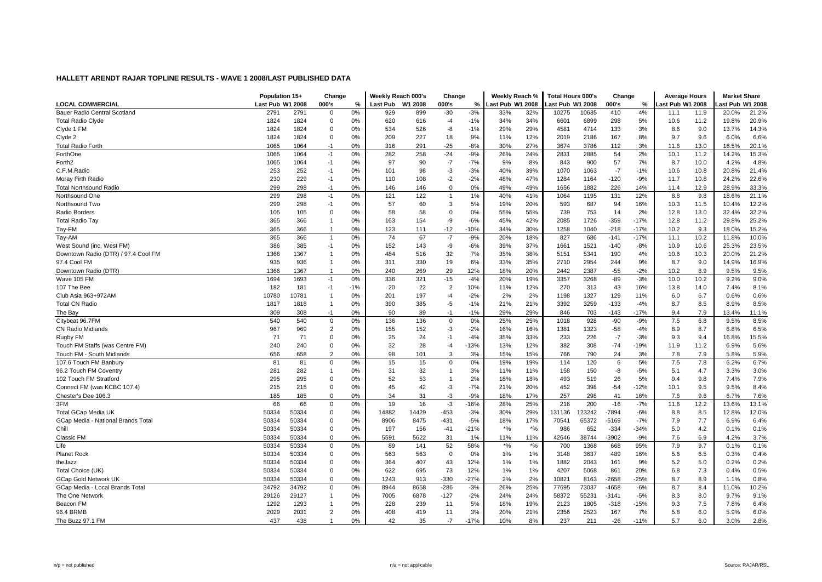|                                     | Population 15+   |       | Change         |       | Weekly Reach 000's |         | Change         |        | Weekly Reach %                 |           | <b>Total Hours 000's</b> |        | Change  |        | <b>Average Hours</b> |       | <b>Market Share</b> |       |
|-------------------------------------|------------------|-------|----------------|-------|--------------------|---------|----------------|--------|--------------------------------|-----------|--------------------------|--------|---------|--------|----------------------|-------|---------------------|-------|
| <b>LOCAL COMMERCIAL</b>             | Last Pub W1 2008 |       | 000's          | %     | Last Pub           | W1 2008 | 000's          | %      | Last Pub W1 2008               |           | Last Pub W1 2008         |        | 000's   | %      | ast Pub W1 2008      |       | ast Pub W1 2008     |       |
| Bauer Radio Central Scotland        | 2791             | 2791  | $\mathbf 0$    | 0%    | 929                | 899     | $-30$          | $-3%$  | 33%                            | 32%       | 10275                    | 10685  | 410     | 4%     | 11.1                 | 11.9  | 20.0%               | 21.2% |
| <b>Total Radio Clyde</b>            | 1824             | 1824  | 0              | 0%    | 620                | 616     | $-4$           | $-1%$  | 34%                            | 34%       | 6601                     | 6899   | 298     | 5%     | 10.6                 | 11.2  | 19.8%               | 20.9% |
| Clyde 1 FM                          | 1824             | 1824  | $\mathbf 0$    | 0%    | 534                | 526     | -8             | $-1%$  | 29%                            | 29%       | 4581                     | 4714   | 133     | 3%     | 8.6                  | 9.0   | 13.7%               | 14.3% |
| Clyde 2                             | 1824             | 1824  | $\Omega$       | 0%    | 209                | 227     | 18             | 9%     | 11%                            | 12%       | 2019                     | 2186   | 167     | 8%     | 9.7                  | 9.6   | 6.0%                | 6.6%  |
| <b>Total Radio Forth</b>            | 1065             | 1064  | $-1$           | 0%    | 316                | 291     | $-25$          | $-8%$  | 30%                            | 27%       | 3674                     | 3786   | 112     | 3%     | 11.6                 | 13.0  | 18.5%               | 20.1% |
| ForthOne                            | 1065             | 1064  | $-1$           | 0%    | 282                | 258     | $-24$          | $-9%$  | 26%                            | 24%       | 2831                     | 2885   | 54      | 2%     | 10.1                 | 11.2  | 14.2%               | 15.3% |
| Forth <sub>2</sub>                  | 1065             | 1064  | $-1$           | 0%    | 97                 | 90      | $-7$           | $-7%$  | 9%                             | 8%        | 843                      | 900    | 57      | 7%     | 8.7                  | 10.0  | 4.2%                | 4.8%  |
| C.F.M.Radio                         | 253              | 252   | $-1$           | 0%    | 101                | 98      | $-3$           | $-3%$  | 40%                            | 39%       | 1070                     | 1063   | $-7$    | $-1%$  | 10.6                 | 10.8  | 20.8%               | 21.4% |
| Moray Firth Radio                   | 230              | 229   | $-1$           | 0%    | 110                | 108     | $-2$           | $-2%$  | 48%                            | 47%       | 1284                     | 1164   | $-120$  | $-9%$  | 11.7                 | 10.8  | 24.2%               | 22.6% |
| <b>Total Northsound Radio</b>       | 299              | 298   | $-1$           | 0%    | 146                | 146     | $\Omega$       | 0%     | 49%                            | 49%       | 1656                     | 1882   | 226     | 14%    | 11.4                 | 12.9  | 28.9%               | 33.3% |
| Northsound One                      | 299              | 298   | $-1$           | 0%    | 121                | 122     | $\overline{1}$ | 1%     | 40%                            | 41%       | 1064                     | 1195   | 131     | 12%    | 8.8                  | 9.8   | 18.6%               | 21.1% |
| Northsound Two                      | 299              | 298   | $-1$           | 0%    | 57                 | 60      | 3              | 5%     | 19%                            | 20%       | 593                      | 687    | 94      | 16%    | 10.3                 | 11.5  | 10.4%               | 12.2% |
| Radio Borders                       | 105              | 105   | $\mathbf 0$    | 0%    | 58                 | 58      | $\Omega$       | 0%     | 55%                            | 55%       | 739                      | 753    | 14      | 2%     | 12.8                 | 13.0  | 32.4%               | 32.2% |
| <b>Total Radio Tay</b>              | 365              | 366   | $\overline{1}$ | 0%    | 163                | 154     | -9             | $-6%$  | 45%                            | 42%       | 2085                     | 1726   | $-359$  | $-17%$ | 12.8                 | 11.2  | 29.8%               | 25.2% |
| Tay-FM                              | 365              | 366   | $\mathbf{1}$   | 0%    | 123                | 111     | $-12$          | $-10%$ | 34%                            | 30%       | 1258                     | 1040   | $-218$  | $-17%$ | 10.2                 | 9.3   | 18.0%               | 15.2% |
| Tay-AM                              | 365              | 366   | $\mathbf{1}$   | 0%    | 74                 | 67      | $-7$           | $-9%$  | 20%                            | 18%       | 827                      | 686    | $-141$  | $-17%$ | 11.1                 | 10.2  | 11.8%               | 10.0% |
| West Sound (inc. West FM)           | 386              | 385   | $-1$           | 0%    | 152                | 143     | -9             | $-6%$  | 39%                            | 37%       | 1661                     | 1521   | $-140$  | $-8%$  | 10.9                 | 10.6  | 25.3%               | 23.5% |
| Downtown Radio (DTR) / 97.4 Cool FM | 1366             | 1367  | $\overline{1}$ | 0%    | 484                | 516     | 32             | 7%     | 35%                            | 38%       | 5151                     | 5341   | 190     | 4%     | 10.6                 | 10.3  | 20.0%               | 21.2% |
| 97.4 Cool FM                        | 935              | 936   | $\mathbf{1}$   | 0%    | 311                | 330     | 19             | 6%     | 33%                            | 35%       | 2710                     | 2954   | 244     | 9%     | 8.7                  | 9.0   | 14.9%               | 16.9% |
| Downtown Radio (DTR)                | 1366             | 1367  | -1             | 0%    | 240                | 269     | 29             | 12%    | 18%                            | 20%       | 2442                     | 2387   | $-55$   | $-2%$  | 10.2                 | 8.9   | 9.5%                | 9.5%  |
| Wave 105 FM                         | 1694             | 1693  | $-1$           | 0%    | 336                | 321     | $-15$          | $-4%$  | 20%                            | 19%       | 3357                     | 3268   | $-89$   | $-3%$  | 10.0                 | 10.2  | 9.2%                | 9.0%  |
| 107 The Bee                         | 182              | 181   | $-1$           | $-1%$ | 20                 | 22      | $\overline{2}$ | 10%    | 11%                            | 12%       | 270                      | 313    | 43      | 16%    | 13.8                 | 14.0  | 7.4%                | 8.1%  |
| Club Asia 963+972AM                 | 10780            | 10781 | $\overline{1}$ | 0%    | 201                | 197     | $-4$           | $-2%$  | 2%                             | 2%        | 1198                     | 1327   | 129     | 11%    | 6.0                  | 6.7   | 0.6%                | 0.6%  |
| <b>Total CN Radio</b>               | 1817             | 1818  | $\overline{1}$ | 0%    | 390                | 385     | $-5$           | $-1%$  | 21%                            | 21%       | 3392                     | 3259   | $-133$  | $-4%$  | 8.7                  | 8.5   | 8.9%                | 8.5%  |
| The Bay                             | 309              | 308   | $-1$           | 0%    | 90                 | 89      | $-1$           | $-1%$  | 29%                            | 29%       | 846                      | 703    | $-143$  | $-17%$ | 9.4                  | 7.9   | 13.4%               | 11.1% |
| Citybeat 96.7FM                     | 540              | 540   | 0              | 0%    | 136                | 136     | 0              | 0%     | 25%                            | 25%       | 1018                     | 928    | $-90$   | $-9%$  | 7.5                  | 6.8   | 9.5%                | 8.5%  |
| <b>CN Radio Midlands</b>            | 967              | 969   | $\overline{2}$ | 0%    | 155                | 152     | $-3$           | $-2%$  | 16%                            | 16%       | 1381                     | 1323   | $-58$   | -4%    | 8.9                  | 8.7   | 6.8%                | 6.5%  |
| Rugby FM                            | 71               | 71    | $\Omega$       | 0%    | 25                 | 24      | $-1$           | $-4%$  | 35%                            | 33%       | 233                      | 226    | $-7$    | $-3%$  | 9.3                  | 9.4   | 16.8%               | 15.5% |
| Touch FM Staffs (was Centre FM)     | 240              | 240   | $\mathbf 0$    | 0%    | 32                 | 28      | $-4$           | $-13%$ | 13%                            | 12%       | 382                      | 308    | $-74$   | $-19%$ | 11.9                 | 11.2  | 6.9%                | 5.6%  |
| Touch FM - South Midlands           | 656              | 658   | $\overline{2}$ | 0%    | 98                 | 101     | 3              | 3%     | 15%                            | 15%       | 766                      | 790    | 24      | 3%     | 7.8                  | 7.9   | 5.8%                | 5.9%  |
| 107.6 Touch FM Banbury              | 81               | 81    | $\mathbf 0$    | 0%    | 15                 | 15      | $\mathbf 0$    | 0%     | 19%                            | 19%       | 114                      | 120    | 6       | 5%     | 7.5                  | $7.8$ | 6.2%                | 6.7%  |
| 96.2 Touch FM Coventry              | 281              | 282   | $\mathbf{1}$   | 0%    | 31                 | 32      | $\overline{1}$ | 3%     | 11%                            | 11%       | 158                      | 150    | -8      | $-5%$  | 5.1                  | 4.7   | 3.3%                | 3.0%  |
| 102 Touch FM Stratford              | 295              | 295   | $\mathbf 0$    | 0%    | 52                 | 53      | $\overline{1}$ | 2%     | 18%                            | 18%       | 493                      | 519    | 26      | 5%     | 9.4                  | 9.8   | 7.4%                | 7.9%  |
| Connect FM (was KCBC 107.4)         | 215              | 215   | $\Omega$       | 0%    | 45                 | 42      | $-3$           | $-7%$  | 21%                            | 20%       | 452                      | 398    | $-54$   | $-12%$ | 10.1                 | 9.5   | 9.5%                | 8.4%  |
| Chester's Dee 106.3                 | 185              | 185   | $\Omega$       | 0%    | 34                 | 31      | $-3$           | $-9%$  | 18%                            | 17%       | 257                      | 298    | 41      | 16%    | 7.6                  | 9.6   | 6.7%                | 7.6%  |
| 3FM                                 | 66               | 66    | $\mathbf 0$    | 0%    | 19                 | 16      | $-3$           | $-16%$ | 28%                            | 25%       | 216                      | 200    | $-16$   | $-7%$  | 11.6                 | 12.2  | 13.6%               | 13.1% |
| Total GCap Media UK                 | 50334            | 50334 | $\mathbf 0$    | 0%    | 14882              | 14429   | $-453$         | $-3%$  | 30%                            | 29%       | 131136                   | 123242 | $-7894$ | $-6%$  | 8.8                  | 8.5   | 12.8%               | 12.0% |
| GCap Media - National Brands Total  | 50334            | 50334 | 0              | 0%    | 8906               | 8475    | $-431$         | $-5%$  | 18%                            | 17%       | 70541                    | 65372  | $-5169$ | $-7%$  | 7.9                  | 7.7   | 6.9%                | 6.4%  |
| Chill                               | 50334            | 50334 | 0              | 0%    | 197                | 156     | -41            | $-21%$ | $\star\mathrm{o}_{\mathrm{6}}$ | $\star$ % | 986                      | 652    | $-334$  | $-34%$ | 5.0                  | 4.2   | 0.1%                | 0.1%  |
| Classic FM                          | 50334            | 50334 | $\Omega$       | 0%    | 5591               | 5622    | 31             | 1%     | 11%                            | 11%       | 42646                    | 38744  | $-3902$ | $-9%$  | 7.6                  | 6.9   | 4.2%                | 3.7%  |
| Life                                | 50334            | 50334 | $\mathbf 0$    | 0%    | 89                 | 141     | 52             | 58%    | $*_{\%}$                       | $*$ %     | 700                      | 1368   | 668     | 95%    | 7.9                  | 9.7   | 0.1%                | 0.1%  |
| <b>Planet Rock</b>                  | 50334            | 50334 | $\mathbf 0$    | 0%    | 563                | 563     | $\Omega$       | 0%     | 1%                             | 1%        | 3148                     | 3637   | 489     | 16%    | 5.6                  | 6.5   | 0.3%                | 0.4%  |
| theJazz                             | 50334            | 50334 | $\mathbf 0$    | 0%    | 364                | 407     | 43             | 12%    | 1%                             | 1%        | 1882                     | 2043   | 161     | 9%     | 5.2                  | 5.0   | 0.2%                | 0.2%  |
| Total Choice (UK)                   | 50334            | 50334 | $\mathbf 0$    | 0%    | 622                | 695     | 73             | 12%    | 1%                             | 1%        | 4207                     | 5068   | 861     | 20%    | 6.8                  | 7.3   | 0.4%                | 0.5%  |
| <b>GCap Gold Network UK</b>         | 50334            | 50334 | $\Omega$       | 0%    | 1243               | 913     | $-330$         | $-27%$ | 2%                             | 2%        | 10821                    | 8163   | $-2658$ | $-25%$ | 8.7                  | 8.9   | 1.1%                | 0.8%  |
| GCap Media - Local Brands Total     | 34792            | 34792 | $\mathbf 0$    | 0%    | 8944               | 8658    | $-286$         | $-3%$  | 26%                            | 25%       | 77695                    | 73037  | $-4658$ | $-6%$  | 8.7                  | 8.4   | 11.0%               | 10.2% |
| The One Network                     | 29126            | 29127 | $\mathbf{1}$   | 0%    | 7005               | 6878    | $-127$         | $-2%$  | 24%                            | 24%       | 58372                    | 55231  | $-3141$ | $-5%$  | 8.3                  | 8.0   | 9.7%                | 9.1%  |
| Beacon FM                           | 1292             | 1293  | $\overline{1}$ | 0%    | 228                | 239     | 11             | 5%     | 18%                            | 19%       | 2123                     | 1805   | $-318$  | $-15%$ | 9.3                  | 7.5   | 7.8%                | 6.4%  |
| 96.4 BRMB                           | 2029             | 2031  | $\overline{2}$ | 0%    | 408                | 419     | 11             | 3%     | 20%                            | 21%       | 2356                     | 2523   | 167     | 7%     | 5.8                  | 6.0   | 5.9%                | 6.0%  |
| The Buzz 97.1 FM                    | 437              | 438   | $\mathbf{1}$   | 0%    | 42                 | 35      | $-7$           | $-17%$ | 10%                            | 8%        | 237                      | 211    | $-26$   | $-11%$ | 5.7                  | 6.0   | 3.0%                | 2.8%  |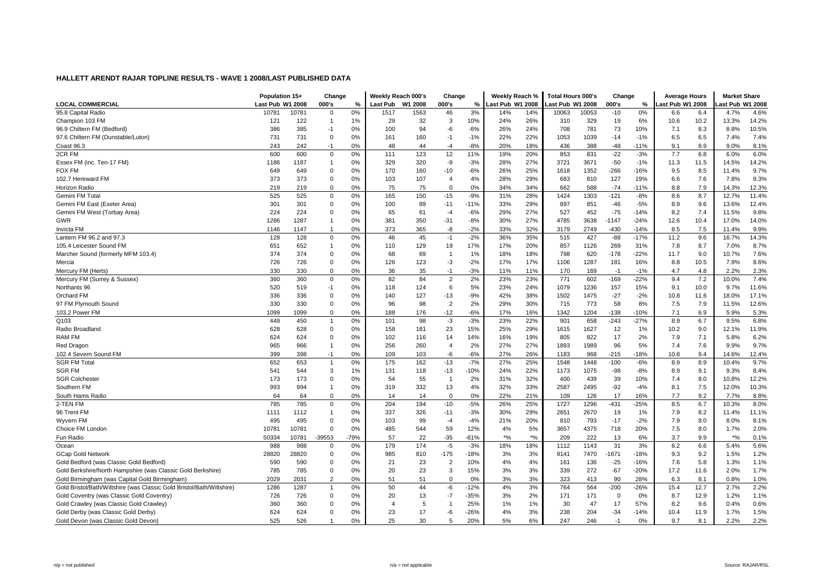| <b>LOCAL COMMERCIAL</b><br>Last Pub W1 2008<br>000's<br>000's<br>Last Pub W1 2008<br>Last Pub W1 2008<br>000's<br>ast Pub W1 2008<br>%<br><b>Last Pub</b><br>W1 2008<br>%<br>ast Pub W1 2008<br>%<br>95.8 Capital Radio<br>0%<br>3%<br>0%<br>4.6%<br>10781<br>10781<br>0<br>1517<br>1563<br>46<br>14%<br>14%<br>10063<br>10053<br>$-10$<br>6.4<br>6.6<br>4.7%<br>32<br>3<br>10%<br>24%<br>26%<br>310<br>329<br>19<br>6%<br>10.2<br>13.3%<br>14.2%<br>Champion 103 FM<br>121<br>122<br>$\mathbf{1}$<br>1%<br>29<br>10.6<br>10.5%<br>386<br>385<br>94<br>-6<br>$-6%$<br>24%<br>781<br>73<br>10%<br>8.3<br>96.9 Chiltern FM (Bedford)<br>$-1$<br>0%<br>100<br>26%<br>708<br>7.1<br>8.8%<br>731<br>731<br>0%<br>160<br>$-1%$<br>22%<br>22%<br>1053<br>1039<br>$-14$<br>$-1%$<br>6.5<br>7.4%<br>97.6 Chiltern FM (Dunstable/Luton)<br>$\Omega$<br>161<br>$-1$<br>6.5<br>7.4%<br>$-8%$<br>8.9<br>8.1%<br>Coast 96.3<br>243<br>242<br>$-1$<br>0%<br>48<br>44<br>$-4$<br>20%<br>18%<br>436<br>388<br>$-48$<br>$-11%$<br>9.1<br>9.0%<br>2CR FM<br>600<br>600<br>0%<br>123<br>11%<br>20%<br>853<br>831<br>$-22$<br>$-3%$<br>7.7<br>6.8<br>6.0%<br>$\Omega$<br>111<br>12<br>19%<br>6.0%<br>27%<br>3671<br>14.2%<br>1186<br>1187<br>0%<br>329<br>320<br>-9<br>$-3%$<br>28%<br>3721<br>$-50$<br>$-1%$<br>11.3<br>11.5<br>14.5%<br>Essex FM (inc. Ten-17 FM)<br>$\mathbf{1}$<br>9.7%<br><b>FOX FM</b><br>649<br>649<br>$\mathbf 0$<br>0%<br>170<br>160<br>$-10$<br>$-6%$<br>26%<br>25%<br>1352<br>$-266$<br>$-16%$<br>8.5<br>11.4%<br>1618<br>9.5<br>9.3%<br>373<br>373<br>0%<br>107<br>4%<br>28%<br>29%<br>683<br>810<br>127<br>19%<br>7.6<br>7.8%<br>102.7 Hereward FM<br>0<br>103<br>$\overline{4}$<br>6.6<br>7.9<br>$\Omega$<br>75<br>75<br>0%<br>34%<br>34%<br>$-74$<br><b>Horizon Radio</b><br>219<br>219<br>0%<br>$\Omega$<br>662<br>588<br>$-11%$<br>8.8<br>14.3%<br>12.3%<br>11.4%<br>Gemini FM Total<br>525<br>525<br>$\Omega$<br>0%<br>165<br>150<br>$-15$<br>$-9%$<br>31%<br>28%<br>1424<br>1303<br>$-121$<br>$-8%$<br>8.6<br>8.7<br>12.7%<br>12.4%<br>Gemini FM East (Exeter Area)<br>301<br>301<br>$\mathbf 0$<br>0%<br>100<br>89<br>$-11$<br>$-11%$<br>33%<br>29%<br>897<br>851<br>$-46$<br>$-5%$<br>8.9<br>9.6<br>13.6%<br>$-75$<br>7.4<br>9.8%<br>Gemini FM West (Torbay Area)<br>224<br>224<br>$\Omega$<br>0%<br>65<br>61<br>$-4$<br>$-6%$<br>29%<br>27%<br>527<br>452<br>$-14%$<br>8.2<br>11.5%<br>1287<br>14.0%<br>1286<br>0%<br>381<br>350<br>$-31$<br>$-8%$<br>30%<br>27%<br>4785<br>3638<br>$-1147$<br>$-24%$<br>12.6<br>10.4<br>17.0%<br>GWR<br>1147<br>0%<br>373<br>365<br>-8<br>$-2%$<br>33%<br>32%<br>3179<br>2749<br>$-430$<br>$-14%$<br>8.5<br>7.5<br>9.9%<br><b>Invicta FM</b><br>1146<br>$\mathbf{1}$<br>11.4%<br>$-2%$<br>$-88$<br>14.3%<br>Lantern FM 96.2 and 97.3<br>128<br>128<br>$\mathbf 0$<br>0%<br>46<br>45<br>$-1$<br>36%<br>35%<br>515<br>427<br>$-17%$<br>11.2<br>9.6<br>16.7%<br>17%<br>8.7<br>8.7%<br>105.4 Leicester Sound FM<br>651<br>652<br>$\mathbf{1}$<br>0%<br>110<br>129<br>19<br>17%<br>20%<br>857<br>1126<br>269<br>31%<br>7.8<br>7.0%<br>374<br>374<br>69<br>18%<br>18%<br>798<br>620<br>$-178$<br>$-22%$<br>9.0<br>7.6%<br>$\mathbf 0$<br>0%<br>68<br>1%<br>11.7<br>10.7%<br>Marcher Sound (formerly MFM 103.4)<br>$\overline{1}$<br>8.6%<br>726<br>726<br>$\mathbf 0$<br>0%<br>126<br>123<br>$-3$<br>$-2%$<br>17%<br>17%<br>1106<br>1287<br>181<br>16%<br>8.8<br>10.5<br>7.9%<br>Mercia<br>330<br>330<br>$\Omega$<br>0%<br>35<br>$-3%$<br>11%<br>11%<br>$-1%$<br>4.8<br>2.2%<br>2.3%<br>Mercury FM (Herts)<br>36<br>$-1$<br>170<br>169<br>$-1$<br>4.7<br>7.2<br>7.4%<br>360<br>360<br>$\mathbf 0$<br>0%<br>82<br>84<br>$\overline{2}$<br>2%<br>23%<br>23%<br>771<br>$-169$<br>$-22%$<br>10.0%<br>Mercury FM (Surrey & Sussex)<br>602<br>9.4<br>520<br>$-1$<br>0%<br>6<br>5%<br>23%<br>24%<br>1079<br>1236<br>157<br>15%<br>10.0<br>9.7%<br>11.6%<br>519<br>118<br>124<br>9.1<br>Northants 96<br>38%<br>$-27$<br>17.1%<br>Orchard FM<br>336<br>336<br>$\mathbf 0$<br>0%<br>140<br>127<br>$-13$<br>$-9%$<br>42%<br>1502<br>1475<br>$-2%$<br>10.8<br>11.6<br>18.0%<br>98<br>$\overline{2}$<br>7.9<br>12.6%<br>97 FM Plymouth Sound<br>330<br>330<br>$\mathbf 0$<br>0%<br>96<br>2%<br>29%<br>30%<br>715<br>773<br>58<br>8%<br>7.5<br>11.5%<br>5.3%<br>103.2 Power FM<br>1099<br>$\Omega$<br>0%<br>$-12$<br>$-6%$<br>17%<br>16%<br>1342<br>$-138$<br>$-10%$<br>7.1<br>6.9<br>1099<br>188<br>176<br>1204<br>5.9%<br>Q103<br>$-3%$<br>23%<br>$-27%$<br>6.8%<br>449<br>450<br>0%<br>101<br>98<br>$-3$<br>22%<br>901<br>658<br>-243<br>8.9<br>6.7<br>9.5%<br>$\mathbf{1}$<br>628<br>$\mathbf 0$<br>23<br>15%<br>25%<br>29%<br>1627<br>12<br>9.0<br>11.9%<br>Radio Broadland<br>628<br>0%<br>158<br>181<br>1615<br>1%<br>10.2<br>12.1%<br>6.2%<br>822<br>17<br>7.9<br>7.1<br>RAM FM<br>624<br>624<br>$\Omega$<br>0%<br>102<br>116<br>14<br>14%<br>16%<br>19%<br>805<br>2%<br>5.8%<br>0%<br>260<br>2%<br>27%<br>27%<br>1893<br>1989<br>96<br>5%<br>7.6<br>9.9%<br>9.7%<br>Red Dragon<br>965<br>966<br>$\mathbf{1}$<br>256<br>$\overline{4}$<br>7.4<br>102.4 Severn Sound FM<br>399<br>398<br>$-1$<br>0%<br>109<br>103<br>-6<br>$-6%$<br>27%<br>26%<br>1183<br>968<br>$-215$<br>$-18%$<br>10.8<br>9.4<br>14.6%<br>12.4%<br><b>SGR FM Total</b><br>652<br>$-7%$<br>25%<br>8.9<br>9.7%<br>653<br>0%<br>175<br>162<br>$-13$<br>27%<br>1548<br>$-100$<br>$-6%$<br>8.9<br>10.4%<br>$\mathbf{1}$<br>1448<br>8.4%<br><b>SGR FM</b><br>541<br>3<br>118<br>$-13$<br>22%<br>$-98$<br>$-8%$<br>9.1<br>544<br>1%<br>131<br>-10%<br>24%<br>1173<br>1075<br>8.9<br>9.3%<br><b>SGR Colchester</b><br>173<br>173<br>$\mathbf 0$<br>0%<br>54<br>55<br>2%<br>31%<br>32%<br>400<br>439<br>39<br>10%<br>8.0<br>10.8%<br>12.2%<br>$\overline{1}$<br>7.4<br>10.3%<br>993<br>994<br>13<br>32%<br>33%<br>2495<br>$-92$<br>$-4%$<br>7.5<br>Southern FM<br>$\mathbf{1}$<br>0%<br>319<br>332<br>4%<br>2587<br>8.1<br>12.0%<br>8.8%<br>South Hams Radio<br>64<br>64<br>$\Omega$<br>0%<br>14<br>14<br>$\Omega$<br>0%<br>22%<br>21%<br>109<br>126<br>17<br>16%<br>7.7<br>9.2<br>7.7%<br>$-5%$<br>25%<br>2-TEN FM<br>785<br>785<br>$\mathbf 0$<br>0%<br>204<br>194<br>$-10$<br>26%<br>1727<br>1296<br>$-431$<br>$-25%$<br>8.5<br>6.7<br>10.3%<br>8.0%<br>1112<br>0%<br>337<br>326<br>$-11$<br>$-3%$<br>30%<br>29%<br>2651<br>2670<br>19<br>1%<br>7.9<br>8.2<br>11.4%<br>11.1%<br>96 Trent FM<br>1111<br>$\mathbf{1}$<br>495<br>495<br>99<br>$-4%$<br>21%<br>20%<br>810<br>793<br>$-17$<br>$-2%$<br>7.9<br>8.0<br>8.1%<br>Wyvern FM<br>0<br>0%<br>103<br>$-4$<br>8.0% |
|-----------------------------------------------------------------------------------------------------------------------------------------------------------------------------------------------------------------------------------------------------------------------------------------------------------------------------------------------------------------------------------------------------------------------------------------------------------------------------------------------------------------------------------------------------------------------------------------------------------------------------------------------------------------------------------------------------------------------------------------------------------------------------------------------------------------------------------------------------------------------------------------------------------------------------------------------------------------------------------------------------------------------------------------------------------------------------------------------------------------------------------------------------------------------------------------------------------------------------------------------------------------------------------------------------------------------------------------------------------------------------------------------------------------------------------------------------------------------------------------------------------------------------------------------------------------------------------------------------------------------------------------------------------------------------------------------------------------------------------------------------------------------------------------------------------------------------------------------------------------------------------------------------------------------------------------------------------------------------------------------------------------------------------------------------------------------------------------------------------------------------------------------------------------------------------------------------------------------------------------------------------------------------------------------------------------------------------------------------------------------------------------------------------------------------------------------------------------------------------------------------------------------------------------------------------------------------------------------------------------------------------------------------------------------------------------------------------------------------------------------------------------------------------------------------------------------------------------------------------------------------------------------------------------------------------------------------------------------------------------------------------------------------------------------------------------------------------------------------------------------------------------------------------------------------------------------------------------------------------------------------------------------------------------------------------------------------------------------------------------------------------------------------------------------------------------------------------------------------------------------------------------------------------------------------------------------------------------------------------------------------------------------------------------------------------------------------------------------------------------------------------------------------------------------------------------------------------------------------------------------------------------------------------------------------------------------------------------------------------------------------------------------------------------------------------------------------------------------------------------------------------------------------------------------------------------------------------------------------------------------------------------------------------------------------------------------------------------------------------------------------------------------------------------------------------------------------------------------------------------------------------------------------------------------------------------------------------------------------------------------------------------------------------------------------------------------------------------------------------------------------------------------------------------------------------------------------------------------------------------------------------------------------------------------------------------------------------------------------------------------------------------------------------------------------------------------------------------------------------------------------------------------------------------------------------------------------------------------------------------------------------------------------------------------------------------------------------------------------------------------------------------------------------------------------------------------------------------------------------------------------------------------------------------------------------------------------------------------------------------------------------------------------------------------------------------------------------------------------------------------------------------------------------------------------------------------------------------------------------------------------------------------------------------------------------------------------------------------------------------------------------------------------------------------------------------------------------------------------------------------------------------------------------------------------------------------------------------------------------------------------------------------------------------------------------------------------------------------------------------------------------------------------------------------------------------------------------------------------------------------------------------------------------------------------------------------|
|                                                                                                                                                                                                                                                                                                                                                                                                                                                                                                                                                                                                                                                                                                                                                                                                                                                                                                                                                                                                                                                                                                                                                                                                                                                                                                                                                                                                                                                                                                                                                                                                                                                                                                                                                                                                                                                                                                                                                                                                                                                                                                                                                                                                                                                                                                                                                                                                                                                                                                                                                                                                                                                                                                                                                                                                                                                                                                                                                                                                                                                                                                                                                                                                                                                                                                                                                                                                                                                                                                                                                                                                                                                                                                                                                                                                                                                                                                                                                                                                                                                                                                                                                                                                                                                                                                                                                                                                                                                                                                                                                                                                                                                                                                                                                                                                                                                                                                                                                                                                                                                                                                                                                                                                                                                                                                                                                                                                                                                                                                                                                                                                                                                                                                                                                                                                                                                                                                                                                                                                                                                                                                                                                                                                                                                                                                                                                                                                                                                                                                                                                                       |
|                                                                                                                                                                                                                                                                                                                                                                                                                                                                                                                                                                                                                                                                                                                                                                                                                                                                                                                                                                                                                                                                                                                                                                                                                                                                                                                                                                                                                                                                                                                                                                                                                                                                                                                                                                                                                                                                                                                                                                                                                                                                                                                                                                                                                                                                                                                                                                                                                                                                                                                                                                                                                                                                                                                                                                                                                                                                                                                                                                                                                                                                                                                                                                                                                                                                                                                                                                                                                                                                                                                                                                                                                                                                                                                                                                                                                                                                                                                                                                                                                                                                                                                                                                                                                                                                                                                                                                                                                                                                                                                                                                                                                                                                                                                                                                                                                                                                                                                                                                                                                                                                                                                                                                                                                                                                                                                                                                                                                                                                                                                                                                                                                                                                                                                                                                                                                                                                                                                                                                                                                                                                                                                                                                                                                                                                                                                                                                                                                                                                                                                                                                       |
|                                                                                                                                                                                                                                                                                                                                                                                                                                                                                                                                                                                                                                                                                                                                                                                                                                                                                                                                                                                                                                                                                                                                                                                                                                                                                                                                                                                                                                                                                                                                                                                                                                                                                                                                                                                                                                                                                                                                                                                                                                                                                                                                                                                                                                                                                                                                                                                                                                                                                                                                                                                                                                                                                                                                                                                                                                                                                                                                                                                                                                                                                                                                                                                                                                                                                                                                                                                                                                                                                                                                                                                                                                                                                                                                                                                                                                                                                                                                                                                                                                                                                                                                                                                                                                                                                                                                                                                                                                                                                                                                                                                                                                                                                                                                                                                                                                                                                                                                                                                                                                                                                                                                                                                                                                                                                                                                                                                                                                                                                                                                                                                                                                                                                                                                                                                                                                                                                                                                                                                                                                                                                                                                                                                                                                                                                                                                                                                                                                                                                                                                                                       |
|                                                                                                                                                                                                                                                                                                                                                                                                                                                                                                                                                                                                                                                                                                                                                                                                                                                                                                                                                                                                                                                                                                                                                                                                                                                                                                                                                                                                                                                                                                                                                                                                                                                                                                                                                                                                                                                                                                                                                                                                                                                                                                                                                                                                                                                                                                                                                                                                                                                                                                                                                                                                                                                                                                                                                                                                                                                                                                                                                                                                                                                                                                                                                                                                                                                                                                                                                                                                                                                                                                                                                                                                                                                                                                                                                                                                                                                                                                                                                                                                                                                                                                                                                                                                                                                                                                                                                                                                                                                                                                                                                                                                                                                                                                                                                                                                                                                                                                                                                                                                                                                                                                                                                                                                                                                                                                                                                                                                                                                                                                                                                                                                                                                                                                                                                                                                                                                                                                                                                                                                                                                                                                                                                                                                                                                                                                                                                                                                                                                                                                                                                                       |
|                                                                                                                                                                                                                                                                                                                                                                                                                                                                                                                                                                                                                                                                                                                                                                                                                                                                                                                                                                                                                                                                                                                                                                                                                                                                                                                                                                                                                                                                                                                                                                                                                                                                                                                                                                                                                                                                                                                                                                                                                                                                                                                                                                                                                                                                                                                                                                                                                                                                                                                                                                                                                                                                                                                                                                                                                                                                                                                                                                                                                                                                                                                                                                                                                                                                                                                                                                                                                                                                                                                                                                                                                                                                                                                                                                                                                                                                                                                                                                                                                                                                                                                                                                                                                                                                                                                                                                                                                                                                                                                                                                                                                                                                                                                                                                                                                                                                                                                                                                                                                                                                                                                                                                                                                                                                                                                                                                                                                                                                                                                                                                                                                                                                                                                                                                                                                                                                                                                                                                                                                                                                                                                                                                                                                                                                                                                                                                                                                                                                                                                                                                       |
|                                                                                                                                                                                                                                                                                                                                                                                                                                                                                                                                                                                                                                                                                                                                                                                                                                                                                                                                                                                                                                                                                                                                                                                                                                                                                                                                                                                                                                                                                                                                                                                                                                                                                                                                                                                                                                                                                                                                                                                                                                                                                                                                                                                                                                                                                                                                                                                                                                                                                                                                                                                                                                                                                                                                                                                                                                                                                                                                                                                                                                                                                                                                                                                                                                                                                                                                                                                                                                                                                                                                                                                                                                                                                                                                                                                                                                                                                                                                                                                                                                                                                                                                                                                                                                                                                                                                                                                                                                                                                                                                                                                                                                                                                                                                                                                                                                                                                                                                                                                                                                                                                                                                                                                                                                                                                                                                                                                                                                                                                                                                                                                                                                                                                                                                                                                                                                                                                                                                                                                                                                                                                                                                                                                                                                                                                                                                                                                                                                                                                                                                                                       |
|                                                                                                                                                                                                                                                                                                                                                                                                                                                                                                                                                                                                                                                                                                                                                                                                                                                                                                                                                                                                                                                                                                                                                                                                                                                                                                                                                                                                                                                                                                                                                                                                                                                                                                                                                                                                                                                                                                                                                                                                                                                                                                                                                                                                                                                                                                                                                                                                                                                                                                                                                                                                                                                                                                                                                                                                                                                                                                                                                                                                                                                                                                                                                                                                                                                                                                                                                                                                                                                                                                                                                                                                                                                                                                                                                                                                                                                                                                                                                                                                                                                                                                                                                                                                                                                                                                                                                                                                                                                                                                                                                                                                                                                                                                                                                                                                                                                                                                                                                                                                                                                                                                                                                                                                                                                                                                                                                                                                                                                                                                                                                                                                                                                                                                                                                                                                                                                                                                                                                                                                                                                                                                                                                                                                                                                                                                                                                                                                                                                                                                                                                                       |
|                                                                                                                                                                                                                                                                                                                                                                                                                                                                                                                                                                                                                                                                                                                                                                                                                                                                                                                                                                                                                                                                                                                                                                                                                                                                                                                                                                                                                                                                                                                                                                                                                                                                                                                                                                                                                                                                                                                                                                                                                                                                                                                                                                                                                                                                                                                                                                                                                                                                                                                                                                                                                                                                                                                                                                                                                                                                                                                                                                                                                                                                                                                                                                                                                                                                                                                                                                                                                                                                                                                                                                                                                                                                                                                                                                                                                                                                                                                                                                                                                                                                                                                                                                                                                                                                                                                                                                                                                                                                                                                                                                                                                                                                                                                                                                                                                                                                                                                                                                                                                                                                                                                                                                                                                                                                                                                                                                                                                                                                                                                                                                                                                                                                                                                                                                                                                                                                                                                                                                                                                                                                                                                                                                                                                                                                                                                                                                                                                                                                                                                                                                       |
|                                                                                                                                                                                                                                                                                                                                                                                                                                                                                                                                                                                                                                                                                                                                                                                                                                                                                                                                                                                                                                                                                                                                                                                                                                                                                                                                                                                                                                                                                                                                                                                                                                                                                                                                                                                                                                                                                                                                                                                                                                                                                                                                                                                                                                                                                                                                                                                                                                                                                                                                                                                                                                                                                                                                                                                                                                                                                                                                                                                                                                                                                                                                                                                                                                                                                                                                                                                                                                                                                                                                                                                                                                                                                                                                                                                                                                                                                                                                                                                                                                                                                                                                                                                                                                                                                                                                                                                                                                                                                                                                                                                                                                                                                                                                                                                                                                                                                                                                                                                                                                                                                                                                                                                                                                                                                                                                                                                                                                                                                                                                                                                                                                                                                                                                                                                                                                                                                                                                                                                                                                                                                                                                                                                                                                                                                                                                                                                                                                                                                                                                                                       |
|                                                                                                                                                                                                                                                                                                                                                                                                                                                                                                                                                                                                                                                                                                                                                                                                                                                                                                                                                                                                                                                                                                                                                                                                                                                                                                                                                                                                                                                                                                                                                                                                                                                                                                                                                                                                                                                                                                                                                                                                                                                                                                                                                                                                                                                                                                                                                                                                                                                                                                                                                                                                                                                                                                                                                                                                                                                                                                                                                                                                                                                                                                                                                                                                                                                                                                                                                                                                                                                                                                                                                                                                                                                                                                                                                                                                                                                                                                                                                                                                                                                                                                                                                                                                                                                                                                                                                                                                                                                                                                                                                                                                                                                                                                                                                                                                                                                                                                                                                                                                                                                                                                                                                                                                                                                                                                                                                                                                                                                                                                                                                                                                                                                                                                                                                                                                                                                                                                                                                                                                                                                                                                                                                                                                                                                                                                                                                                                                                                                                                                                                                                       |
|                                                                                                                                                                                                                                                                                                                                                                                                                                                                                                                                                                                                                                                                                                                                                                                                                                                                                                                                                                                                                                                                                                                                                                                                                                                                                                                                                                                                                                                                                                                                                                                                                                                                                                                                                                                                                                                                                                                                                                                                                                                                                                                                                                                                                                                                                                                                                                                                                                                                                                                                                                                                                                                                                                                                                                                                                                                                                                                                                                                                                                                                                                                                                                                                                                                                                                                                                                                                                                                                                                                                                                                                                                                                                                                                                                                                                                                                                                                                                                                                                                                                                                                                                                                                                                                                                                                                                                                                                                                                                                                                                                                                                                                                                                                                                                                                                                                                                                                                                                                                                                                                                                                                                                                                                                                                                                                                                                                                                                                                                                                                                                                                                                                                                                                                                                                                                                                                                                                                                                                                                                                                                                                                                                                                                                                                                                                                                                                                                                                                                                                                                                       |
|                                                                                                                                                                                                                                                                                                                                                                                                                                                                                                                                                                                                                                                                                                                                                                                                                                                                                                                                                                                                                                                                                                                                                                                                                                                                                                                                                                                                                                                                                                                                                                                                                                                                                                                                                                                                                                                                                                                                                                                                                                                                                                                                                                                                                                                                                                                                                                                                                                                                                                                                                                                                                                                                                                                                                                                                                                                                                                                                                                                                                                                                                                                                                                                                                                                                                                                                                                                                                                                                                                                                                                                                                                                                                                                                                                                                                                                                                                                                                                                                                                                                                                                                                                                                                                                                                                                                                                                                                                                                                                                                                                                                                                                                                                                                                                                                                                                                                                                                                                                                                                                                                                                                                                                                                                                                                                                                                                                                                                                                                                                                                                                                                                                                                                                                                                                                                                                                                                                                                                                                                                                                                                                                                                                                                                                                                                                                                                                                                                                                                                                                                                       |
|                                                                                                                                                                                                                                                                                                                                                                                                                                                                                                                                                                                                                                                                                                                                                                                                                                                                                                                                                                                                                                                                                                                                                                                                                                                                                                                                                                                                                                                                                                                                                                                                                                                                                                                                                                                                                                                                                                                                                                                                                                                                                                                                                                                                                                                                                                                                                                                                                                                                                                                                                                                                                                                                                                                                                                                                                                                                                                                                                                                                                                                                                                                                                                                                                                                                                                                                                                                                                                                                                                                                                                                                                                                                                                                                                                                                                                                                                                                                                                                                                                                                                                                                                                                                                                                                                                                                                                                                                                                                                                                                                                                                                                                                                                                                                                                                                                                                                                                                                                                                                                                                                                                                                                                                                                                                                                                                                                                                                                                                                                                                                                                                                                                                                                                                                                                                                                                                                                                                                                                                                                                                                                                                                                                                                                                                                                                                                                                                                                                                                                                                                                       |
|                                                                                                                                                                                                                                                                                                                                                                                                                                                                                                                                                                                                                                                                                                                                                                                                                                                                                                                                                                                                                                                                                                                                                                                                                                                                                                                                                                                                                                                                                                                                                                                                                                                                                                                                                                                                                                                                                                                                                                                                                                                                                                                                                                                                                                                                                                                                                                                                                                                                                                                                                                                                                                                                                                                                                                                                                                                                                                                                                                                                                                                                                                                                                                                                                                                                                                                                                                                                                                                                                                                                                                                                                                                                                                                                                                                                                                                                                                                                                                                                                                                                                                                                                                                                                                                                                                                                                                                                                                                                                                                                                                                                                                                                                                                                                                                                                                                                                                                                                                                                                                                                                                                                                                                                                                                                                                                                                                                                                                                                                                                                                                                                                                                                                                                                                                                                                                                                                                                                                                                                                                                                                                                                                                                                                                                                                                                                                                                                                                                                                                                                                                       |
|                                                                                                                                                                                                                                                                                                                                                                                                                                                                                                                                                                                                                                                                                                                                                                                                                                                                                                                                                                                                                                                                                                                                                                                                                                                                                                                                                                                                                                                                                                                                                                                                                                                                                                                                                                                                                                                                                                                                                                                                                                                                                                                                                                                                                                                                                                                                                                                                                                                                                                                                                                                                                                                                                                                                                                                                                                                                                                                                                                                                                                                                                                                                                                                                                                                                                                                                                                                                                                                                                                                                                                                                                                                                                                                                                                                                                                                                                                                                                                                                                                                                                                                                                                                                                                                                                                                                                                                                                                                                                                                                                                                                                                                                                                                                                                                                                                                                                                                                                                                                                                                                                                                                                                                                                                                                                                                                                                                                                                                                                                                                                                                                                                                                                                                                                                                                                                                                                                                                                                                                                                                                                                                                                                                                                                                                                                                                                                                                                                                                                                                                                                       |
|                                                                                                                                                                                                                                                                                                                                                                                                                                                                                                                                                                                                                                                                                                                                                                                                                                                                                                                                                                                                                                                                                                                                                                                                                                                                                                                                                                                                                                                                                                                                                                                                                                                                                                                                                                                                                                                                                                                                                                                                                                                                                                                                                                                                                                                                                                                                                                                                                                                                                                                                                                                                                                                                                                                                                                                                                                                                                                                                                                                                                                                                                                                                                                                                                                                                                                                                                                                                                                                                                                                                                                                                                                                                                                                                                                                                                                                                                                                                                                                                                                                                                                                                                                                                                                                                                                                                                                                                                                                                                                                                                                                                                                                                                                                                                                                                                                                                                                                                                                                                                                                                                                                                                                                                                                                                                                                                                                                                                                                                                                                                                                                                                                                                                                                                                                                                                                                                                                                                                                                                                                                                                                                                                                                                                                                                                                                                                                                                                                                                                                                                                                       |
|                                                                                                                                                                                                                                                                                                                                                                                                                                                                                                                                                                                                                                                                                                                                                                                                                                                                                                                                                                                                                                                                                                                                                                                                                                                                                                                                                                                                                                                                                                                                                                                                                                                                                                                                                                                                                                                                                                                                                                                                                                                                                                                                                                                                                                                                                                                                                                                                                                                                                                                                                                                                                                                                                                                                                                                                                                                                                                                                                                                                                                                                                                                                                                                                                                                                                                                                                                                                                                                                                                                                                                                                                                                                                                                                                                                                                                                                                                                                                                                                                                                                                                                                                                                                                                                                                                                                                                                                                                                                                                                                                                                                                                                                                                                                                                                                                                                                                                                                                                                                                                                                                                                                                                                                                                                                                                                                                                                                                                                                                                                                                                                                                                                                                                                                                                                                                                                                                                                                                                                                                                                                                                                                                                                                                                                                                                                                                                                                                                                                                                                                                                       |
|                                                                                                                                                                                                                                                                                                                                                                                                                                                                                                                                                                                                                                                                                                                                                                                                                                                                                                                                                                                                                                                                                                                                                                                                                                                                                                                                                                                                                                                                                                                                                                                                                                                                                                                                                                                                                                                                                                                                                                                                                                                                                                                                                                                                                                                                                                                                                                                                                                                                                                                                                                                                                                                                                                                                                                                                                                                                                                                                                                                                                                                                                                                                                                                                                                                                                                                                                                                                                                                                                                                                                                                                                                                                                                                                                                                                                                                                                                                                                                                                                                                                                                                                                                                                                                                                                                                                                                                                                                                                                                                                                                                                                                                                                                                                                                                                                                                                                                                                                                                                                                                                                                                                                                                                                                                                                                                                                                                                                                                                                                                                                                                                                                                                                                                                                                                                                                                                                                                                                                                                                                                                                                                                                                                                                                                                                                                                                                                                                                                                                                                                                                       |
|                                                                                                                                                                                                                                                                                                                                                                                                                                                                                                                                                                                                                                                                                                                                                                                                                                                                                                                                                                                                                                                                                                                                                                                                                                                                                                                                                                                                                                                                                                                                                                                                                                                                                                                                                                                                                                                                                                                                                                                                                                                                                                                                                                                                                                                                                                                                                                                                                                                                                                                                                                                                                                                                                                                                                                                                                                                                                                                                                                                                                                                                                                                                                                                                                                                                                                                                                                                                                                                                                                                                                                                                                                                                                                                                                                                                                                                                                                                                                                                                                                                                                                                                                                                                                                                                                                                                                                                                                                                                                                                                                                                                                                                                                                                                                                                                                                                                                                                                                                                                                                                                                                                                                                                                                                                                                                                                                                                                                                                                                                                                                                                                                                                                                                                                                                                                                                                                                                                                                                                                                                                                                                                                                                                                                                                                                                                                                                                                                                                                                                                                                                       |
|                                                                                                                                                                                                                                                                                                                                                                                                                                                                                                                                                                                                                                                                                                                                                                                                                                                                                                                                                                                                                                                                                                                                                                                                                                                                                                                                                                                                                                                                                                                                                                                                                                                                                                                                                                                                                                                                                                                                                                                                                                                                                                                                                                                                                                                                                                                                                                                                                                                                                                                                                                                                                                                                                                                                                                                                                                                                                                                                                                                                                                                                                                                                                                                                                                                                                                                                                                                                                                                                                                                                                                                                                                                                                                                                                                                                                                                                                                                                                                                                                                                                                                                                                                                                                                                                                                                                                                                                                                                                                                                                                                                                                                                                                                                                                                                                                                                                                                                                                                                                                                                                                                                                                                                                                                                                                                                                                                                                                                                                                                                                                                                                                                                                                                                                                                                                                                                                                                                                                                                                                                                                                                                                                                                                                                                                                                                                                                                                                                                                                                                                                                       |
|                                                                                                                                                                                                                                                                                                                                                                                                                                                                                                                                                                                                                                                                                                                                                                                                                                                                                                                                                                                                                                                                                                                                                                                                                                                                                                                                                                                                                                                                                                                                                                                                                                                                                                                                                                                                                                                                                                                                                                                                                                                                                                                                                                                                                                                                                                                                                                                                                                                                                                                                                                                                                                                                                                                                                                                                                                                                                                                                                                                                                                                                                                                                                                                                                                                                                                                                                                                                                                                                                                                                                                                                                                                                                                                                                                                                                                                                                                                                                                                                                                                                                                                                                                                                                                                                                                                                                                                                                                                                                                                                                                                                                                                                                                                                                                                                                                                                                                                                                                                                                                                                                                                                                                                                                                                                                                                                                                                                                                                                                                                                                                                                                                                                                                                                                                                                                                                                                                                                                                                                                                                                                                                                                                                                                                                                                                                                                                                                                                                                                                                                                                       |
|                                                                                                                                                                                                                                                                                                                                                                                                                                                                                                                                                                                                                                                                                                                                                                                                                                                                                                                                                                                                                                                                                                                                                                                                                                                                                                                                                                                                                                                                                                                                                                                                                                                                                                                                                                                                                                                                                                                                                                                                                                                                                                                                                                                                                                                                                                                                                                                                                                                                                                                                                                                                                                                                                                                                                                                                                                                                                                                                                                                                                                                                                                                                                                                                                                                                                                                                                                                                                                                                                                                                                                                                                                                                                                                                                                                                                                                                                                                                                                                                                                                                                                                                                                                                                                                                                                                                                                                                                                                                                                                                                                                                                                                                                                                                                                                                                                                                                                                                                                                                                                                                                                                                                                                                                                                                                                                                                                                                                                                                                                                                                                                                                                                                                                                                                                                                                                                                                                                                                                                                                                                                                                                                                                                                                                                                                                                                                                                                                                                                                                                                                                       |
|                                                                                                                                                                                                                                                                                                                                                                                                                                                                                                                                                                                                                                                                                                                                                                                                                                                                                                                                                                                                                                                                                                                                                                                                                                                                                                                                                                                                                                                                                                                                                                                                                                                                                                                                                                                                                                                                                                                                                                                                                                                                                                                                                                                                                                                                                                                                                                                                                                                                                                                                                                                                                                                                                                                                                                                                                                                                                                                                                                                                                                                                                                                                                                                                                                                                                                                                                                                                                                                                                                                                                                                                                                                                                                                                                                                                                                                                                                                                                                                                                                                                                                                                                                                                                                                                                                                                                                                                                                                                                                                                                                                                                                                                                                                                                                                                                                                                                                                                                                                                                                                                                                                                                                                                                                                                                                                                                                                                                                                                                                                                                                                                                                                                                                                                                                                                                                                                                                                                                                                                                                                                                                                                                                                                                                                                                                                                                                                                                                                                                                                                                                       |
|                                                                                                                                                                                                                                                                                                                                                                                                                                                                                                                                                                                                                                                                                                                                                                                                                                                                                                                                                                                                                                                                                                                                                                                                                                                                                                                                                                                                                                                                                                                                                                                                                                                                                                                                                                                                                                                                                                                                                                                                                                                                                                                                                                                                                                                                                                                                                                                                                                                                                                                                                                                                                                                                                                                                                                                                                                                                                                                                                                                                                                                                                                                                                                                                                                                                                                                                                                                                                                                                                                                                                                                                                                                                                                                                                                                                                                                                                                                                                                                                                                                                                                                                                                                                                                                                                                                                                                                                                                                                                                                                                                                                                                                                                                                                                                                                                                                                                                                                                                                                                                                                                                                                                                                                                                                                                                                                                                                                                                                                                                                                                                                                                                                                                                                                                                                                                                                                                                                                                                                                                                                                                                                                                                                                                                                                                                                                                                                                                                                                                                                                                                       |
|                                                                                                                                                                                                                                                                                                                                                                                                                                                                                                                                                                                                                                                                                                                                                                                                                                                                                                                                                                                                                                                                                                                                                                                                                                                                                                                                                                                                                                                                                                                                                                                                                                                                                                                                                                                                                                                                                                                                                                                                                                                                                                                                                                                                                                                                                                                                                                                                                                                                                                                                                                                                                                                                                                                                                                                                                                                                                                                                                                                                                                                                                                                                                                                                                                                                                                                                                                                                                                                                                                                                                                                                                                                                                                                                                                                                                                                                                                                                                                                                                                                                                                                                                                                                                                                                                                                                                                                                                                                                                                                                                                                                                                                                                                                                                                                                                                                                                                                                                                                                                                                                                                                                                                                                                                                                                                                                                                                                                                                                                                                                                                                                                                                                                                                                                                                                                                                                                                                                                                                                                                                                                                                                                                                                                                                                                                                                                                                                                                                                                                                                                                       |
|                                                                                                                                                                                                                                                                                                                                                                                                                                                                                                                                                                                                                                                                                                                                                                                                                                                                                                                                                                                                                                                                                                                                                                                                                                                                                                                                                                                                                                                                                                                                                                                                                                                                                                                                                                                                                                                                                                                                                                                                                                                                                                                                                                                                                                                                                                                                                                                                                                                                                                                                                                                                                                                                                                                                                                                                                                                                                                                                                                                                                                                                                                                                                                                                                                                                                                                                                                                                                                                                                                                                                                                                                                                                                                                                                                                                                                                                                                                                                                                                                                                                                                                                                                                                                                                                                                                                                                                                                                                                                                                                                                                                                                                                                                                                                                                                                                                                                                                                                                                                                                                                                                                                                                                                                                                                                                                                                                                                                                                                                                                                                                                                                                                                                                                                                                                                                                                                                                                                                                                                                                                                                                                                                                                                                                                                                                                                                                                                                                                                                                                                                                       |
|                                                                                                                                                                                                                                                                                                                                                                                                                                                                                                                                                                                                                                                                                                                                                                                                                                                                                                                                                                                                                                                                                                                                                                                                                                                                                                                                                                                                                                                                                                                                                                                                                                                                                                                                                                                                                                                                                                                                                                                                                                                                                                                                                                                                                                                                                                                                                                                                                                                                                                                                                                                                                                                                                                                                                                                                                                                                                                                                                                                                                                                                                                                                                                                                                                                                                                                                                                                                                                                                                                                                                                                                                                                                                                                                                                                                                                                                                                                                                                                                                                                                                                                                                                                                                                                                                                                                                                                                                                                                                                                                                                                                                                                                                                                                                                                                                                                                                                                                                                                                                                                                                                                                                                                                                                                                                                                                                                                                                                                                                                                                                                                                                                                                                                                                                                                                                                                                                                                                                                                                                                                                                                                                                                                                                                                                                                                                                                                                                                                                                                                                                                       |
|                                                                                                                                                                                                                                                                                                                                                                                                                                                                                                                                                                                                                                                                                                                                                                                                                                                                                                                                                                                                                                                                                                                                                                                                                                                                                                                                                                                                                                                                                                                                                                                                                                                                                                                                                                                                                                                                                                                                                                                                                                                                                                                                                                                                                                                                                                                                                                                                                                                                                                                                                                                                                                                                                                                                                                                                                                                                                                                                                                                                                                                                                                                                                                                                                                                                                                                                                                                                                                                                                                                                                                                                                                                                                                                                                                                                                                                                                                                                                                                                                                                                                                                                                                                                                                                                                                                                                                                                                                                                                                                                                                                                                                                                                                                                                                                                                                                                                                                                                                                                                                                                                                                                                                                                                                                                                                                                                                                                                                                                                                                                                                                                                                                                                                                                                                                                                                                                                                                                                                                                                                                                                                                                                                                                                                                                                                                                                                                                                                                                                                                                                                       |
|                                                                                                                                                                                                                                                                                                                                                                                                                                                                                                                                                                                                                                                                                                                                                                                                                                                                                                                                                                                                                                                                                                                                                                                                                                                                                                                                                                                                                                                                                                                                                                                                                                                                                                                                                                                                                                                                                                                                                                                                                                                                                                                                                                                                                                                                                                                                                                                                                                                                                                                                                                                                                                                                                                                                                                                                                                                                                                                                                                                                                                                                                                                                                                                                                                                                                                                                                                                                                                                                                                                                                                                                                                                                                                                                                                                                                                                                                                                                                                                                                                                                                                                                                                                                                                                                                                                                                                                                                                                                                                                                                                                                                                                                                                                                                                                                                                                                                                                                                                                                                                                                                                                                                                                                                                                                                                                                                                                                                                                                                                                                                                                                                                                                                                                                                                                                                                                                                                                                                                                                                                                                                                                                                                                                                                                                                                                                                                                                                                                                                                                                                                       |
|                                                                                                                                                                                                                                                                                                                                                                                                                                                                                                                                                                                                                                                                                                                                                                                                                                                                                                                                                                                                                                                                                                                                                                                                                                                                                                                                                                                                                                                                                                                                                                                                                                                                                                                                                                                                                                                                                                                                                                                                                                                                                                                                                                                                                                                                                                                                                                                                                                                                                                                                                                                                                                                                                                                                                                                                                                                                                                                                                                                                                                                                                                                                                                                                                                                                                                                                                                                                                                                                                                                                                                                                                                                                                                                                                                                                                                                                                                                                                                                                                                                                                                                                                                                                                                                                                                                                                                                                                                                                                                                                                                                                                                                                                                                                                                                                                                                                                                                                                                                                                                                                                                                                                                                                                                                                                                                                                                                                                                                                                                                                                                                                                                                                                                                                                                                                                                                                                                                                                                                                                                                                                                                                                                                                                                                                                                                                                                                                                                                                                                                                                                       |
|                                                                                                                                                                                                                                                                                                                                                                                                                                                                                                                                                                                                                                                                                                                                                                                                                                                                                                                                                                                                                                                                                                                                                                                                                                                                                                                                                                                                                                                                                                                                                                                                                                                                                                                                                                                                                                                                                                                                                                                                                                                                                                                                                                                                                                                                                                                                                                                                                                                                                                                                                                                                                                                                                                                                                                                                                                                                                                                                                                                                                                                                                                                                                                                                                                                                                                                                                                                                                                                                                                                                                                                                                                                                                                                                                                                                                                                                                                                                                                                                                                                                                                                                                                                                                                                                                                                                                                                                                                                                                                                                                                                                                                                                                                                                                                                                                                                                                                                                                                                                                                                                                                                                                                                                                                                                                                                                                                                                                                                                                                                                                                                                                                                                                                                                                                                                                                                                                                                                                                                                                                                                                                                                                                                                                                                                                                                                                                                                                                                                                                                                                                       |
|                                                                                                                                                                                                                                                                                                                                                                                                                                                                                                                                                                                                                                                                                                                                                                                                                                                                                                                                                                                                                                                                                                                                                                                                                                                                                                                                                                                                                                                                                                                                                                                                                                                                                                                                                                                                                                                                                                                                                                                                                                                                                                                                                                                                                                                                                                                                                                                                                                                                                                                                                                                                                                                                                                                                                                                                                                                                                                                                                                                                                                                                                                                                                                                                                                                                                                                                                                                                                                                                                                                                                                                                                                                                                                                                                                                                                                                                                                                                                                                                                                                                                                                                                                                                                                                                                                                                                                                                                                                                                                                                                                                                                                                                                                                                                                                                                                                                                                                                                                                                                                                                                                                                                                                                                                                                                                                                                                                                                                                                                                                                                                                                                                                                                                                                                                                                                                                                                                                                                                                                                                                                                                                                                                                                                                                                                                                                                                                                                                                                                                                                                                       |
|                                                                                                                                                                                                                                                                                                                                                                                                                                                                                                                                                                                                                                                                                                                                                                                                                                                                                                                                                                                                                                                                                                                                                                                                                                                                                                                                                                                                                                                                                                                                                                                                                                                                                                                                                                                                                                                                                                                                                                                                                                                                                                                                                                                                                                                                                                                                                                                                                                                                                                                                                                                                                                                                                                                                                                                                                                                                                                                                                                                                                                                                                                                                                                                                                                                                                                                                                                                                                                                                                                                                                                                                                                                                                                                                                                                                                                                                                                                                                                                                                                                                                                                                                                                                                                                                                                                                                                                                                                                                                                                                                                                                                                                                                                                                                                                                                                                                                                                                                                                                                                                                                                                                                                                                                                                                                                                                                                                                                                                                                                                                                                                                                                                                                                                                                                                                                                                                                                                                                                                                                                                                                                                                                                                                                                                                                                                                                                                                                                                                                                                                                                       |
|                                                                                                                                                                                                                                                                                                                                                                                                                                                                                                                                                                                                                                                                                                                                                                                                                                                                                                                                                                                                                                                                                                                                                                                                                                                                                                                                                                                                                                                                                                                                                                                                                                                                                                                                                                                                                                                                                                                                                                                                                                                                                                                                                                                                                                                                                                                                                                                                                                                                                                                                                                                                                                                                                                                                                                                                                                                                                                                                                                                                                                                                                                                                                                                                                                                                                                                                                                                                                                                                                                                                                                                                                                                                                                                                                                                                                                                                                                                                                                                                                                                                                                                                                                                                                                                                                                                                                                                                                                                                                                                                                                                                                                                                                                                                                                                                                                                                                                                                                                                                                                                                                                                                                                                                                                                                                                                                                                                                                                                                                                                                                                                                                                                                                                                                                                                                                                                                                                                                                                                                                                                                                                                                                                                                                                                                                                                                                                                                                                                                                                                                                                       |
|                                                                                                                                                                                                                                                                                                                                                                                                                                                                                                                                                                                                                                                                                                                                                                                                                                                                                                                                                                                                                                                                                                                                                                                                                                                                                                                                                                                                                                                                                                                                                                                                                                                                                                                                                                                                                                                                                                                                                                                                                                                                                                                                                                                                                                                                                                                                                                                                                                                                                                                                                                                                                                                                                                                                                                                                                                                                                                                                                                                                                                                                                                                                                                                                                                                                                                                                                                                                                                                                                                                                                                                                                                                                                                                                                                                                                                                                                                                                                                                                                                                                                                                                                                                                                                                                                                                                                                                                                                                                                                                                                                                                                                                                                                                                                                                                                                                                                                                                                                                                                                                                                                                                                                                                                                                                                                                                                                                                                                                                                                                                                                                                                                                                                                                                                                                                                                                                                                                                                                                                                                                                                                                                                                                                                                                                                                                                                                                                                                                                                                                                                                       |
|                                                                                                                                                                                                                                                                                                                                                                                                                                                                                                                                                                                                                                                                                                                                                                                                                                                                                                                                                                                                                                                                                                                                                                                                                                                                                                                                                                                                                                                                                                                                                                                                                                                                                                                                                                                                                                                                                                                                                                                                                                                                                                                                                                                                                                                                                                                                                                                                                                                                                                                                                                                                                                                                                                                                                                                                                                                                                                                                                                                                                                                                                                                                                                                                                                                                                                                                                                                                                                                                                                                                                                                                                                                                                                                                                                                                                                                                                                                                                                                                                                                                                                                                                                                                                                                                                                                                                                                                                                                                                                                                                                                                                                                                                                                                                                                                                                                                                                                                                                                                                                                                                                                                                                                                                                                                                                                                                                                                                                                                                                                                                                                                                                                                                                                                                                                                                                                                                                                                                                                                                                                                                                                                                                                                                                                                                                                                                                                                                                                                                                                                                                       |
|                                                                                                                                                                                                                                                                                                                                                                                                                                                                                                                                                                                                                                                                                                                                                                                                                                                                                                                                                                                                                                                                                                                                                                                                                                                                                                                                                                                                                                                                                                                                                                                                                                                                                                                                                                                                                                                                                                                                                                                                                                                                                                                                                                                                                                                                                                                                                                                                                                                                                                                                                                                                                                                                                                                                                                                                                                                                                                                                                                                                                                                                                                                                                                                                                                                                                                                                                                                                                                                                                                                                                                                                                                                                                                                                                                                                                                                                                                                                                                                                                                                                                                                                                                                                                                                                                                                                                                                                                                                                                                                                                                                                                                                                                                                                                                                                                                                                                                                                                                                                                                                                                                                                                                                                                                                                                                                                                                                                                                                                                                                                                                                                                                                                                                                                                                                                                                                                                                                                                                                                                                                                                                                                                                                                                                                                                                                                                                                                                                                                                                                                                                       |
|                                                                                                                                                                                                                                                                                                                                                                                                                                                                                                                                                                                                                                                                                                                                                                                                                                                                                                                                                                                                                                                                                                                                                                                                                                                                                                                                                                                                                                                                                                                                                                                                                                                                                                                                                                                                                                                                                                                                                                                                                                                                                                                                                                                                                                                                                                                                                                                                                                                                                                                                                                                                                                                                                                                                                                                                                                                                                                                                                                                                                                                                                                                                                                                                                                                                                                                                                                                                                                                                                                                                                                                                                                                                                                                                                                                                                                                                                                                                                                                                                                                                                                                                                                                                                                                                                                                                                                                                                                                                                                                                                                                                                                                                                                                                                                                                                                                                                                                                                                                                                                                                                                                                                                                                                                                                                                                                                                                                                                                                                                                                                                                                                                                                                                                                                                                                                                                                                                                                                                                                                                                                                                                                                                                                                                                                                                                                                                                                                                                                                                                                                                       |
|                                                                                                                                                                                                                                                                                                                                                                                                                                                                                                                                                                                                                                                                                                                                                                                                                                                                                                                                                                                                                                                                                                                                                                                                                                                                                                                                                                                                                                                                                                                                                                                                                                                                                                                                                                                                                                                                                                                                                                                                                                                                                                                                                                                                                                                                                                                                                                                                                                                                                                                                                                                                                                                                                                                                                                                                                                                                                                                                                                                                                                                                                                                                                                                                                                                                                                                                                                                                                                                                                                                                                                                                                                                                                                                                                                                                                                                                                                                                                                                                                                                                                                                                                                                                                                                                                                                                                                                                                                                                                                                                                                                                                                                                                                                                                                                                                                                                                                                                                                                                                                                                                                                                                                                                                                                                                                                                                                                                                                                                                                                                                                                                                                                                                                                                                                                                                                                                                                                                                                                                                                                                                                                                                                                                                                                                                                                                                                                                                                                                                                                                                                       |
| 59<br>12%<br>4%<br>5%<br>718<br>20%<br>7.5<br>8.0<br>2.0%<br>Choice FM London<br>10781<br>10781<br>$\Omega$<br>0%<br>485<br>544<br>3657<br>4375<br>1.7%                                                                                                                                                                                                                                                                                                                                                                                                                                                                                                                                                                                                                                                                                                                                                                                                                                                                                                                                                                                                                                                                                                                                                                                                                                                                                                                                                                                                                                                                                                                                                                                                                                                                                                                                                                                                                                                                                                                                                                                                                                                                                                                                                                                                                                                                                                                                                                                                                                                                                                                                                                                                                                                                                                                                                                                                                                                                                                                                                                                                                                                                                                                                                                                                                                                                                                                                                                                                                                                                                                                                                                                                                                                                                                                                                                                                                                                                                                                                                                                                                                                                                                                                                                                                                                                                                                                                                                                                                                                                                                                                                                                                                                                                                                                                                                                                                                                                                                                                                                                                                                                                                                                                                                                                                                                                                                                                                                                                                                                                                                                                                                                                                                                                                                                                                                                                                                                                                                                                                                                                                                                                                                                                                                                                                                                                                                                                                                                                               |
| $-79%$<br>57<br>22<br>$-35$<br>$-61%$<br>$*$ %<br>$*9/6$<br>222<br>13<br>6%<br>3.7<br>9.9<br>$*$ %<br>0.1%<br>Fun Radio<br>50334<br>10781<br>-39553<br>209                                                                                                                                                                                                                                                                                                                                                                                                                                                                                                                                                                                                                                                                                                                                                                                                                                                                                                                                                                                                                                                                                                                                                                                                                                                                                                                                                                                                                                                                                                                                                                                                                                                                                                                                                                                                                                                                                                                                                                                                                                                                                                                                                                                                                                                                                                                                                                                                                                                                                                                                                                                                                                                                                                                                                                                                                                                                                                                                                                                                                                                                                                                                                                                                                                                                                                                                                                                                                                                                                                                                                                                                                                                                                                                                                                                                                                                                                                                                                                                                                                                                                                                                                                                                                                                                                                                                                                                                                                                                                                                                                                                                                                                                                                                                                                                                                                                                                                                                                                                                                                                                                                                                                                                                                                                                                                                                                                                                                                                                                                                                                                                                                                                                                                                                                                                                                                                                                                                                                                                                                                                                                                                                                                                                                                                                                                                                                                                                            |
| 5.6%<br>988<br>988<br>0%<br>179<br>174<br>$-5$<br>$-3%$<br>18%<br>1143<br>31<br>3%<br>6.2<br>6.6<br>Ocean<br>$\Omega$<br>18%<br>1112<br>5.4%                                                                                                                                                                                                                                                                                                                                                                                                                                                                                                                                                                                                                                                                                                                                                                                                                                                                                                                                                                                                                                                                                                                                                                                                                                                                                                                                                                                                                                                                                                                                                                                                                                                                                                                                                                                                                                                                                                                                                                                                                                                                                                                                                                                                                                                                                                                                                                                                                                                                                                                                                                                                                                                                                                                                                                                                                                                                                                                                                                                                                                                                                                                                                                                                                                                                                                                                                                                                                                                                                                                                                                                                                                                                                                                                                                                                                                                                                                                                                                                                                                                                                                                                                                                                                                                                                                                                                                                                                                                                                                                                                                                                                                                                                                                                                                                                                                                                                                                                                                                                                                                                                                                                                                                                                                                                                                                                                                                                                                                                                                                                                                                                                                                                                                                                                                                                                                                                                                                                                                                                                                                                                                                                                                                                                                                                                                                                                                                                                          |
| 1.2%<br>28820<br>28820<br>985<br>810<br>$-175$<br>$-18%$<br>3%<br>3%<br>9141<br>7470<br>$-1671$<br>$-18%$<br>9.3<br>9.2<br>1.5%<br><b>GCap Gold Network</b><br>$\Omega$<br>0%                                                                                                                                                                                                                                                                                                                                                                                                                                                                                                                                                                                                                                                                                                                                                                                                                                                                                                                                                                                                                                                                                                                                                                                                                                                                                                                                                                                                                                                                                                                                                                                                                                                                                                                                                                                                                                                                                                                                                                                                                                                                                                                                                                                                                                                                                                                                                                                                                                                                                                                                                                                                                                                                                                                                                                                                                                                                                                                                                                                                                                                                                                                                                                                                                                                                                                                                                                                                                                                                                                                                                                                                                                                                                                                                                                                                                                                                                                                                                                                                                                                                                                                                                                                                                                                                                                                                                                                                                                                                                                                                                                                                                                                                                                                                                                                                                                                                                                                                                                                                                                                                                                                                                                                                                                                                                                                                                                                                                                                                                                                                                                                                                                                                                                                                                                                                                                                                                                                                                                                                                                                                                                                                                                                                                                                                                                                                                                                         |
| 590<br>$-25$<br>5.8<br>1.1%<br>590<br>$\mathbf 0$<br>0%<br>23<br>$\overline{2}$<br>10%<br>4%<br>4%<br>136<br>$-16%$<br>7.6<br>1.3%<br>Gold Bedford (was Classic Gold Bedford)<br>21<br>161                                                                                                                                                                                                                                                                                                                                                                                                                                                                                                                                                                                                                                                                                                                                                                                                                                                                                                                                                                                                                                                                                                                                                                                                                                                                                                                                                                                                                                                                                                                                                                                                                                                                                                                                                                                                                                                                                                                                                                                                                                                                                                                                                                                                                                                                                                                                                                                                                                                                                                                                                                                                                                                                                                                                                                                                                                                                                                                                                                                                                                                                                                                                                                                                                                                                                                                                                                                                                                                                                                                                                                                                                                                                                                                                                                                                                                                                                                                                                                                                                                                                                                                                                                                                                                                                                                                                                                                                                                                                                                                                                                                                                                                                                                                                                                                                                                                                                                                                                                                                                                                                                                                                                                                                                                                                                                                                                                                                                                                                                                                                                                                                                                                                                                                                                                                                                                                                                                                                                                                                                                                                                                                                                                                                                                                                                                                                                                            |
| 785<br>785<br>$\mathbf 0$<br>0%<br>20<br>23<br>3<br>15%<br>3%<br>3%<br>339<br>272<br>$-67$<br>$-20%$<br>17.2<br>2.0%<br>1.7%<br>Gold Berkshire/North Hampshire (was Classic Gold Berkshire)<br>11.6                                                                                                                                                                                                                                                                                                                                                                                                                                                                                                                                                                                                                                                                                                                                                                                                                                                                                                                                                                                                                                                                                                                                                                                                                                                                                                                                                                                                                                                                                                                                                                                                                                                                                                                                                                                                                                                                                                                                                                                                                                                                                                                                                                                                                                                                                                                                                                                                                                                                                                                                                                                                                                                                                                                                                                                                                                                                                                                                                                                                                                                                                                                                                                                                                                                                                                                                                                                                                                                                                                                                                                                                                                                                                                                                                                                                                                                                                                                                                                                                                                                                                                                                                                                                                                                                                                                                                                                                                                                                                                                                                                                                                                                                                                                                                                                                                                                                                                                                                                                                                                                                                                                                                                                                                                                                                                                                                                                                                                                                                                                                                                                                                                                                                                                                                                                                                                                                                                                                                                                                                                                                                                                                                                                                                                                                                                                                                                   |
| 2031<br>$\overline{2}$<br>0%<br>51<br>3%<br>3%<br>323<br>90<br>28%<br>1.0%<br>Gold Birmingham (was Capital Gold Birmingham)<br>2029<br>51<br>$\mathbf 0$<br>0%<br>413<br>6.3<br>8.1<br>0.8%                                                                                                                                                                                                                                                                                                                                                                                                                                                                                                                                                                                                                                                                                                                                                                                                                                                                                                                                                                                                                                                                                                                                                                                                                                                                                                                                                                                                                                                                                                                                                                                                                                                                                                                                                                                                                                                                                                                                                                                                                                                                                                                                                                                                                                                                                                                                                                                                                                                                                                                                                                                                                                                                                                                                                                                                                                                                                                                                                                                                                                                                                                                                                                                                                                                                                                                                                                                                                                                                                                                                                                                                                                                                                                                                                                                                                                                                                                                                                                                                                                                                                                                                                                                                                                                                                                                                                                                                                                                                                                                                                                                                                                                                                                                                                                                                                                                                                                                                                                                                                                                                                                                                                                                                                                                                                                                                                                                                                                                                                                                                                                                                                                                                                                                                                                                                                                                                                                                                                                                                                                                                                                                                                                                                                                                                                                                                                                           |
| 2.2%<br>1287<br>50<br>44<br>$-6$<br>4%<br>3%<br>764<br>$-26%$<br>12.7<br>Gold Bristol/Bath/Wiltshire (was Classic Gold Bristol/Bath/Wiltshire)<br>1286<br>0%<br>$-12%$<br>564<br>$-200$<br>15.4<br>2.7%<br>$\mathbf{1}$                                                                                                                                                                                                                                                                                                                                                                                                                                                                                                                                                                                                                                                                                                                                                                                                                                                                                                                                                                                                                                                                                                                                                                                                                                                                                                                                                                                                                                                                                                                                                                                                                                                                                                                                                                                                                                                                                                                                                                                                                                                                                                                                                                                                                                                                                                                                                                                                                                                                                                                                                                                                                                                                                                                                                                                                                                                                                                                                                                                                                                                                                                                                                                                                                                                                                                                                                                                                                                                                                                                                                                                                                                                                                                                                                                                                                                                                                                                                                                                                                                                                                                                                                                                                                                                                                                                                                                                                                                                                                                                                                                                                                                                                                                                                                                                                                                                                                                                                                                                                                                                                                                                                                                                                                                                                                                                                                                                                                                                                                                                                                                                                                                                                                                                                                                                                                                                                                                                                                                                                                                                                                                                                                                                                                                                                                                                                               |
| $-35%$<br>2%<br>171<br>0%<br>12.9<br>1.1%<br>Gold Coventry (was Classic Gold Coventry)<br>726<br>726<br>$\mathbf 0$<br>0%<br>20<br>13<br>$-7$<br>3%<br>171<br>$\mathbf 0$<br>8.7<br>1.2%                                                                                                                                                                                                                                                                                                                                                                                                                                                                                                                                                                                                                                                                                                                                                                                                                                                                                                                                                                                                                                                                                                                                                                                                                                                                                                                                                                                                                                                                                                                                                                                                                                                                                                                                                                                                                                                                                                                                                                                                                                                                                                                                                                                                                                                                                                                                                                                                                                                                                                                                                                                                                                                                                                                                                                                                                                                                                                                                                                                                                                                                                                                                                                                                                                                                                                                                                                                                                                                                                                                                                                                                                                                                                                                                                                                                                                                                                                                                                                                                                                                                                                                                                                                                                                                                                                                                                                                                                                                                                                                                                                                                                                                                                                                                                                                                                                                                                                                                                                                                                                                                                                                                                                                                                                                                                                                                                                                                                                                                                                                                                                                                                                                                                                                                                                                                                                                                                                                                                                                                                                                                                                                                                                                                                                                                                                                                                                              |
| 0.6%<br>Gold Crawley (was Classic Gold Crawley)<br>360<br>360<br>$\Omega$<br>0%<br>5<br>25%<br>1%<br>1%<br>30<br>47<br>17<br>57%<br>9.6<br>0.4%<br>$\boldsymbol{\Delta}$<br>8.2<br>-1                                                                                                                                                                                                                                                                                                                                                                                                                                                                                                                                                                                                                                                                                                                                                                                                                                                                                                                                                                                                                                                                                                                                                                                                                                                                                                                                                                                                                                                                                                                                                                                                                                                                                                                                                                                                                                                                                                                                                                                                                                                                                                                                                                                                                                                                                                                                                                                                                                                                                                                                                                                                                                                                                                                                                                                                                                                                                                                                                                                                                                                                                                                                                                                                                                                                                                                                                                                                                                                                                                                                                                                                                                                                                                                                                                                                                                                                                                                                                                                                                                                                                                                                                                                                                                                                                                                                                                                                                                                                                                                                                                                                                                                                                                                                                                                                                                                                                                                                                                                                                                                                                                                                                                                                                                                                                                                                                                                                                                                                                                                                                                                                                                                                                                                                                                                                                                                                                                                                                                                                                                                                                                                                                                                                                                                                                                                                                                                 |
| 1.5%<br>Gold Derby (was Classic Gold Derby)<br>624<br>624<br>0%<br>17<br>-6<br>$-26%$<br>4%<br>3%<br>238<br>204<br>$-34$<br>$-14%$<br>$\Omega$<br>23<br>10.4<br>11.9<br>1.7%                                                                                                                                                                                                                                                                                                                                                                                                                                                                                                                                                                                                                                                                                                                                                                                                                                                                                                                                                                                                                                                                                                                                                                                                                                                                                                                                                                                                                                                                                                                                                                                                                                                                                                                                                                                                                                                                                                                                                                                                                                                                                                                                                                                                                                                                                                                                                                                                                                                                                                                                                                                                                                                                                                                                                                                                                                                                                                                                                                                                                                                                                                                                                                                                                                                                                                                                                                                                                                                                                                                                                                                                                                                                                                                                                                                                                                                                                                                                                                                                                                                                                                                                                                                                                                                                                                                                                                                                                                                                                                                                                                                                                                                                                                                                                                                                                                                                                                                                                                                                                                                                                                                                                                                                                                                                                                                                                                                                                                                                                                                                                                                                                                                                                                                                                                                                                                                                                                                                                                                                                                                                                                                                                                                                                                                                                                                                                                                          |
| 5<br>525<br>0%<br>25<br>30<br>20%<br>5%<br>6%<br>247<br>0%<br>9.7<br>8.1<br>2.2%<br>Gold Devon (was Classic Gold Devon)<br>526<br>$\overline{1}$<br>246<br>$-1$<br>2.2%                                                                                                                                                                                                                                                                                                                                                                                                                                                                                                                                                                                                                                                                                                                                                                                                                                                                                                                                                                                                                                                                                                                                                                                                                                                                                                                                                                                                                                                                                                                                                                                                                                                                                                                                                                                                                                                                                                                                                                                                                                                                                                                                                                                                                                                                                                                                                                                                                                                                                                                                                                                                                                                                                                                                                                                                                                                                                                                                                                                                                                                                                                                                                                                                                                                                                                                                                                                                                                                                                                                                                                                                                                                                                                                                                                                                                                                                                                                                                                                                                                                                                                                                                                                                                                                                                                                                                                                                                                                                                                                                                                                                                                                                                                                                                                                                                                                                                                                                                                                                                                                                                                                                                                                                                                                                                                                                                                                                                                                                                                                                                                                                                                                                                                                                                                                                                                                                                                                                                                                                                                                                                                                                                                                                                                                                                                                                                                                               |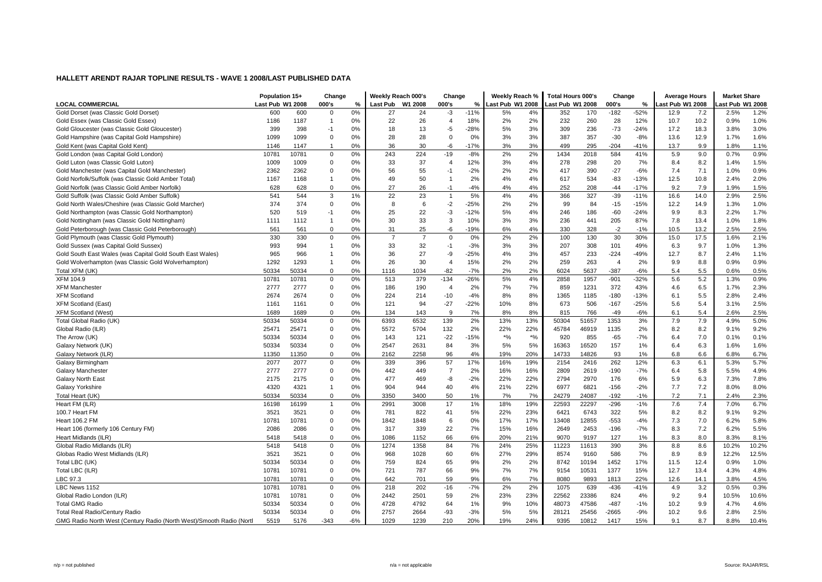|                                                                      | Population 15+   |       | Change         |       | Weekly Reach 000's |                | Change         |        | Weekly Reach %   |       | Total Hours 000's |       | Change         |               | <b>Average Hours</b> |      | <b>Market Share</b> |       |
|----------------------------------------------------------------------|------------------|-------|----------------|-------|--------------------|----------------|----------------|--------|------------------|-------|-------------------|-------|----------------|---------------|----------------------|------|---------------------|-------|
| <b>LOCAL COMMERCIAL</b>                                              | Last Pub W1 2008 |       | 000's          | $\%$  | Last Pub           | W1 2008        | 000's          | %      | Last Pub W1 2008 |       | Last Pub W1 2008  |       | 000's          | $\frac{0}{2}$ | ast Pub W1 2008      |      | ast Pub W1 2008     |       |
| Gold Dorset (was Classic Gold Dorset)                                | 600              | 600   | 0              | 0%    | 27                 | 24             | $-3$           | $-11%$ | 5%               | 4%    | 352               | 170   | $-182$         | $-52%$        | 12.9                 | 7.2  | 2.5%                | 1.2%  |
| Gold Essex (was Classic Gold Essex)                                  | 1186             | 1187  | $\mathbf{1}$   | 0%    | 22                 | 26             | $\overline{4}$ | 18%    | 2%               | 2%    | 232               | 260   | 28             | 12%           | 10.7                 | 10.2 | 0.9%                | 1.0%  |
| Gold Gloucester (was Classic Gold Gloucester)                        | 399              | 398   | $-1$           | 0%    | 18                 | 13             | $-5$           | $-28%$ | 5%               | 3%    | 309               | 236   | $-73$          | $-24%$        | 17.2                 | 18.3 | 3.8%                | 3.0%  |
| Gold Hampshire (was Capital Gold Hampshire)                          | 1099             | 1099  | $\Omega$       | 0%    | 28                 | 28             | $\Omega$       | 0%     | 3%               | 3%    | 387               | 357   | $-30$          | $-8%$         | 13.6                 | 12.9 | 1.7%                | 1.6%  |
| Gold Kent (was Capital Gold Kent)                                    | 1146             | 1147  | $\mathbf{1}$   | 0%    | 36                 | 30             | $-6$           | $-17%$ | 3%               | 3%    | 499               | 295   | $-204$         | $-41%$        | 13.7                 | 9.9  | 1.8%                | 1.1%  |
| Gold London (was Capital Gold London)                                | 10781            | 10781 | $\mathbf 0$    | 0%    | 243                | 224            | $-19$          | $-8%$  | 2%               | 2%    | 1434              | 2018  | 584            | 41%           | 5.9                  | 9.0  | 0.7%                | 0.9%  |
| Gold Luton (was Classic Gold Luton)                                  | 1009             | 1009  | 0              | 0%    | 33                 | 37             | $\overline{4}$ | 12%    | 3%               | 4%    | 278               | 298   | 20             | 7%            | 8.4                  | 8.2  | 1.4%                | 1.5%  |
| Gold Manchester (was Capital Gold Manchester)                        | 2362             | 2362  | 0              | 0%    | 56                 | 55             | $-1$           | $-2%$  | 2%               | 2%    | 417               | 390   | $-27$          | $-6%$         | 7.4                  | 7.1  | 1.0%                | 0.9%  |
| Gold Norfolk/Suffolk (was Classic Gold Amber Total)                  | 1167             | 1168  | $\mathbf{1}$   | 0%    | 49                 | 50             | -1             | 2%     | 4%               | 4%    | 617               | 534   | -83            | $-13%$        | 12.5                 | 10.8 | 2.4%                | 2.0%  |
| Gold Norfolk (was Classic Gold Amber Norfolk                         | 628              | 628   | $\mathbf 0$    | 0%    | 27                 | 26             | $-1$           | $-4%$  | 4%               | 4%    | 252               | 208   | $-44$          | $-17%$        | 9.2                  | 7.9  | 1.9%                | 1.5%  |
| Gold Suffolk (was Classic Gold Amber Suffolk)                        | 541              | 544   | 3              | 1%    | 22                 | 23             | $\overline{1}$ | 5%     | 4%               | 4%    | 366               | 327   | $-39$          | $-11%$        | 16.6                 | 14.0 | 2.9%                | 2.5%  |
| Gold North Wales/Cheshire (was Classic Gold Marcher)                 | 374              | 374   | 0              | 0%    | 8                  | 6              | $-2$           | $-25%$ | 2%               | 2%    | 99                | 84    | $-15$          | $-15%$        | 12.2                 | 14.9 | 1.3%                | 1.0%  |
| Gold Northampton (was Classic Gold Northampton)                      | 520              | 519   | $-1$           | 0%    | 25                 | 22             | $-3$           | $-12%$ | 5%               | 4%    | 246               | 186   | $-60$          | $-24%$        | 9.9                  | 8.3  | 2.2%                | 1.7%  |
| Gold Nottingham (was Classic Gold Nottingham)                        | 1111             | 1112  | 1              | 0%    | 30                 | 33             | 3              | 10%    | 3%               | 3%    | 236               | 441   | 205            | 87%           | 7.8                  | 13.4 | 1.0%                | 1.8%  |
| Gold Peterborough (was Classic Gold Peterborough)                    | 561              | 561   | 0              | 0%    | 31                 | 25             | -6             | $-19%$ | 6%               | 4%    | 330               | 328   | $-2$           | $-1%$         | 10.5                 | 13.2 | 2.5%                | 2.5%  |
| Gold Plymouth (was Classic Gold Plymouth)                            | 330              | 330   | 0              | 0%    | $\overline{7}$     | $\overline{7}$ | $\Omega$       | 0%     | 2%               | 2%    | 100               | 130   | 30             | 30%           | 15.0                 | 17.5 | 1.6%                | 2.1%  |
| Gold Sussex (was Capital Gold Sussex)                                | 993              | 994   | $\mathbf{1}$   | 0%    | 33                 | 32             | $-1$           | $-3%$  | 3%               | 3%    | 207               | 308   | 101            | 49%           | 6.3                  | 9.7  | 1.0%                | 1.3%  |
| Gold South East Wales (was Capital Gold South East Wales)            | 965              | 966   | $\mathbf{1}$   | 0%    | 36                 | 27             | -9             | $-25%$ | 4%               | 3%    | 457               | 233   | $-224$         | $-49%$        | 12.7                 | 8.7  | 2.4%                | 1.1%  |
| Gold Wolverhampton (was Classic Gold Wolverhampton)                  | 1292             | 1293  | $\overline{1}$ | 0%    | 26                 | 30             | $\overline{4}$ | 15%    | 2%               | 2%    | 259               | 263   | $\overline{4}$ | 2%            | 9.9                  | 8.8  | 0.9%                | 0.9%  |
| Total XFM (UK)                                                       | 50334            | 50334 | $\mathbf 0$    | 0%    | 1116               | 1034           | $-82$          | $-7%$  | 2%               | 2%    | 6024              | 5637  | $-387$         | $-6%$         | 5.4                  | 5.5  | 0.6%                | 0.5%  |
| <b>XFM 104.9</b>                                                     | 10781            | 10781 | $\mathbf 0$    | 0%    | 513                | 379            | $-134$         | $-26%$ | 5%               | 4%    | 2858              | 1957  | $-901$         | $-32%$        | 5.6                  | 5.2  | 1.3%                | 0.9%  |
| <b>XFM Manchester</b>                                                | 2777             | 2777  | $\mathbf 0$    | 0%    | 186                | 190            | $\overline{4}$ | 2%     | 7%               | 7%    | 859               | 1231  | 372            | 43%           | 4.6                  | 6.5  | 1.7%                | 2.3%  |
| <b>XFM Scotland</b>                                                  | 2674             | 2674  | 0              | 0%    | 224                | 214            | $-10$          | $-4%$  | 8%               | 8%    | 1365              | 1185  | $-180$         | $-13%$        | 6.1                  | 5.5  | 2.8%                | 2.4%  |
| <b>XFM Scotland (East)</b>                                           | 1161             | 1161  | 0              | 0%    | 121                | 94             | $-27$          | $-22%$ | 10%              | 8%    | 673               | 506   | $-167$         | $-25%$        | 5.6                  | 5.4  | 3.1%                | 2.5%  |
| <b>XFM Scotland (West)</b>                                           | 1689             | 1689  | $\Omega$       | 0%    | 134                | 143            | 9              | 7%     | 8%               | 8%    | 815               | 766   | $-49$          | $-6%$         | 6.1                  | 5.4  | 2.6%                | 2.5%  |
| Total Global Radio (UK)                                              | 50334            | 50334 | 0              | 0%    | 6393               | 6532           | 139            | 2%     | 13%              | 13%   | 50304             | 51657 | 1353           | 3%            | 7.9                  | 7.9  | 4.9%                | 5.0%  |
| Global Radio (ILR)                                                   | 25471            | 25471 | 0              | 0%    | 5572               | 5704           | 132            | 2%     | 22%              | 22%   | 45784             | 46919 | 1135           | 2%            | 8.2                  | 8.2  | 9.1%                | 9.2%  |
| The Arrow (UK)                                                       | 50334            | 50334 | $\Omega$       | 0%    | 143                | 121            | $-22$          | $-15%$ | $^{\star}$ %     | $*$ % | 920               | 855   | $-65$          | $-7%$         | 6.4                  | 7.0  | 0.1%                | 0.1%  |
| Galaxy Network (UK)                                                  | 50334            | 50334 | 0              | 0%    | 2547               | 2631           | 84             | 3%     | 5%               | 5%    | 16363             | 16520 | 157            | 1%            | 6.4                  | 6.3  | 1.6%                | 1.6%  |
| Galaxy Network (ILR)                                                 | 11350            | 11350 | 0              | 0%    | 2162               | 2258           | 96             | 4%     | 19%              | 20%   | 14733             | 14826 | 93             | 1%            | 6.8                  | 6.6  | 6.8%                | 6.7%  |
| Galaxy Birmingham                                                    | 2077             | 2077  | $\mathbf 0$    | 0%    | 339                | 396            | 57             | 17%    | 16%              | 19%   | 2154              | 2416  | 262            | 12%           | 6.3                  | 6.1  | 5.3%                | 5.7%  |
| Galaxy Manchester                                                    | 2777             | 2777  | 0              | 0%    | 442                | 449            | $\overline{7}$ | 2%     | 16%              | 16%   | 2809              | 2619  | $-190$         | $-7%$         | 6.4                  | 5.8  | 5.5%                | 4.9%  |
| <b>Galaxy North East</b>                                             | 2175             | 2175  | $\mathbf 0$    | 0%    | 477                | 469            | -8             | $-2%$  | 22%              | 22%   | 2794              | 2970  | 176            | 6%            | 5.9                  | 6.3  | 7.3%                | 7.8%  |
| Galaxy Yorkshire                                                     | 4320             | 4321  | $\overline{1}$ | 0%    | 904                | 944            | 40             | 4%     | 21%              | 22%   | 6977              | 6821  | $-156$         | $-2%$         | 7.7                  | 7.2  | 8.0%                | 8.0%  |
| Total Heart (UK)                                                     | 50334            | 50334 | $\mathbf 0$    | 0%    | 3350               | 3400           | 50             | 1%     | 7%               | 7%    | 24279             | 24087 | $-192$         | $-1%$         | 7.2                  | 7.1  | 2.4%                | 2.3%  |
| Heart FM (ILR)                                                       | 16198            | 16199 | $\overline{1}$ | 0%    | 2991               | 3008           | 17             | 1%     | 18%              | 19%   | 22593             | 22297 | $-296$         | $-1%$         | 7.6                  | 7.4  | 7.0%                | 6.7%  |
| 100.7 Heart FM                                                       | 3521             | 3521  | 0              | 0%    | 781                | 822            | 41             | 5%     | 22%              | 23%   | 6421              | 6743  | 322            | 5%            | 8.2                  | 8.2  | 9.1%                | 9.2%  |
| Heart 106.2 FM                                                       | 10781            | 10781 | $\mathbf 0$    | 0%    | 1842               | 1848           | 6              | 0%     | 17%              | 17%   | 13408             | 12855 | $-553$         | $-4%$         | 7.3                  | 7.0  | 6.2%                | 5.8%  |
| Heart 106 (formerly 106 Century FM)                                  | 2086             | 2086  | 0              | 0%    | 317                | 339            | 22             | 7%     | 15%              | 16%   | 2649              | 2453  | $-196$         | $-7%$         | 8.3                  | 7.2  | 6.2%                | 5.5%  |
| Heart Midlands (ILR)                                                 | 5418             | 5418  | $\mathbf 0$    | 0%    | 1086               | 1152           | 66             | 6%     | 20%              | 21%   | 9070              | 9197  | 127            | 1%            | 8.3                  | 8.0  | 8.3%                | 8.1%  |
| Global Radio Midlands (ILR)                                          | 5418             | 5418  | $\mathbf 0$    | 0%    | 1274               | 1358           | 84             | 7%     | 24%              | 25%   | 11223             | 11613 | 390            | 3%            | 8.8                  | 8.6  | 10.2%               | 10.2% |
| Globas Radio West Midlands (ILR)                                     | 3521             | 3521  | 0              | 0%    | 968                | 1028           | 60             | 6%     | 27%              | 29%   | 8574              | 9160  | 586            | 7%            | 8.9                  | 8.9  | 12.2%               | 12.5% |
| Total LBC (UK)                                                       | 50334            | 50334 | 0              | 0%    | 759                | 824            | 65             | 9%     | 2%               | 2%    | 8742              | 10194 | 1452           | 17%           | 11.5                 | 12.4 | 0.9%                | 1.0%  |
| Total LBC (ILR)                                                      | 10781            | 10781 | 0              | 0%    | 721                | 787            | 66             | 9%     | 7%               | 7%    | 9154              | 10531 | 1377           | 15%           | 12.7                 | 13.4 | 4.3%                | 4.8%  |
| LBC 97.3                                                             | 1078'            | 10781 | $\mathbf 0$    | 0%    | 642                | 701            | 59             | 9%     | 6%               | 7%    | 8080              | 9893  | 1813           | 22%           | 12.6                 | 14.1 | 3.8%                | 4.5%  |
| LBC News 1152                                                        | 10781            | 10781 | $\mathbf 0$    | 0%    | 218                | 202            | $-16$          | $-7%$  | 2%               | 2%    | 1075              | 639   | $-436$         | $-41%$        | 4.9                  | 3.2  | 0.5%                | 0.3%  |
| Global Radio London (ILR)                                            | 10781            | 10781 | 0              | 0%    | 2442               | 2501           | 59             | 2%     | 23%              | 23%   | 22562             | 23386 | 824            | 4%            | 9.2                  | 9.4  | 10.5%               | 10.6% |
| <b>Total GMG Radio</b>                                               | 50334            | 50334 | 0              | 0%    | 4728               | 4792           | 64             | 1%     | 9%               | 10%   | 48073             | 47586 | $-487$         | $-1%$         | 10.2                 | 9.9  | 4.7%                | 4.6%  |
| Total Real Radio/Century Radio                                       | 50334            | 50334 | $\mathbf 0$    | 0%    | 2757               | 2664           | $-93$          | $-3%$  | 5%               | 5%    | 28121             | 25456 | $-2665$        | $-9%$         | 10.2                 | 9.6  | 2.8%                | 2.5%  |
| GMG Radio North West (Century Radio (North West)/Smooth Radio (Nortl | 5519             | 5176  | $-343$         | $-6%$ | 1029               | 1239           | 210            | 20%    | 19%              | 24%   | 9395              | 10812 | 1417           | 15%           | 9.1                  | 8.7  | 8.8%                | 10.4% |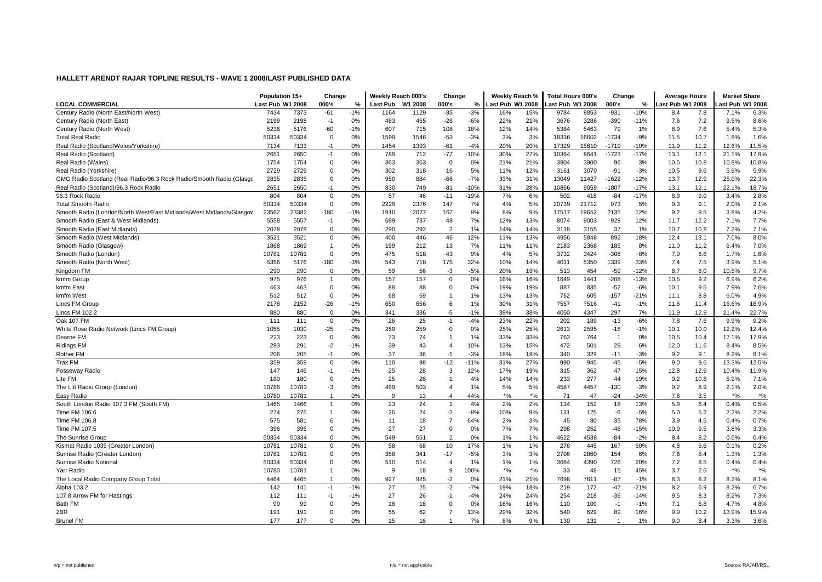|                                                                     | Population 15+   |       | Change         |       | Weekly Reach 000's |         | Change         |        | Weekly Reach %     |       | <b>Total Hours 000's</b> |       | Change         |        | <b>Average Hours</b> |      | <b>Market Share</b> |       |
|---------------------------------------------------------------------|------------------|-------|----------------|-------|--------------------|---------|----------------|--------|--------------------|-------|--------------------------|-------|----------------|--------|----------------------|------|---------------------|-------|
| <b>LOCAL COMMERCIAL</b>                                             | Last Pub W1 2008 |       | 000's          | %     | Last Pub           | W1 2008 | 000's          | %      | Last Pub W1 2008   |       | Last Pub W1 2008         |       | 000's          | %      | ast Pub W1 2008      |      | ast Pub W1 2008     |       |
| Century Radio (North East/North West)                               | 7434             | 7373  | $-61$          | $-1%$ | 1164               | 1129    | $-35$          | $-3%$  | 16%                | 15%   | 9784                     | 8853  | $-931$         | $-10%$ | 8.4                  | 7.8  | 7.1%                | 6.3%  |
| Century Radio (North East)                                          | 2199             | 2198  | $-1$           | 0%    | 483                | 455     | $-28$          | $-6%$  | 22%                | 21%   | 3676                     | 3286  | -390           | $-11%$ | 7.6                  | 7.2  | 9.5%                | 8.6%  |
| Century Radio (North West)                                          | 5236             | 5176  | -60            | $-1%$ | 607                | 715     | 108            | 18%    | 12%                | 14%   | 5384                     | 5463  | 79             | 1%     | 8.9                  | 7.6  | 5.4%                | 5.3%  |
| <b>Total Real Radio</b>                                             | 50334            | 50334 | 0              | 0%    | 1599               | 1546    | $-53$          | $-3%$  | 3%                 | 3%    | 18336                    | 16602 | $-1734$        | $-9%$  | 11.5                 | 10.7 | 1.8%                | 1.6%  |
| Real Radio (Scotland/Wales/Yorkshire)                               | 7134             | 7133  | $-1$           | 0%    | 1454               | 1393    | -61            | $-4%$  | 20%                | 20%   | 17329                    | 15610 | $-1719$        | -10%   | 11.9                 | 11.2 | 12.6%               | 11.5% |
| Real Radio (Scotland)                                               | 2651             | 2650  | $-1$           | 0%    | 789                | 712     | $-77$          | $-10%$ | 30%                | 27%   | 10364                    | 8641  | $-1723$        | $-17%$ | 13.1                 | 12.1 | 21.1%               | 17.9% |
| Real Radio (Wales)                                                  | 1754             | 1754  | 0              | 0%    | 363                | 363     | $\mathbf 0$    | 0%     | 21%                | 21%   | 3804                     | 3900  | 96             | 3%     | 10.5                 | 10.8 | 10.8%               | 10.8% |
| Real Radio (Yorkshire)                                              | 2729             | 2729  | 0              | 0%    | 302                | 318     | 16             | 5%     | 11%                | 12%   | 3161                     | 3070  | $-91$          | $-3%$  | 10.5                 | 9.6  | 5.9%                | 5.9%  |
| GMG Radio Scotland (Real Radio/96.3 Rock Radio/Smooth Radio (Glasgo | 2835             | 2835  | 0              | 0%    | 950                | 884     | $-66$          | $-7%$  | 33%                | 31%   | 13049                    | 11427 | $-1622$        | $-12%$ | 13.7                 | 12.9 | 25.0%               | 22.3% |
| Real Radio (Scotland)/96.3 Rock Radio                               | 2651             | 2650  | $-1$           | 0%    | 830                | 749     | $-81$          | $-10%$ | 31%                | 28%   | 10866                    | 9059  | $-1807$        | $-17%$ | 13.1                 | 12.1 | 22.1%               | 18.7% |
| 96.3 Rock Radio                                                     | 804              | 804   | 0              | 0%    | 57                 | 46      | $-11$          | $-19%$ | 7%                 | 6%    | 502                      | 418   | $-84$          | $-17%$ | 8.9                  | 9.0  | 3.4%                | 2.8%  |
| <b>Total Smooth Radio</b>                                           | 50334            | 50334 | $\mathbf 0$    | 0%    | 2229               | 2376    | 147            | 7%     | 4%                 | 5%    | 20739                    | 21712 | 973            | 5%     | 9.3                  | 9.1  | 2.0%                | 2.1%  |
| Smooth Radio (London/North West/East Midlands/West Midlands/Glasgov | 23562            | 23382 | $-180$         | $-1%$ | 1910               | 2077    | 167            | 9%     | 8%                 | 9%    | 17517                    | 19652 | 2135           | 12%    | 9.2                  | 9.5  | 3.8%                | 4.2%  |
| Smooth Radio (East & West Midlands)                                 | 5558             | 5557  | $-1$           | 0%    | 689                | 737     | 48             | 7%     | 12%                | 13%   | 8074                     | 9003  | 929            | 12%    | 11.7                 | 12.2 | 7.1%                | 7.7%  |
| Smooth Radio (East Midlands)                                        | 2078             | 2078  | 0              | 0%    | 290                | 292     | $\overline{2}$ | 1%     | 14%                | 14%   | 3118                     | 3155  | 37             | 1%     | 10.7                 | 10.8 | 7.2%                | 7.1%  |
| Smooth Radio (West Midlands)                                        | 3521             | 3521  | $\mathbf 0$    | 0%    | 400                | 446     | 46             | 12%    | 11%                | 13%   | 4956                     | 5848  | 892            | 18%    | 12.4                 | 13.1 | 7.0%                | 8.0%  |
| Smooth Radio (Glasgow)                                              | 1868             | 1869  | $\overline{1}$ | 0%    | 199                | 212     | 13             | 7%     | 11%                | 11%   | 2183                     | 2368  | 185            | 8%     | 11.0                 | 11.2 | 6.4%                | 7.0%  |
| Smooth Radio (London)                                               | 10781            | 10781 | $\mathbf 0$    | 0%    | 475                | 518     | 43             | 9%     | 4%                 | 5%    | 3732                     | 3424  | $-308$         | $-8%$  | 7.9                  | 6.6  | 1.7%                | 1.6%  |
| Smooth Radio (North West)                                           | 5356             | 5176  | $-180$         | $-3%$ | 543                | 718     | 175            | 32%    | 10%                | 14%   | 4011                     | 5350  | 1339           | 33%    | 7.4                  | 7.5  | 3.9%                | 5.1%  |
| Kingdom FM                                                          | 290              | 290   | $\Omega$       | 0%    | 59                 | 56      | $-3$           | $-5%$  | 20%                | 19%   | 513                      | 454   | $-59$          | $-12%$ | 8.7                  | 8.0  | 10.5%               | 9.7%  |
| kmfm Group                                                          | 975              | 976   | 1              | 0%    | 157                | 157     | $\Omega$       | 0%     | 16%                | 16%   | 1649                     | 1441  | $-208$         | $-13%$ | 10.5                 | 9.2  | 6.9%                | 6.2%  |
| kmfm East                                                           | 463              | 463   | 0              | 0%    | 88                 | 88      | 0              | 0%     | 19%                | 19%   | 887                      | 835   | $-52$          | $-6%$  | 10.1                 | 9.5  | 7.9%                | 7.6%  |
| kmfm West                                                           | 512              | 512   | 0              | 0%    | 68                 | 69      | $\overline{1}$ | 1%     | 13%                | 13%   | 762                      | 605   | $-157$         | $-21%$ | 11.1                 | 8.8  | 6.0%                | 4.9%  |
| Lincs FM Group                                                      | 2178             | 2152  | $-26$          | $-1%$ | 650                | 656     | 6              | 1%     | 30%                | 31%   | 7557                     | 7516  | $-41$          | $-1%$  | 11.6                 | 11.4 | 16.6%               | 16.9% |
| Lincs FM 102.2                                                      | 880              | 880   | $\Omega$       | 0%    | 341                | 336     | $-5$           | $-1%$  | 39%                | 38%   | 4050                     | 4347  | 297            | 7%     | 11.9                 | 12.9 | 21.4%               | 22.7% |
| Oak 107 FM                                                          | 111              | 111   | $\mathbf 0$    | 0%    | 26                 | 25      | $-1$           | $-4%$  | 23%                | 22%   | 202                      | 189   | $-13$          | $-6%$  | 7.8                  | 7.6  | 9.9%                | 9.2%  |
| White Rose Radio Network (Lincs FM Group)                           | 1055             | 1030  | $-25$          | $-2%$ | 259                | 259     | $\Omega$       | 0%     | 25%                | 25%   | 2613                     | 2595  | $-18$          | $-1%$  | 10.1                 | 10.0 | 12.2%               | 12.4% |
| Dearne FM                                                           | 223              | 223   | $\Omega$       | 0%    | 73                 | 74      | 1              | 1%     | 33%                | 33%   | 763                      | 764   | $\overline{1}$ | 0%     | 10.5                 | 10.4 | 17.1%               | 17.9% |
| <b>Ridings FM</b>                                                   | 293              | 291   | $-2$           | $-1%$ | 39                 | 43      | $\overline{4}$ | 10%    | 13%                | 15%   | 472                      | 501   | 29             | 6%     | 12.0                 | 11.6 | 8.4%                | 8.5%  |
| Rother FM                                                           | 206              | 205   | $-1$           | 0%    | 37                 | 36      | $-1$           | $-3%$  | 18%                | 18%   | 340                      | 329   | $-11$          | $-3%$  | 9.2                  | 9.1  | 8.2%                | 8.1%  |
| Trax FM                                                             | 359              | 359   | $\Omega$       | 0%    | 110                | 98      | $-12$          | $-11%$ | 31%                | 27%   | 990                      | 945   | $-45$          | $-5%$  | 9.0                  | 9.6  | 13.3%               | 12.5% |
| <b>Fosseway Radio</b>                                               | 147              | 146   | $-1$           | $-1%$ | 25                 | 28      | 3              | 12%    | 17%                | 19%   | 315                      | 362   | 47             | 15%    | 12.8                 | 12.9 | 10.4%               | 11.9% |
| Lite FM                                                             | 180              | 180   | $\mathbf 0$    | 0%    | 25                 | 26      | $\overline{1}$ | 4%     | 14%                | 14%   | 233                      | 277   | 44             | 19%    | 9.2                  | 10.8 | 5.9%                | 7.1%  |
| The Litt Radio Group (London)                                       | 10786            | 10783 | $-3$           | 0%    | 499                | 503     | $\overline{4}$ | 1%     | 5%                 | 5%    | 4587                     | 4457  | $-130$         | $-3%$  | 9.2                  | 8.9  | 2.1%                | 2.0%  |
| Easy Radio                                                          | 10780            | 10781 | $\overline{1}$ | 0%    | 9                  | 13      | 4              | 44%    | $*$ %              | $*$ % | 71                       | 47    | $-24$          | $-34%$ | 7.6                  | 3.5  | $*$ %               | $*$ % |
| South London Radio 107.3 FM (South FM)                              | 1465             | 1466  | $\overline{1}$ | 0%    | 23                 | 24      | $\overline{1}$ | 4%     | 2%                 | 2%    | 134                      | 152   | 18             | 13%    | 5.9                  | 6.4  | 0.4%                | 0.5%  |
| Time FM 106.6                                                       | 274              | 275   | 1              | 0%    | 26                 | 24      | $-2$           | $-8%$  | 10%                | 9%    | 131                      | 125   | -6             | $-5%$  | 5.0                  | 5.2  | 2.2%                | 2.2%  |
| Time FM 106.8                                                       | 575              | 581   | 6              | 1%    | 11                 | 18      | $\overline{7}$ | 64%    | 2%                 | 3%    | 45                       | 80    | 35             | 78%    | 3.9                  | 4.5  | 0.4%                | 0.7%  |
| Time FM 107.5                                                       | 396              | 396   | $\Omega$       | 0%    | 27                 | 27      | $\mathbf 0$    | 0%     | 7%                 | 7%    | 298                      | 252   | $-46$          | $-15%$ | 10.9                 | 9.5  | 3.8%                | 3.3%  |
| The Sunrise Group                                                   | 50334            | 50334 | $\Omega$       | 0%    | 549                | 551     | $\overline{2}$ | 0%     | 1%                 | 1%    | 4622                     | 4538  | $-84$          | $-2%$  | 8.4                  | 8.2  | 0.5%                | 0.4%  |
| Kismat Radio 1035 (Greater London)                                  | 10781            | 10781 | 0              | 0%    | 58                 | 68      | 10             | 17%    | 1%                 | 1%    | 278                      | 445   | 167            | 60%    | 4.8                  | 6.6  | 0.1%                | 0.2%  |
| Sunrise Radio (Greater London)                                      | 10781            | 10781 | 0              | 0%    | 358                | 341     | $-17$          | $-5%$  | 3%                 | 3%    | 2706                     | 2860  | 154            | 6%     | 7.6                  | 8.4  | 1.3%                | 1.3%  |
| Sunrise Radio National                                              | 50334            | 50334 | 0              | 0%    | 510                | 514     | $\overline{4}$ | 1%     | 1%                 | 1%    | 3664                     | 4390  | 726            | 20%    | 7.2                  | 8.5  | 0.4%                | 0.4%  |
| Yarr Radio                                                          | 10780            | 10781 | $\overline{1}$ | 0%    | 9                  | 18      | 9              | 100%   | $\boldsymbol{*}$ % | $*$ % | 33                       | 48    | 15             | 45%    | 3.7                  | 2.6  | $*$ %               | $*$ % |
| The Local Radio Company Group Total                                 | 4464             | 4465  | 1              | 0%    | 927                | 925     | $-2$           | 0%     | 21%                | 21%   | 7698                     | 7611  | $-87$          | $-1%$  | 8.3                  | 8.2  | 8.2%                | 8.1%  |
| Alpha 103.2                                                         | 142              | 141   | $-1$           | $-1%$ | 27                 | 25      | $-2$           | $-7%$  | 19%                | 18%   | 219                      | 172   | $-47$          | $-21%$ | 8.2                  | 6.9  | 8.2%                | 6.7%  |
| 107.8 Arrow FM for Hastings                                         | 112              | 111   | $-1$           | $-1%$ | 27                 | 26      | $-1$           | $-4%$  | 24%                | 24%   | 254                      | 218   | $-36$          | $-14%$ | 9.5                  | 8.3  | 8.2%                | 7.3%  |
| Bath FM                                                             | 99               | 99    | $\Omega$       | 0%    | 16                 | 16      | $\Omega$       | 0%     | 16%                | 16%   | 110                      | 109   | $-1$           | $-1%$  | 7.1                  | 6.8  | 4.7%                | 4.8%  |
| 2BR                                                                 | 191              | 191   | $\Omega$       | 0%    | 55                 | 62      | $\overline{7}$ | 13%    | 29%                | 32%   | 540                      | 629   | 89             | 16%    | 9.9                  | 10.2 | 13.9%               | 15.9% |
| <b>Brunel FM</b>                                                    | 177              | 177   | $\Omega$       | 0%    | 15                 | 16      | 1              | 7%     | 8%                 | 9%    | 130                      | 131   | $\overline{1}$ | 1%     | 9.0                  | 8.4  | 3.3%                | 3.6%  |
|                                                                     |                  |       |                |       |                    |         |                |        |                    |       |                          |       |                |        |                      |      |                     |       |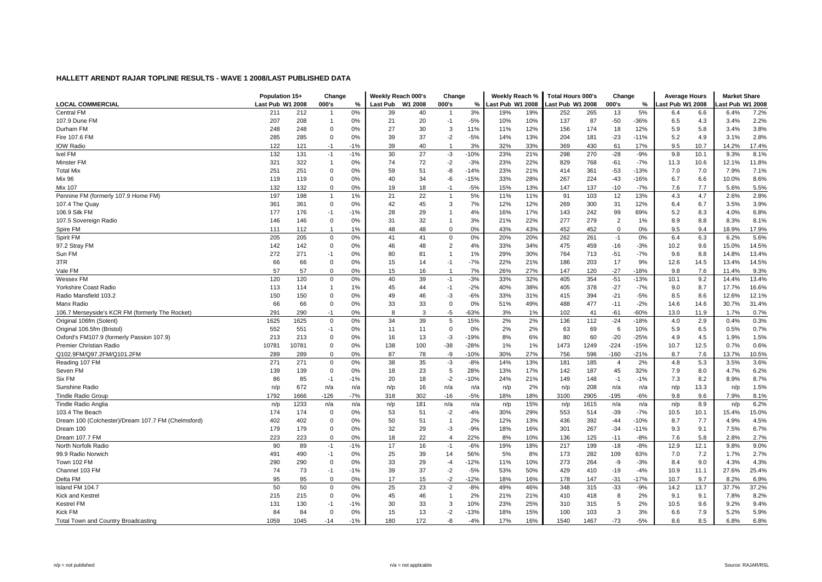|                                                    | Population 15+   |       | Change         |       | Weekly Reach 000's |         | Change                  |        | Weekly Reach %   |     | Total Hours 000's |      | Change         |        | <b>Average Hours</b> |      | <b>Market Share</b> |       |
|----------------------------------------------------|------------------|-------|----------------|-------|--------------------|---------|-------------------------|--------|------------------|-----|-------------------|------|----------------|--------|----------------------|------|---------------------|-------|
| <b>LOCAL COMMERCIAL</b>                            | Last Pub W1 2008 |       | 000's          | %     | Last Pub           | W1 2008 | 000's                   | %      | Last Pub W1 2008 |     | Last Pub W1 2008  |      | 000's          | %      | ast Pub W1 2008      |      | ast Pub W1 2008     |       |
| Central FM                                         | 211              | 212   |                | 0%    | 39                 | 40      | -1                      | 3%     | 19%              | 19% | 252               | 265  | 13             | 5%     | 6.4                  | 6.6  | 6.4%                | 7.2%  |
| 107.9 Dune FM                                      | 207              | 208   | $\overline{1}$ | 0%    | 21                 | 20      | $-1$                    | $-5%$  | 10%              | 10% | 137               | 87   | $-50$          | $-36%$ | 6.5                  | 4.3  | 3.4%                | 2.2%  |
| Durham FM                                          | 248              | 248   | 0              | 0%    | 27                 | 30      | 3                       | 11%    | 11%              | 12% | 156               | 174  | 18             | 12%    | 5.9                  | 5.8  | 3.4%                | 3.8%  |
| Fire 107.6 FM                                      | 285              | 285   | $\Omega$       | 0%    | 39                 | 37      | $-2$                    | $-5%$  | 14%              | 13% | 204               | 181  | $-23$          | $-11%$ | 5.2                  | 4.9  | 3.1%                | 2.8%  |
| <b>IOW Radio</b>                                   | 122              | 121   | $-1$           | $-1%$ | 39                 | 40      | $\overline{1}$          | 3%     | 32%              | 33% | 369               | 430  | 61             | 17%    | 9.5                  | 10.7 | 14.2%               | 17.4% |
| Ivel FM                                            | 132              | 131   | $-1$           | $-1%$ | 30                 | 27      | $-3$                    | $-10%$ | 23%              | 21% | 298               | 270  | $-28$          | $-9%$  | 9.8                  | 10.1 | 9.3%                | 8.1%  |
| Minster FM                                         | 321              | 322   | $\mathbf{1}$   | 0%    | 74                 | 72      | $-2$                    | $-3%$  | 23%              | 22% | 829               | 768  | -61            | $-7%$  | 11.3                 | 10.6 | 12.1%               | 11.8% |
| <b>Total Mix</b>                                   | 251              | 251   | 0              | 0%    | 59                 | 51      | -8                      | $-14%$ | 23%              | 21% | 414               | 361  | $-53$          | $-13%$ | 7.0                  | 7.0  | 7.9%                | 7.1%  |
| Mix 96                                             | 119              | 119   | $\Omega$       | 0%    | 40                 | 34      | -6                      | $-15%$ | 33%              | 28% | 267               | 224  | -43            | $-16%$ | 6.7                  | 6.6  | 10.0%               | 8.6%  |
| Mix 107                                            | 132              | 132   | $\Omega$       | 0%    | 19                 | 18      | $-1$                    | $-5%$  | 15%              | 13% | 147               | 137  | $-10$          | $-7%$  | 7.6                  | 7.7  | 5.6%                | 5.5%  |
| Pennine FM (formerly 107.9 Home FM)                | 197              | 198   | -1             | 1%    | 21                 | 22      | $\overline{1}$          | 5%     | 11%              | 11% | 91                | 103  | 12             | 13%    | 4.3                  | 4.7  | 2.6%                | 2.8%  |
| 107.4 The Quay                                     | 361              | 361   | $\mathbf 0$    | 0%    | 42                 | 45      | 3                       | 7%     | 12%              | 12% | 269               | 300  | 31             | 12%    | 6.4                  | 6.7  | 3.5%                | 3.9%  |
| 106.9 Silk FM                                      | 177              | 176   | $-1$           | $-1%$ | 28                 | 29      | $\overline{1}$          | 4%     | 16%              | 17% | 143               | 242  | 99             | 69%    | 5.2                  | 8.3  | 4.0%                | 6.8%  |
| 107.5 Sovereign Radio                              | 146              | 146   | $\Omega$       | 0%    | 31                 | 32      | 1                       | 3%     | 21%              | 22% | 277               | 279  | $\overline{2}$ | 1%     | 8.9                  | 8.8  | 8.3%                | 8.1%  |
| Spire FM                                           | 111              | 112   | $\overline{1}$ | 1%    | 48                 | 48      | $\Omega$                | 0%     | 43%              | 43% | 452               | 452  | $\Omega$       | 0%     | 9.5                  | 9.4  | 18.9%               | 17.9% |
| Spirit FM                                          | 205              | 205   | $\mathbf 0$    | 0%    | 41                 | 41      | $\mathbf 0$             | 0%     | 20%              | 20% | 262               | 261  | $-1$           | 0%     | 6.4                  | 6.3  | 6.2%                | 5.6%  |
| 97.2 Stray FM                                      | 142              | 142   | $\mathbf 0$    | 0%    | 46                 | 48      | $\overline{2}$          | 4%     | 33%              | 34% | 475               | 459  | $-16$          | $-3%$  | 10.2                 | 9.6  | 15.0%               | 14.5% |
| Sun FM                                             | 272              | 271   | $-1$           | 0%    | 80                 | 81      | $\overline{1}$          | 1%     | 29%              | 30% | 764               | 713  | $-51$          | $-7%$  | 9.6                  | 8.8  | 14.8%               | 13.4% |
| 3TR                                                | 66               | 66    | $\Omega$       | 0%    | 15                 | 14      | $-1$                    | $-7%$  | 22%              | 21% | 186               | 203  | 17             | 9%     | 12.6                 | 14.5 | 13.4%               | 14.5% |
| Vale FM                                            | 57               | 57    | $\Omega$       | 0%    | 15                 | 16      | $\overline{1}$          | 7%     | 26%              | 27% | 147               | 120  | $-27$          | $-18%$ | 9.8                  | 7.6  | 11.4%               | 9.3%  |
| Wessex FM                                          | 120              | 120   | $\mathbf 0$    | 0%    | 40                 | 39      | $-1$                    | $-3%$  | 33%              | 32% | 405               | 354  | $-51$          | $-13%$ | 10.1                 | 9.2  | 14.4%               | 13.4% |
| Yorkshire Coast Radio                              | 113              | 114   | $\mathbf{1}$   | 1%    | 45                 | 44      | $-1$                    | $-2%$  | 40%              | 38% | 405               | 378  | $-27$          | $-7%$  | 9.0                  | 8.7  | 17.7%               | 16.6% |
| Radio Mansfield 103.2                              | 150              | 150   | $\mathbf 0$    | 0%    | 49                 | 46      | $-3$                    | $-6%$  | 33%              | 31% | 415               | 394  | $-21$          | $-5%$  | 8.5                  | 8.6  | 12.6%               | 12.1% |
| Manx Radio                                         | 66               | 66    | 0              | 0%    | 33                 | 33      | 0                       | 0%     | 51%              | 49% | 488               | 477  | $-11$          | $-2%$  | 14.6                 | 14.6 | 30.7%               | 31.4% |
| 106.7 Merseyside's KCR FM (formerly The Rocket)    | 291              | 290   | $-1$           | 0%    | 8                  | 3       | $-5$                    | $-63%$ | 3%               | 1%  | 102               | 41   | $-61$          | $-60%$ | 13.0                 | 11.9 | 1.7%                | 0.7%  |
| Original 106fm (Solent)                            | 1625             | 1625  | $\Omega$       | 0%    | 34                 | 39      | 5                       | 15%    | 2%               | 2%  | 136               | 112  | $-24$          | $-18%$ | 4.0                  | 2.9  | 0.4%                | 0.3%  |
| Original 106.5fm (Bristol)                         | 552              | 551   | $-1$           | 0%    | 11                 | 11      | 0                       | 0%     | 2%               | 2%  | 63                | 69   | 6              | 10%    | 5.9                  | 6.5  | 0.5%                | 0.7%  |
| Oxford's FM107.9 (formerly Passion 107.9)          | 213              | 213   | $\mathbf 0$    | 0%    | 16                 | 13      | $-3$                    | $-19%$ | 8%               | 6%  | 80                | 60   | $-20$          | $-25%$ | 4.9                  | 4.5  | 1.9%                | 1.5%  |
| Premier Christian Radio                            | 10781            | 10781 | $\mathbf 0$    | 0%    | 138                | 100     | $-38$                   | $-28%$ | $1\%$            | 1%  | 1473              | 1249 | $-224$         | $-15%$ | 10.7                 | 12.5 | 0.7%                | 0.6%  |
| Q102.9FM/Q97.2FM/Q101.2FM                          | 289              | 289   | $\Omega$       | 0%    | 87                 | 78      | -9                      | $-10%$ | 30%              | 27% | 756               | 596  | $-160$         | $-21%$ | 8.7                  | 7.6  | 13.7%               | 10.5% |
| Reading 107 FM                                     | 271              | 271   | $\mathbf 0$    | 0%    | 38                 | 35      | $-3$                    | $-8%$  | 14%              | 13% | 181               | 185  | $\overline{4}$ | 2%     | 4.8                  | 5.3  | 3.5%                | 3.6%  |
| Seven FM                                           | 139              | 139   | $\mathbf 0$    | 0%    | 18                 | 23      | 5                       | 28%    | 13%              | 17% | 142               | 187  | 45             | 32%    | 7.9                  | 8.0  | 4.7%                | 6.2%  |
| Six FM                                             | 86               | 85    | $-1$           | $-1%$ | 20                 | 18      | $-2$                    | $-10%$ | 24%              | 21% | 149               | 148  | $-1$           | $-1%$  | 7.3                  | 8.2  | 8.9%                | 8.7%  |
| Sunshine Radio                                     | n/p              | 672   | n/a            | n/a   | n/p                | 16      | n/a                     | n/a    | n/p              | 2%  | n/p               | 208  | n/a            | n/a    | n/p                  | 13.3 | n/p                 | 1.5%  |
| <b>Tindle Radio Group</b>                          | 1792             | 1666  | $-126$         | $-7%$ | 318                | 302     | -16                     | $-5%$  | 18%              | 18% | 3100              | 2905 | $-195$         | $-6%$  | 9.8                  | 9.6  | 7.9%                | 8.1%  |
| Tindle Radio Anglia                                | n/p              | 1233  | n/a            | n/a   | n/p                | 181     | n/a                     | n/a    | n/p              | 15% | n/p               | 1615 | n/a            | n/a    | n/p                  | 8.9  | n/p                 | 6.2%  |
| 103.4 The Beach                                    | 174              | 174   | $\Omega$       | 0%    | 53                 | 51      | $-2$                    | $-4%$  | 30%              | 29% | 553               | 514  | $-39$          | $-7%$  | 10.5                 | 10.1 | 15.4%               | 15.0% |
| Dream 100 (Colchester)/Dream 107.7 FM (Chelmsford) | 402              | 402   | $\mathbf 0$    | 0%    | 50                 | 51      | $\overline{1}$          | 2%     | 12%              | 13% | 436               | 392  | -44            | $-10%$ | 8.7                  | 7.7  | 4.9%                | 4.5%  |
| Dream 100                                          | 179              | 179   | $\mathbf 0$    | 0%    | 32                 | 29      | $-3$                    | $-9%$  | 18%              | 16% | 301               | 267  | $-34$          | $-11%$ | 9.3                  | 9.1  | 7.5%                | 6.7%  |
| Dream 107.7 FM                                     | 223              | 223   | $\Omega$       | 0%    | 18                 | 22      | $\overline{\mathbf{A}}$ | 22%    | 8%               | 10% | 136               | 125  | $-11$          | $-8%$  | 7.6                  | 5.8  | 2.8%                | 2.7%  |
| North Norfolk Radio                                | 90               | 89    | $-1$           | $-1%$ | 17                 | 16      | $-1$                    | $-6%$  | 19%              | 18% | 217               | 199  | $-18$          | $-8%$  | 12.9                 | 12.1 | 9.8%                | 9.0%  |
| 99.9 Radio Norwich                                 | 491              | 490   | $-1$           | 0%    | 25                 | 39      | 14                      | 56%    | 5%               | 8%  | 173               | 282  | 109            | 63%    | 7.0                  | 7.2  | 1.7%                | 2.7%  |
| Town 102 FM                                        | 290              | 290   | $\mathbf 0$    | 0%    | 33                 | 29      | $-4$                    | $-12%$ | 11%              | 10% | 273               | 264  | -9             | $-3%$  | 8.4                  | 9.0  | 4.3%                | 4.3%  |
| Channel 103 FM                                     | 74               | 73    | $-1$           | $-1%$ | 39                 | 37      | $-2$                    | $-5%$  | 53%              | 50% | 429               | 410  | $-19$          | $-4%$  | 10.9                 | 11.1 | 27.6%               | 25.4% |
| Delta FM                                           | 95               | 95    | $\Omega$       | 0%    | 17                 | 15      | $-2$                    | $-12%$ | 18%              | 16% | 178               | 147  | $-31$          | $-17%$ | 10.7                 | 9.7  | 8.2%                | 6.9%  |
| Island FM 104.7                                    | 50               | 50    | $\Omega$       | 0%    | 25                 | 23      | $-2$                    | $-8%$  | 49%              | 46% | 348               | 315  | $-33$          | $-9%$  | 14.2                 | 13.7 | 37.7%               | 37.2% |
| Kick and Kestrel                                   | 215              | 215   | $\mathbf 0$    | 0%    | 45                 | 46      | $\mathbf{1}$            | 2%     | 21%              | 21% | 410               | 418  | 8              | 2%     | 9.1                  | 9.1  | 7.8%                | 8.2%  |
| <b>Kestrel FM</b>                                  | 131              | 130   | $-1$           | $-1%$ | 30                 | 33      | 3                       | 10%    | 23%              | 25% | 310               | 315  | 5              | 2%     | 10.5                 | 9.6  | 9.2%                | 9.4%  |
| <b>Kick FM</b>                                     | 84               | 84    | 0              | 0%    | 15                 | 13      | $-2$                    | $-13%$ | 18%              | 15% | 100               | 103  | 3              | 3%     | 6.6                  | 7.9  | 5.2%                | 5.9%  |
| Total Town and Country Broadcasting                | 1059             | 1045  | $-14$          | $-1%$ | 180                | 172     | -8                      | $-4%$  | 17%              | 16% | 1540              | 1467 | $-73$          | $-5%$  | 8.6                  | 8.5  | 6.8%                | 6.8%  |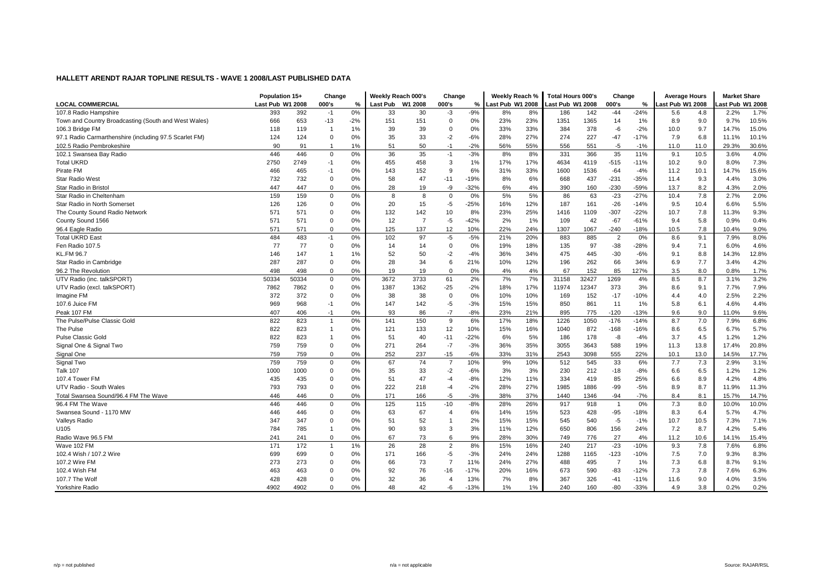|                                                        | Population 15+   |       | Change         |               | Weekly Reach 000's |                | Change                |        | Weekly Reach %   |     | <b>Total Hours 000's</b> |       | Change         |        | <b>Average Hours</b> |      | <b>Market Share</b> |       |
|--------------------------------------------------------|------------------|-------|----------------|---------------|--------------------|----------------|-----------------------|--------|------------------|-----|--------------------------|-------|----------------|--------|----------------------|------|---------------------|-------|
| <b>LOCAL COMMERCIAL</b>                                | Last Pub W1 2008 |       | 000's          | $\frac{0}{6}$ | <b>Last Pub</b>    | W1 2008        | 000's                 | %      | Last Pub W1 2008 |     | Last Pub W1 2008         |       | 000's          | $\%$   | Last Pub W1 2008     |      | ast Pub W1 2008     |       |
| 107.8 Radio Hampshire                                  | 393              | 392   | $-1$           | 0%            | 33                 | 30             | $-3$                  | $-9%$  | 8%               | 8%  | 186                      | 142   | $-44$          | $-24%$ | 5.6                  | 4.8  | 2.2%                | 1.7%  |
| Town and Country Broadcasting (South and West Wales)   | 666              | 653   | $-13$          | $-2%$         | 151                | 151            | $\mathbf 0$           | 0%     | 23%              | 23% | 1351                     | 1365  | 14             | 1%     | 8.9                  | 9.0  | 9.7%                | 10.5% |
| 106.3 Bridge FM                                        | 118              | 119   | -1             | 1%            | 39                 | 39             | $\Omega$              | 0%     | 33%              | 33% | 384                      | 378   | -6             | $-2%$  | 10.0                 | 9.7  | 14.7%               | 15.0% |
| 97.1 Radio Carmarthenshire (including 97.5 Scarlet FM) | 124              | 124   | $\Omega$       | 0%            | 35                 | 33             | $-2$                  | $-6%$  | 28%              | 27% | 274                      | 227   | $-47$          | $-17%$ | 7.9                  | 6.8  | 11.1%               | 10.1% |
| 102.5 Radio Pembrokeshire                              | 90               | 91    |                | 1%            | 51                 | 50             | $-1$                  | $-2%$  | 56%              | 55% | 556                      | 551   | $-5$           | $-1%$  | 11.0                 | 11.0 | 29.3%               | 30.6% |
| 102.1 Swansea Bay Radio                                | 446              | 446   | 0              | 0%            | 36                 | 35             | $-1$                  | $-3%$  | 8%               | 8%  | 331                      | 366   | 35             | 11%    | 9.1                  | 10.5 | 3.6%                | 4.0%  |
| <b>Total UKRD</b>                                      | 2750             | 2749  | $-1$           | 0%            | 455                | 458            | 3                     | 1%     | 17%              | 17% | 4634                     | 4119  | $-515$         | $-11%$ | 10.2                 | 9.0  | 8.0%                | 7.3%  |
| Pirate FM                                              | 466              | 465   | $-1$           | 0%            | 143                | 152            | 9                     | 6%     | 31%              | 33% | 1600                     | 1536  | $-64$          | $-4%$  | 11.2                 | 10.1 | 14.7%               | 15.6% |
| <b>Star Radio West</b>                                 | 732              | 732   | $\Omega$       | 0%            | 58                 | 47             | $-11$                 | $-19%$ | 8%               | 6%  | 668                      | 437   | $-231$         | $-35%$ | 11.4                 | 9.3  | 4.4%                | 3.0%  |
| Star Radio in Bristol                                  | 447              | 447   | $\Omega$       | 0%            | 28                 | 19             | -9                    | $-32%$ | 6%               | 4%  | 390                      | 160   | $-230$         | $-59%$ | 13.7                 | 8.2  | 4.3%                | 2.0%  |
| Star Radio in Cheltenham                               | 159              | 159   | $\mathbf 0$    | 0%            | 8                  | 8              | 0                     | 0%     | 5%               | 5%  | 86                       | 63    | $-23$          | $-27%$ | 10.4                 | 7.8  | 2.7%                | 2.0%  |
| Star Radio in North Somerset                           | 126              | 126   | $\Omega$       | 0%            | 20                 | 15             | $-5$                  | $-25%$ | 16%              | 12% | 187                      | 161   | $-26$          | $-14%$ | 9.5                  | 10.4 | 6.6%                | 5.5%  |
| The County Sound Radio Network                         | 571              | 571   | $\Omega$       | 0%            | 132                | 142            | 10                    | 8%     | 23%              | 25% | 1416                     | 1109  | $-307$         | $-22%$ | 10.7                 | 7.8  | 11.3%               | 9.3%  |
| County Sound 1566                                      | 571              | 571   | $\Omega$       | 0%            | 12                 | $\overline{7}$ | $-5$                  | $-42%$ | 2%               | 1%  | 109                      | 42    | $-67$          | $-61%$ | 9.4                  | 5.8  | 0.9%                | 0.4%  |
| 96.4 Eagle Radio                                       | 571              | 571   | $\Omega$       | 0%            | 125                | 137            | 12                    | 10%    | 22%              | 24% | 1307                     | 1067  | $-240$         | $-18%$ | 10.5                 | 7.8  | 10.4%               | 9.0%  |
| <b>Total UKRD East</b>                                 | 484              | 483   | $-1$           | 0%            | 102                | 97             | $-5$                  | $-5%$  | 21%              | 20% | 883                      | 885   | $\overline{2}$ | 0%     | 8.6                  | 9.1  | 7.9%                | 8.0%  |
| Fen Radio 107.5                                        | 77               | 77    | $\mathbf 0$    | 0%            | 14                 | 14             | 0                     | 0%     | 19%              | 18% | 135                      | 97    | $-38$          | $-28%$ | 9.4                  | 7.1  | 6.0%                | 4.6%  |
| <b>KL.FM 96.7</b>                                      | 146              | 147   | $\overline{1}$ | 1%            | 52                 | 50             | $-2$                  | $-4%$  | 36%              | 34% | 475                      | 445   | $-30$          | $-6%$  | 9.1                  | 8.8  | 14.3%               | 12.8% |
| Star Radio in Cambridge                                | 287              | 287   | $\mathbf 0$    | 0%            | 28                 | 34             | 6                     | 21%    | 10%              | 12% | 196                      | 262   | 66             | 34%    | 6.9                  | 7.7  | 3.4%                | 4.2%  |
| 96.2 The Revolution                                    | 498              | 498   | $\Omega$       | 0%            | 19                 | 19             | $\Omega$              | 0%     | 4%               | 4%  | 67                       | 152   | 85             | 127%   | 3.5                  | 8.0  | 0.8%                | 1.7%  |
| UTV Radio (inc. talkSPORT)                             | 50334            | 50334 | $\Omega$       | 0%            | 3672               | 3733           | 61                    | 2%     | 7%               | 7%  | 31158                    | 32427 | 1269           | 4%     | 8.5                  | 8.7  | 3.1%                | 3.2%  |
| UTV Radio (excl. talkSPORT)                            | 7862             | 7862  | $\Omega$       | 0%            | 1387               | 1362           | $-25$                 | $-2%$  | 18%              | 17% | 11974                    | 12347 | 373            | 3%     | 8.6                  | 9.1  | 7.7%                | 7.9%  |
| Imagine FM                                             | 372              | 372   | $\Omega$       | 0%            | 38                 | 38             | $\Omega$              | 0%     | 10%              | 10% | 169                      | 152   | $-17$          | $-10%$ | 4.4                  | 4.0  | 2.5%                | 2.2%  |
| 107.6 Juice FM                                         | 969              | 968   | $-1$           | 0%            | 147                | 142            | $-5$                  | $-3%$  | 15%              | 15% | 850                      | 861   | 11             | 1%     | 5.8                  | 6.1  | 4.6%                | 4.4%  |
| Peak 107 FM                                            | 407              | 406   | $-1$           | 0%            | 93                 | 86             | $-7$                  | $-8%$  | 23%              | 21% | 895                      | 775   | $-120$         | $-13%$ | 9.6                  | 9.0  | 11.0%               | 9.6%  |
| The Pulse/Pulse Classic Gold                           | 822              | 823   | $\overline{1}$ | 0%            | 141                | 150            | 9                     | 6%     | 17%              | 18% | 1226                     | 1050  | $-176$         | $-14%$ | 8.7                  | 7.0  | 7.9%                | 6.8%  |
| The Pulse                                              | 822              | 823   | $\mathbf{1}$   | 0%            | 121                | 133            | 12                    | 10%    | 15%              | 16% | 1040                     | 872   | $-168$         | $-16%$ | 8.6                  | 6.5  | 6.7%                | 5.7%  |
| <b>Pulse Classic Gold</b>                              | 822              | 823   | $\overline{1}$ | 0%            | 51                 | 40             | $-11$                 | $-22%$ | 6%               | 5%  | 186                      | 178   | -8             | $-4%$  | 3.7                  | 4.5  | 1.2%                | 1.2%  |
| Signal One & Signal Two                                | 759              | 759   | $\mathbf 0$    | 0%            | 271                | 264            | $-7$                  | $-3%$  | 36%              | 35% | 3055                     | 3643  | 588            | 19%    | 11.3                 | 13.8 | 17.4%               | 20.8% |
| Signal One                                             | 759              | 759   | $\Omega$       | 0%            | 252                | 237            | $-15$                 | $-6%$  | 33%              | 31% | 2543                     | 3098  | 555            | 22%    | 10.1                 | 13.0 | 14.5%               | 17.7% |
| Signal Two                                             | 759              | 759   | $\Omega$       | 0%            | 67                 | 74             | $\overline{7}$        | 10%    | 9%               | 10% | 512                      | 545   | 33             | 6%     | 7.7                  | 7.3  | 2.9%                | 3.1%  |
| <b>Talk 107</b>                                        | 1000             | 1000  | $\Omega$       | 0%            | 35                 | 33             | $-2$                  | $-6%$  | 3%               | 3%  | 230                      | 212   | $-18$          | $-8%$  | 6.6                  | 6.5  | 1.2%                | 1.2%  |
| 107.4 Tower FM                                         | 435              | 435   | $\Omega$       | 0%            | 51                 | 47             | $-4$                  | $-8%$  | 12%              | 11% | 334                      | 419   | 85             | 25%    | 6.6                  | 8.9  | 4.2%                | 4.8%  |
| UTV Radio - South Wales                                | 793              | 793   | $\Omega$       | 0%            | 222                | 218            | $-4$                  | $-2%$  | 28%              | 27% | 1985                     | 1886  | $-99$          | $-5%$  | 8.9                  | 8.7  | 11.9%               | 11.3% |
| Total Swansea Sound/96.4 FM The Wave                   | 446              | 446   | $\Omega$       | 0%            | 171                | 166            | $-5$                  | $-3%$  | 38%              | 37% | 1440                     | 1346  | $-94$          | $-7%$  | 8.4                  | 8.1  | 15.7%               | 14.7% |
| 96.4 FM The Wave                                       | 446              | 446   | $\Omega$       | 0%            | 125                | 115            | -10                   | $-8%$  | 28%              | 26% | 917                      | 918   | $\overline{1}$ | 0%     | 7.3                  | 8.0  | 10.0%               | 10.0% |
| Swansea Sound - 1170 MW                                | 446              | 446   | $\Omega$       | 0%            | 63                 | 67             | $\overline{4}$        | 6%     | 14%              | 15% | 523                      | 428   | $-95$          | $-18%$ | 8.3                  | 6.4  | 5.7%                | 4.7%  |
| Valleys Radio                                          | 347              | 347   | $\mathbf 0$    | 0%            | 51                 | 52             | $\overline{1}$        | 2%     | 15%              | 15% | 545                      | 540   | $-5$           | $-1%$  | 10.7                 | 10.5 | 7.3%                | 7.1%  |
| U105                                                   | 784              | 785   | $\overline{1}$ | 0%            | 90                 | 93             | 3                     | 3%     | 11%              | 12% | 650                      | 806   | 156            | 24%    | 7.2                  | 8.7  | 4.2%                | 5.4%  |
| Radio Wave 96.5 FM                                     | 241              | 241   | $\Omega$       | 0%            | 67                 | 73             | 6                     | 9%     | 28%              | 30% | 749                      | 776   | 27             | 4%     | 11.2                 | 10.6 | 14.1%               | 15.4% |
| Wave 102 FM                                            | 171              | 172   | $\mathbf{1}$   | 1%            | 26                 | 28             | $\overline{2}$        | 8%     | 15%              | 16% | 240                      | 217   | $-23$          | $-10%$ | 9.3                  | 7.8  | 7.6%                | 6.8%  |
| 102.4 Wish / 107.2 Wire                                | 699              | 699   | $\mathbf 0$    | 0%            | 171                | 166            | $-5$                  | $-3%$  | 24%              | 24% | 1288                     | 1165  | $-123$         | $-10%$ | 7.5                  | 7.0  | 9.3%                | 8.3%  |
| 107.2 Wire FM                                          | 273              | 273   | $\Omega$       | 0%            | 66                 | 73             | $\overline{7}$        | 11%    | 24%              | 27% | 488                      | 495   | $\overline{7}$ | 1%     | 7.3                  | 6.8  | 8.7%                | 9.1%  |
| 102.4 Wish FM                                          | 463              | 463   | $\Omega$       | 0%            | 92                 | 76             | $-16$                 | $-17%$ | 20%              | 16% | 673                      | 590   | $-83$          | $-12%$ | 7.3                  | 7.8  | 7.6%                | 6.3%  |
| 107.7 The Wolf                                         | 428              | 428   | $\Omega$       | 0%            | 32                 | 36             | $\boldsymbol{\Delta}$ | 13%    | 7%               | 8%  | 367                      | 326   | $-41$          | $-11%$ | 11.6                 | 9.0  | 4.0%                | 3.5%  |
| <b>Yorkshire Radio</b>                                 | 4902             | 4902  | $\Omega$       | 0%            | 48                 | 42             | -6                    | $-13%$ | 1%               | 1%  | 240                      | 160   | $-80$          | $-33%$ | 4.9                  | 3.8  | 0.2%                | 0.2%  |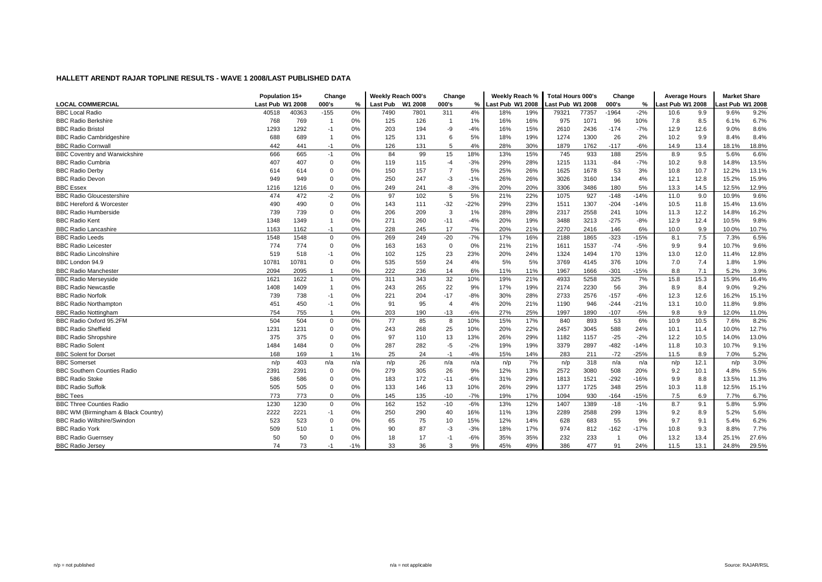|                                      | Population 15+   |       | Change       |               | Weekly Reach 000's |      | Change         |        | Weekly Reach %  |     | <b>Total Hours 000's</b> |       | Change  |        | <b>Average Hours</b> |      | <b>Market Share</b> |       |
|--------------------------------------|------------------|-------|--------------|---------------|--------------------|------|----------------|--------|-----------------|-----|--------------------------|-------|---------|--------|----------------------|------|---------------------|-------|
| <b>LOCAL COMMERCIAL</b>              | Last Pub W1 2008 |       | 000's        | $\frac{0}{2}$ | Last Pub W1 2008   |      | 000's          | %      | ast Pub W1 2008 |     | Last Pub W1 2008         |       | 000's   | %      | Last Pub W1 2008     |      | ast Pub W1 2008     |       |
| <b>BBC Local Radio</b>               | 40518            | 40363 | $-155$       | 0%            | 7490               | 7801 | 311            | 4%     | 18%             | 19% | 79321                    | 77357 | $-1964$ | $-2%$  | 10.6                 | 9.9  | 9.6%                | 9.2%  |
| <b>BBC Radio Berkshire</b>           | 768              | 769   | -1           | 0%            | 125                | 126  | -1             | 1%     | 16%             | 16% | 975                      | 1071  | 96      | 10%    | 7.8                  | 8.5  | 6.1%                | 6.7%  |
| <b>BBC Radio Bristol</b>             | 1293             | 1292  | $-1$         | 0%            | 203                | 194  | -9             | $-4%$  | 16%             | 15% | 2610                     | 2436  | $-174$  | $-7%$  | 12.9                 | 12.6 | 9.0%                | 8.6%  |
| <b>BBC Radio Cambridgeshire</b>      | 688              | 689   | $\mathbf{1}$ | 0%            | 125                | 131  | 6              | 5%     | 18%             | 19% | 1274                     | 1300  | 26      | 2%     | 10.2                 | 9.9  | 8.4%                | 8.4%  |
| <b>BBC Radio Cornwal</b>             | 442              | 441   | $-1$         | 0%            | 126                | 131  | 5              | 4%     | 28%             | 30% | 1879                     | 1762  | $-117$  | $-6%$  | 14.9                 | 13.4 | 18.1%               | 18.8% |
| <b>BBC Coventry and Warwickshire</b> | 666              | 665   | $-1$         | 0%            | 84                 | 99   | 15             | 18%    | 13%             | 15% | 745                      | 933   | 188     | 25%    | 8.9                  | 9.5  | 5.6%                | 6.6%  |
| <b>BBC Radio Cumbria</b>             | 407              | 407   | $\mathbf 0$  | 0%            | 119                | 115  | $-4$           | $-3%$  | 29%             | 28% | 1215                     | 1131  | $-84$   | $-7%$  | 10.2                 | 9.8  | 14.8%               | 13.5% |
| <b>BBC Radio Derby</b>               | 614              | 614   | $\Omega$     | 0%            | 150                | 157  | $\overline{7}$ | 5%     | 25%             | 26% | 1625                     | 1678  | 53      | 3%     | 10.8                 | 10.7 | 12.2%               | 13.1% |
| <b>BBC Radio Devon</b>               | 949              | 949   | $\mathbf 0$  | 0%            | 250                | 247  | $-3$           | $-1%$  | 26%             | 26% | 3026                     | 3160  | 134     | 4%     | 12.1                 | 12.8 | 15.2%               | 15.9% |
| <b>BBC Essex</b>                     | 1216             | 1216  | $\Omega$     | 0%            | 249                | 241  | -8             | $-3%$  | 20%             | 20% | 3306                     | 3486  | 180     | 5%     | 13.3                 | 14.5 | 12.5%               | 12.9% |
| <b>BBC Radio Gloucestershire</b>     | 474              | 472   | $-2$         | 0%            | 97                 | 102  | 5              | 5%     | 21%             | 22% | 1075                     | 927   | $-148$  | $-14%$ | 11.0                 | 9.0  | 10.9%               | 9.6%  |
| <b>BBC Hereford &amp; Worcester</b>  | 490              | 490   | $\Omega$     | 0%            | 143                | 111  | $-32$          | $-22%$ | 29%             | 23% | 1511                     | 1307  | $-204$  | $-14%$ | 10.5                 | 11.8 | 15.4%               | 13.6% |
| <b>BBC Radio Humberside</b>          | 739              | 739   | $\Omega$     | 0%            | 206                | 209  | 3              | 1%     | 28%             | 28% | 2317                     | 2558  | 241     | 10%    | 11.3                 | 12.2 | 14.8%               | 16.2% |
| <b>BBC Radio Kent</b>                | 1348             | 1349  | -1           | 0%            | 271                | 260  | $-11$          | $-4%$  | 20%             | 19% | 3488                     | 3213  | $-275$  | $-8%$  | 12.9                 | 12.4 | 10.5%               | 9.8%  |
| <b>BBC Radio Lancashire</b>          | 1163             | 1162  | $-1$         | 0%            | 228                | 245  | 17             | 7%     | 20%             | 21% | 2270                     | 2416  | 146     | 6%     | 10.0                 | 9.9  | 10.0%               | 10.7% |
| <b>BBC Radio Leeds</b>               | 1548             | 1548  | $\mathbf 0$  | 0%            | 269                | 249  | $-20$          | $-7%$  | 17%             | 16% | 2188                     | 1865  | $-323$  | $-15%$ | 8.1                  | 7.5  | 7.3%                | 6.5%  |
| <b>BBC Radio Leicester</b>           | 774              | 774   | $\Omega$     | 0%            | 163                | 163  | $\mathbf 0$    | 0%     | 21%             | 21% | 1611                     | 1537  | $-74$   | $-5%$  | 9.9                  | 9.4  | 10.7%               | 9.6%  |
| <b>BBC Radio Lincolnshire</b>        | 519              | 518   | $-1$         | 0%            | 102                | 125  | 23             | 23%    | 20%             | 24% | 1324                     | 1494  | 170     | 13%    | 13.0                 | 12.0 | 11.4%               | 12.8% |
| BBC London 94.9                      | 10781            | 10781 | $\Omega$     | 0%            | 535                | 559  | 24             | 4%     | 5%              | 5%  | 3769                     | 4145  | 376     | 10%    | 7.0                  | 7.4  | 1.8%                | 1.9%  |
| <b>BBC Radio Manchester</b>          | 2094             | 2095  | $\mathbf{1}$ | 0%            | 222                | 236  | 14             | 6%     | 11%             | 11% | 1967                     | 1666  | $-301$  | $-15%$ | 8.8                  | 7.1  | 5.2%                | 3.9%  |
| <b>BBC Radio Merseyside</b>          | 1621             | 1622  | $\mathbf{1}$ | 0%            | 311                | 343  | 32             | 10%    | 19%             | 21% | 4933                     | 5258  | 325     | 7%     | 15.8                 | 15.3 | 15.9%               | 16.4% |
| <b>BBC Radio Newcastle</b>           | 1408             | 1409  | $\mathbf{1}$ | 0%            | 243                | 265  | 22             | 9%     | 17%             | 19% | 2174                     | 2230  | 56      | 3%     | 8.9                  | 8.4  | 9.0%                | 9.2%  |
| <b>BBC Radio Norfolk</b>             | 739              | 738   | $-1$         | 0%            | 221                | 204  | $-17$          | $-8%$  | 30%             | 28% | 2733                     | 2576  | $-157$  | $-6%$  | 12.3                 | 12.6 | 16.2%               | 15.1% |
| <b>BBC Radio Northamptor</b>         | 451              | 450   | $-1$         | 0%            | 91                 | 95   | $\overline{4}$ | 4%     | 20%             | 21% | 1190                     | 946   | $-244$  | $-21%$ | 13.1                 | 10.0 | 11.8%               | 9.8%  |
| <b>BBC Radio Nottingham</b>          | 754              | 755   | -1           | 0%            | 203                | 190  | $-13$          | $-6%$  | 27%             | 25% | 1997                     | 1890  | $-107$  | $-5%$  | 9.8                  | 9.9  | 12.0%               | 11.0% |
| BBC Radio Oxford 95.2FM              | 504              | 504   | $\Omega$     | 0%            | 77                 | 85   | 8              | 10%    | 15%             | 17% | 840                      | 893   | 53      | 6%     | 10.9                 | 10.5 | 7.6%                | 8.2%  |
| <b>BBC Radio Sheffield</b>           | 1231             | 1231  | $\Omega$     | 0%            | 243                | 268  | 25             | 10%    | 20%             | 22% | 2457                     | 3045  | 588     | 24%    | 10.1                 | 11.4 | 10.0%               | 12.7% |
| <b>BBC Radio Shropshire</b>          | 375              | 375   | $\Omega$     | 0%            | 97                 | 110  | 13             | 13%    | 26%             | 29% | 1182                     | 1157  | $-25$   | $-2%$  | 12.2                 | 10.5 | 14.0%               | 13.0% |
| <b>BBC Radio Solent</b>              | 1484             | 1484  | $\Omega$     | 0%            | 287                | 282  | $-5$           | $-2%$  | 19%             | 19% | 3379                     | 2897  | $-482$  | $-14%$ | 11.8                 | 10.3 | 10.7%               | 9.1%  |
| <b>BBC Solent for Dorset</b>         | 168              | 169   | $\mathbf{1}$ | 1%            | 25                 | 24   | $-1$           | $-4%$  | 15%             | 14% | 283                      | 211   | $-72$   | $-25%$ | 11.5                 | 8.9  | 7.0%                | 5.2%  |
| <b>BBC Somerset</b>                  | n/p              | 403   | n/a          | n/a           | n/p                | 26   | n/a            | n/a    | n/p             | 7%  | n/p                      | 318   | n/a     | n/a    | n/p                  | 12.1 | n/p                 | 3.0%  |
| <b>BBC Southern Counties Radio</b>   | 2391             | 2391  | $\Omega$     | 0%            | 279                | 305  | 26             | 9%     | 12%             | 13% | 2572                     | 3080  | 508     | 20%    | 9.2                  | 10.1 | 4.8%                | 5.5%  |
| <b>BBC Radio Stoke</b>               | 586              | 586   | $\Omega$     | 0%            | 183                | 172  | $-11$          | $-6%$  | 31%             | 29% | 1813                     | 1521  | $-292$  | $-16%$ | 9.9                  | 8.8  | 13.5%               | 11.3% |
| <b>BBC Radio Suffolk</b>             | 505              | 505   | $\mathbf 0$  | 0%            | 133                | 146  | 13             | 10%    | 26%             | 29% | 1377                     | 1725  | 348     | 25%    | 10.3                 | 11.8 | 12.5%               | 15.1% |
| <b>BBC Tees</b>                      | 773              | 773   | $\Omega$     | 0%            | 145                | 135  | $-10$          | $-7%$  | 19%             | 17% | 1094                     | 930   | $-164$  | $-15%$ | 7.5                  | 6.9  | 7.7%                | 6.7%  |
| <b>BBC Three Counties Radio</b>      | 1230             | 1230  | $\mathbf 0$  | 0%            | 162                | 152  | $-10$          | $-6%$  | 13%             | 12% | 1407                     | 1389  | $-18$   | $-1%$  | 8.7                  | 9.1  | 5.8%                | 5.9%  |
| BBC WM (Birmingham & Black Country)  | 2222             | 2221  | $-1$         | 0%            | 250                | 290  | 40             | 16%    | 11%             | 13% | 2289                     | 2588  | 299     | 13%    | 9.2                  | 8.9  | 5.2%                | 5.6%  |
| <b>BBC Radio Wiltshire/Swindon</b>   | 523              | 523   | $\Omega$     | 0%            | 65                 | 75   | 10             | 15%    | 12%             | 14% | 628                      | 683   | 55      | 9%     | 9.7                  | 9.1  | 5.4%                | 6.2%  |
| <b>BBC Radio York</b>                | 509              | 510   |              | 0%            | 90                 | 87   | -3             | $-3%$  | 18%             | 17% | 974                      | 812   | $-162$  | $-17%$ | 10.8                 | 9.3  | 8.8%                | 7.7%  |
| <b>BBC Radio Guernsey</b>            | 50               | 50    | $\Omega$     | 0%            | 18                 | 17   | -1             | $-6%$  | 35%             | 35% | 232                      | 233   |         | 0%     | 13.2                 | 13.4 | 25.1%               | 27.6% |
| <b>BBC Radio Jersey</b>              | 74               | 73    | $-1$         | $-1%$         | 33                 | 36   | 3              | 9%     | 45%             | 49% | 386                      | 477   | 91      | 24%    | 11.5                 | 13.1 | 24.8%               | 29.5% |